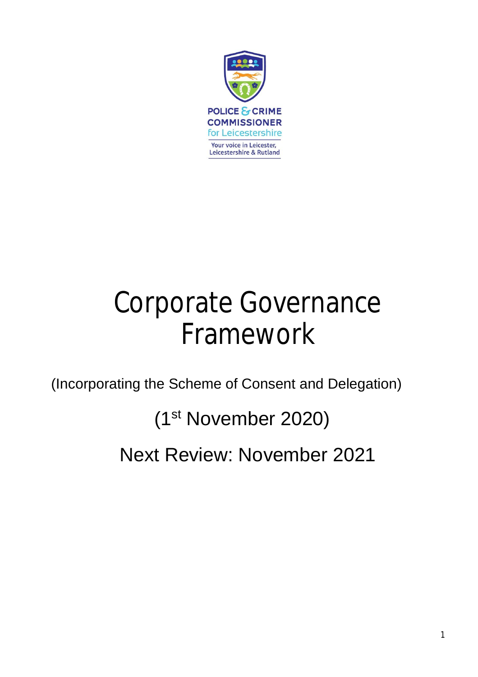

# Corporate Governance Framework

(Incorporating the Scheme of Consent and Delegation)

(1st November 2020)

Next Review: November 2021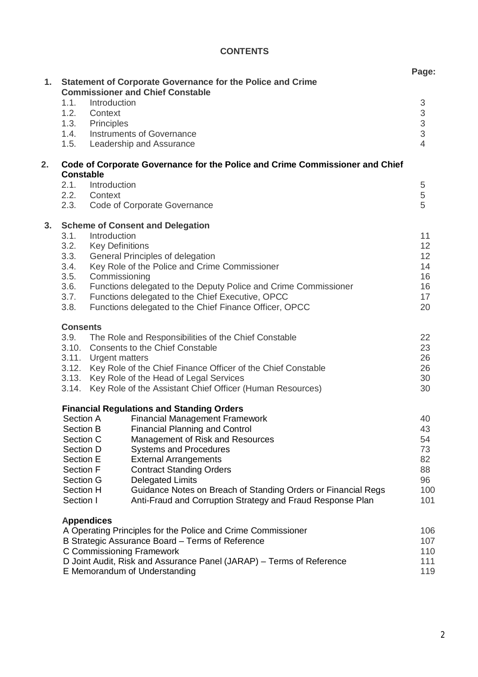# **CONTENTS**

|    |                                                                                                  |                                                                                                                                                                                     |                                                                   | Page:                                                  |
|----|--------------------------------------------------------------------------------------------------|-------------------------------------------------------------------------------------------------------------------------------------------------------------------------------------|-------------------------------------------------------------------|--------------------------------------------------------|
| 1. | <b>Statement of Corporate Governance for the Police and Crime</b>                                |                                                                                                                                                                                     |                                                                   |                                                        |
|    | <b>Commissioner and Chief Constable</b><br>Introduction                                          |                                                                                                                                                                                     |                                                                   |                                                        |
|    | 1.1.<br>1.2.                                                                                     | Context                                                                                                                                                                             |                                                                   | $\ensuremath{\mathsf{3}}$<br>$\ensuremath{\mathsf{3}}$ |
|    | 1.3.                                                                                             | Principles                                                                                                                                                                          |                                                                   |                                                        |
|    | 1.4.                                                                                             |                                                                                                                                                                                     | Instruments of Governance                                         | $\frac{3}{3}$                                          |
|    | 1.5.                                                                                             |                                                                                                                                                                                     | Leadership and Assurance                                          | $\overline{4}$                                         |
| 2. | Code of Corporate Governance for the Police and Crime Commissioner and Chief<br><b>Constable</b> |                                                                                                                                                                                     |                                                                   |                                                        |
|    | 2.1.                                                                                             | Introduction                                                                                                                                                                        |                                                                   | $\sqrt{5}$                                             |
|    | 2.2.                                                                                             | Context                                                                                                                                                                             |                                                                   | 5                                                      |
|    | 2.3.                                                                                             |                                                                                                                                                                                     | Code of Corporate Governance                                      | 5                                                      |
| 3. | <b>Scheme of Consent and Delegation</b><br>3.1.                                                  |                                                                                                                                                                                     |                                                                   |                                                        |
|    | 3.2.                                                                                             | Introduction<br><b>Key Definitions</b>                                                                                                                                              |                                                                   | 11<br>12                                               |
|    | 3.3.                                                                                             | General Principles of delegation                                                                                                                                                    |                                                                   | 12                                                     |
|    | 3.4.                                                                                             | Key Role of the Police and Crime Commissioner                                                                                                                                       |                                                                   | 14                                                     |
|    | 3.5.                                                                                             | Commissioning                                                                                                                                                                       |                                                                   | 16<br>16                                               |
|    | 3.6.                                                                                             | Functions delegated to the Deputy Police and Crime Commissioner                                                                                                                     |                                                                   |                                                        |
|    | 3.7.                                                                                             | Functions delegated to the Chief Executive, OPCC                                                                                                                                    |                                                                   | 17<br>20                                               |
|    | 3.8.<br>Functions delegated to the Chief Finance Officer, OPCC                                   |                                                                                                                                                                                     |                                                                   |                                                        |
|    | <b>Consents</b>                                                                                  |                                                                                                                                                                                     |                                                                   |                                                        |
|    | 3.9.                                                                                             | The Role and Responsibilities of the Chief Constable                                                                                                                                |                                                                   | 22                                                     |
|    |                                                                                                  | 3.10. Consents to the Chief Constable<br>3.11. Urgent matters<br>3.12. Key Role of the Chief Finance Officer of the Chief Constable<br>3.13. Key Role of the Head of Legal Services |                                                                   | 23<br>26<br>26<br>30                                   |
|    |                                                                                                  |                                                                                                                                                                                     |                                                                   |                                                        |
|    |                                                                                                  |                                                                                                                                                                                     |                                                                   |                                                        |
|    |                                                                                                  | 3.14. Key Role of the Assistant Chief Officer (Human Resources)                                                                                                                     |                                                                   | 30                                                     |
|    |                                                                                                  |                                                                                                                                                                                     | <b>Financial Regulations and Standing Orders</b>                  |                                                        |
|    | Section A                                                                                        |                                                                                                                                                                                     | <b>Financial Management Framework</b>                             | 40                                                     |
|    | Section B<br>Section C                                                                           |                                                                                                                                                                                     | <b>Financial Planning and Control</b>                             | 43                                                     |
|    | Section D                                                                                        |                                                                                                                                                                                     | Management of Risk and Resources<br><b>Systems and Procedures</b> | 54<br>73                                               |
|    | Section E                                                                                        |                                                                                                                                                                                     | <b>External Arrangements</b>                                      | 82                                                     |
|    | <b>Section F</b>                                                                                 |                                                                                                                                                                                     | <b>Contract Standing Orders</b>                                   | 88                                                     |
|    | Section G                                                                                        |                                                                                                                                                                                     | <b>Delegated Limits</b>                                           | 96                                                     |
|    | <b>Section H</b>                                                                                 |                                                                                                                                                                                     | Guidance Notes on Breach of Standing Orders or Financial Regs     | 100                                                    |
|    | Section I                                                                                        |                                                                                                                                                                                     | Anti-Fraud and Corruption Strategy and Fraud Response Plan        | 101                                                    |
|    |                                                                                                  | <b>Appendices</b>                                                                                                                                                                   |                                                                   |                                                        |
|    | A Operating Principles for the Police and Crime Commissioner                                     |                                                                                                                                                                                     | 106<br>107                                                        |                                                        |
|    | B Strategic Assurance Board – Terms of Reference<br>C Commissioning Framework                    |                                                                                                                                                                                     | 110                                                               |                                                        |
|    | D Joint Audit, Risk and Assurance Panel (JARAP) – Terms of Reference                             |                                                                                                                                                                                     |                                                                   | 111                                                    |
|    | E Memorandum of Understanding                                                                    |                                                                                                                                                                                     |                                                                   | 119                                                    |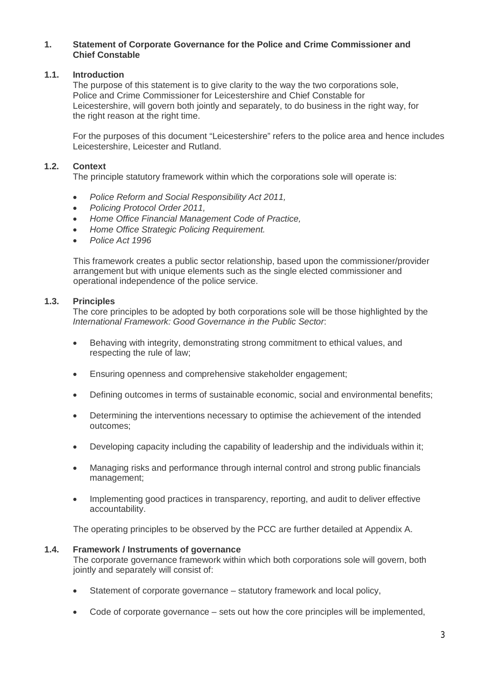## **1. Statement of Corporate Governance for the Police and Crime Commissioner and Chief Constable**

# **1.1. Introduction**

The purpose of this statement is to give clarity to the way the two corporations sole. Police and Crime Commissioner for Leicestershire and Chief Constable for Leicestershire, will govern both jointly and separately, to do business in the right way, for the right reason at the right time.

For the purposes of this document "Leicestershire" refers to the police area and hence includes Leicestershire, Leicester and Rutland.

# **1.2. Context**

The principle statutory framework within which the corporations sole will operate is:

- *Police Reform and Social Responsibility Act 2011,*
- *Policing Protocol Order 2011,*
- *Home Office Financial Management Code of Practice,*
- *Home Office Strategic Policing Requirement.*
- *Police Act 1996*

This framework creates a public sector relationship, based upon the commissioner/provider arrangement but with unique elements such as the single elected commissioner and operational independence of the police service.

# **1.3. Principles**

The core principles to be adopted by both corporations sole will be those highlighted by the *International Framework: Good Governance in the Public Sector*:

- Behaving with integrity, demonstrating strong commitment to ethical values, and respecting the rule of law;
- Ensuring openness and comprehensive stakeholder engagement;
- Defining outcomes in terms of sustainable economic, social and environmental benefits;
- Determining the interventions necessary to optimise the achievement of the intended outcomes;
- Developing capacity including the capability of leadership and the individuals within it;
- Managing risks and performance through internal control and strong public financials management;
- Implementing good practices in transparency, reporting, and audit to deliver effective accountability.

The operating principles to be observed by the PCC are further detailed at Appendix A.

# **1.4. Framework / Instruments of governance**

The corporate governance framework within which both corporations sole will govern, both jointly and separately will consist of:

- Statement of corporate governance statutory framework and local policy,
- Code of corporate governance sets out how the core principles will be implemented,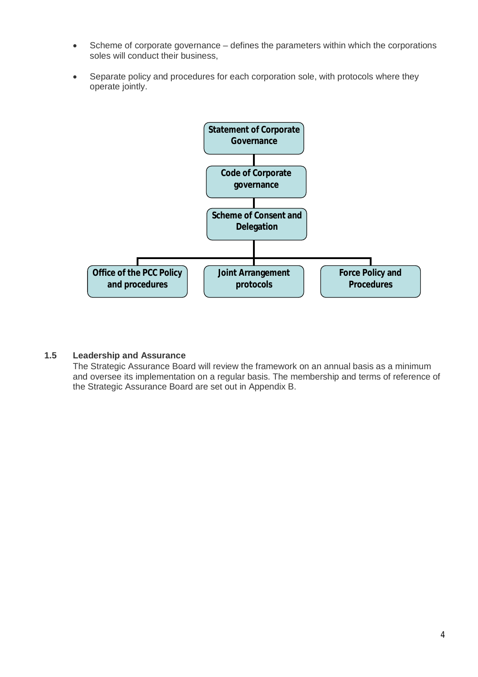- Scheme of corporate governance defines the parameters within which the corporations soles will conduct their business,
- Separate policy and procedures for each corporation sole, with protocols where they operate jointly.



# **1.5 Leadership and Assurance**

The Strategic Assurance Board will review the framework on an annual basis as a minimum and oversee its implementation on a regular basis. The membership and terms of reference of the Strategic Assurance Board are set out in Appendix B.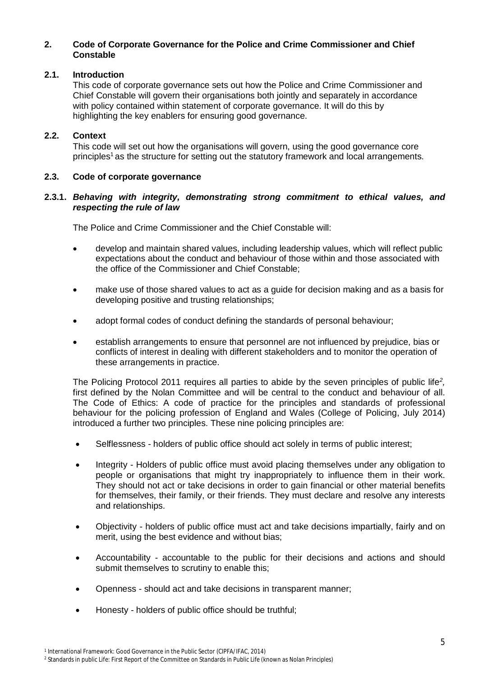# **2. Code of Corporate Governance for the Police and Crime Commissioner and Chief Constable**

# **2.1. Introduction**

This code of corporate governance sets out how the Police and Crime Commissioner and Chief Constable will govern their organisations both jointly and separately in accordance with policy contained within statement of corporate governance. It will do this by highlighting the key enablers for ensuring good governance.

# **2.2. Context**

This code will set out how the organisations will govern, using the good governance core principles<sup>1</sup> as the structure for setting out the statutory framework and local arrangements.

# **2.3. Code of corporate governance**

# **2.3.1.** *Behaving with integrity, demonstrating strong commitment to ethical values, and respecting the rule of law*

The Police and Crime Commissioner and the Chief Constable will:

- develop and maintain shared values, including leadership values, which will reflect public expectations about the conduct and behaviour of those within and those associated with the office of the Commissioner and Chief Constable;
- make use of those shared values to act as a guide for decision making and as a basis for developing positive and trusting relationships;
- adopt formal codes of conduct defining the standards of personal behaviour;
- establish arrangements to ensure that personnel are not influenced by prejudice, bias or conflicts of interest in dealing with different stakeholders and to monitor the operation of these arrangements in practice.

The Policing Protocol 2011 requires all parties to abide by the seven principles of public life*<sup>2</sup> ,*  first defined by the Nolan Committee and will be central to the conduct and behaviour of all. The Code of Ethics: A code of practice for the principles and standards of professional behaviour for the policing profession of England and Wales (College of Policing, July 2014) introduced a further two principles. These nine policing principles are:

- Selflessness holders of public office should act solely in terms of public interest;
- Integrity Holders of public office must avoid placing themselves under any obligation to people or organisations that might try inappropriately to influence them in their work. They should not act or take decisions in order to gain financial or other material benefits for themselves, their family, or their friends. They must declare and resolve any interests and relationships.
- Objectivity holders of public office must act and take decisions impartially, fairly and on merit, using the best evidence and without bias;
- Accountability accountable to the public for their decisions and actions and should submit themselves to scrutiny to enable this;
- Openness should act and take decisions in transparent manner;
- Honesty holders of public office should be truthful;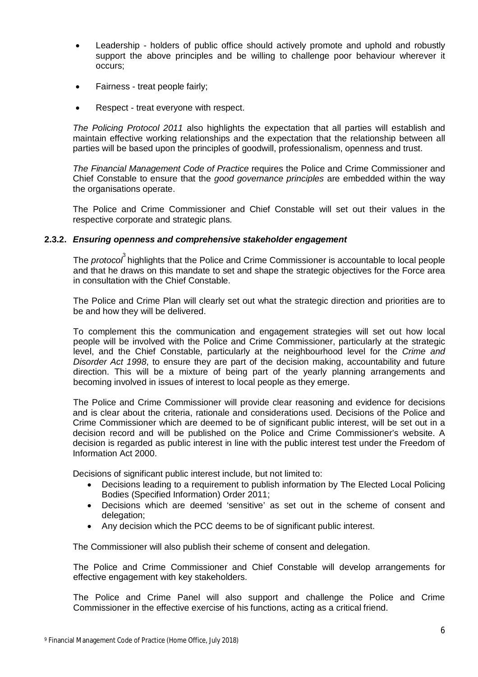- Leadership holders of public office should actively promote and uphold and robustly support the above principles and be willing to challenge poor behaviour wherever it occurs;
- Fairness treat people fairly;
- Respect treat everyone with respect.

*The Policing Protocol 2011* also highlights the expectation that all parties will establish and maintain effective working relationships and the expectation that the relationship between all parties will be based upon the principles of goodwill, professionalism, openness and trust.

*The Financial Management Code of Practice* requires the Police and Crime Commissioner and Chief Constable to ensure that the *good governance principles* are embedded within the way the organisations operate.

The Police and Crime Commissioner and Chief Constable will set out their values in the respective corporate and strategic plans.

# **2.3.2.** *Ensuring openness and comprehensive stakeholder engagement*

The *protocol* highlights that the Police and Crime Commissioner is accountable to local people and that he draws on this mandate to set and shape the strategic objectives for the Force area in consultation with the Chief Constable.

The Police and Crime Plan will clearly set out what the strategic direction and priorities are to be and how they will be delivered.

To complement this the communication and engagement strategies will set out how local people will be involved with the Police and Crime Commissioner, particularly at the strategic level, and the Chief Constable, particularly at the neighbourhood level for the *Crime and Disorder Act 1998*, to ensure they are part of the decision making, accountability and future direction. This will be a mixture of being part of the yearly planning arrangements and becoming involved in issues of interest to local people as they emerge.

The Police and Crime Commissioner will provide clear reasoning and evidence for decisions and is clear about the criteria, rationale and considerations used. Decisions of the Police and Crime Commissioner which are deemed to be of significant public interest, will be set out in a decision record and will be published on the Police and Crime Commissioner's website. A decision is regarded as public interest in line with the public interest test under the Freedom of Information Act 2000.

Decisions of significant public interest include, but not limited to:

- Decisions leading to a requirement to publish information by The Elected Local Policing Bodies (Specified Information) Order 2011;
- Decisions which are deemed 'sensitive' as set out in the scheme of consent and delegation:
- Any decision which the PCC deems to be of significant public interest.

The Commissioner will also publish their scheme of consent and delegation.

The Police and Crime Commissioner and Chief Constable will develop arrangements for effective engagement with key stakeholders.

The Police and Crime Panel will also support and challenge the Police and Crime Commissioner in the effective exercise of his functions, acting as a critical friend.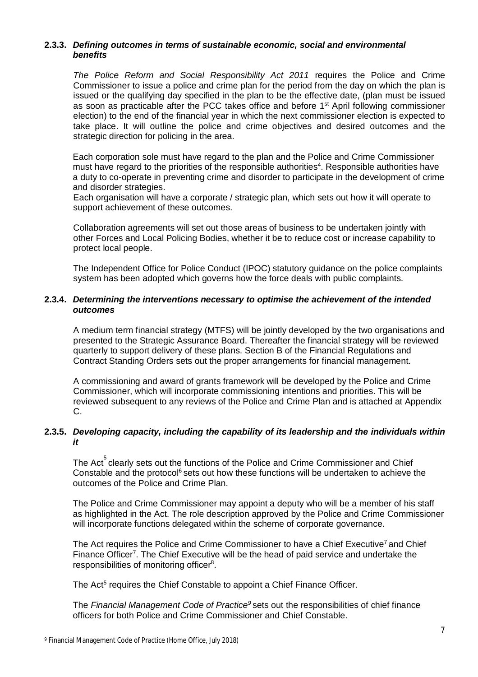# **2.3.3.** *Defining outcomes in terms of sustainable economic, social and environmental benefits*

*The Police Reform and Social Responsibility Act 2011* requires the Police and Crime Commissioner to issue a police and crime plan for the period from the day on which the plan is issued or the qualifying day specified in the plan to be the effective date, (plan must be issued as soon as practicable after the PCC takes office and before  $1<sup>st</sup>$  April following commissioner election) to the end of the financial year in which the next commissioner election is expected to take place. It will outline the police and crime objectives and desired outcomes and the strategic direction for policing in the area.

Each corporation sole must have regard to the plan and the Police and Crime Commissioner must have regard to the priorities of the responsible authorities<sup>4</sup>. Responsible authorities have a duty to co-operate in preventing crime and disorder to participate in the development of crime and disorder strategies.

Each organisation will have a corporate / strategic plan, which sets out how it will operate to support achievement of these outcomes.

Collaboration agreements will set out those areas of business to be undertaken jointly with other Forces and Local Policing Bodies, whether it be to reduce cost or increase capability to protect local people.

The Independent Office for Police Conduct (IPOC) statutory guidance on the police complaints system has been adopted which governs how the force deals with public complaints.

#### **2.3.4.** *Determining the interventions necessary to optimise the achievement of the intended outcomes*

A medium term financial strategy (MTFS) will be jointly developed by the two organisations and presented to the Strategic Assurance Board. Thereafter the financial strategy will be reviewed quarterly to support delivery of these plans. Section B of the Financial Regulations and Contract Standing Orders sets out the proper arrangements for financial management.

A commissioning and award of grants framework will be developed by the Police and Crime Commissioner, which will incorporate commissioning intentions and priorities. This will be reviewed subsequent to any reviews of the Police and Crime Plan and is attached at Appendix C.

# **2.3.5.** *Developing capacity, including the capability of its leadership and the individuals within it*

The Act $^{5}$ clearly sets out the functions of the Police and Crime Commissioner and Chief Constable and the protocol $6$  sets out how these functions will be undertaken to achieve the outcomes of the Police and Crime Plan.

The Police and Crime Commissioner may appoint a deputy who will be a member of his staff as highlighted in the Act. The role description approved by the Police and Crime Commissioner will incorporate functions delegated within the scheme of corporate governance.

The Act requires the Police and Crime Commissioner to have a Chief Executive<sup>7</sup> and Chief Finance Officer<sup>7</sup>. The Chief Executive will be the head of paid service and undertake the responsibilities of monitoring officer<sup>8</sup>.

The Act<sup>5</sup> requires the Chief Constable to appoint a Chief Finance Officer.

The *Financial Management Code of Practice<sup>9</sup>* sets out the responsibilities of chief finance officers for both Police and Crime Commissioner and Chief Constable.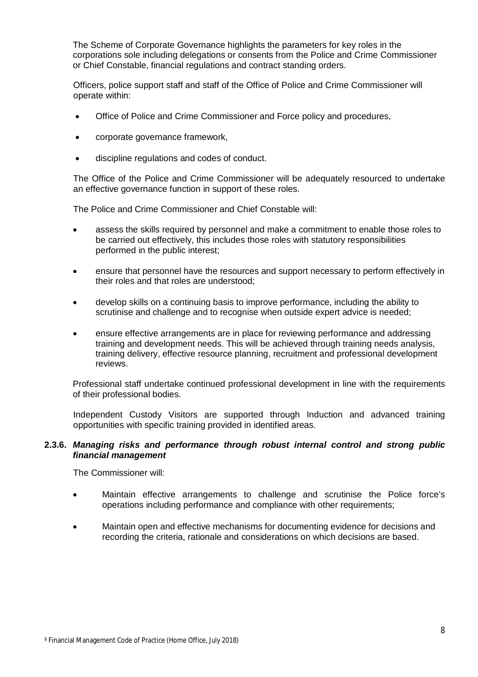The Scheme of Corporate Governance highlights the parameters for key roles in the corporations sole including delegations or consents from the Police and Crime Commissioner or Chief Constable, financial regulations and contract standing orders.

Officers, police support staff and staff of the Office of Police and Crime Commissioner will operate within:

- Office of Police and Crime Commissioner and Force policy and procedures,
- corporate governance framework,
- discipline regulations and codes of conduct.

The Office of the Police and Crime Commissioner will be adequately resourced to undertake an effective governance function in support of these roles.

The Police and Crime Commissioner and Chief Constable will:

- assess the skills required by personnel and make a commitment to enable those roles to be carried out effectively, this includes those roles with statutory responsibilities performed in the public interest;
- ensure that personnel have the resources and support necessary to perform effectively in their roles and that roles are understood;
- develop skills on a continuing basis to improve performance, including the ability to scrutinise and challenge and to recognise when outside expert advice is needed;
- ensure effective arrangements are in place for reviewing performance and addressing training and development needs. This will be achieved through training needs analysis, training delivery, effective resource planning, recruitment and professional development reviews.

Professional staff undertake continued professional development in line with the requirements of their professional bodies.

Independent Custody Visitors are supported through Induction and advanced training opportunities with specific training provided in identified areas.

#### **2.3.6.** *Managing risks and performance through robust internal control and strong public financial management*

The Commissioner will:

- Maintain effective arrangements to challenge and scrutinise the Police force's operations including performance and compliance with other requirements;
- Maintain open and effective mechanisms for documenting evidence for decisions and recording the criteria, rationale and considerations on which decisions are based.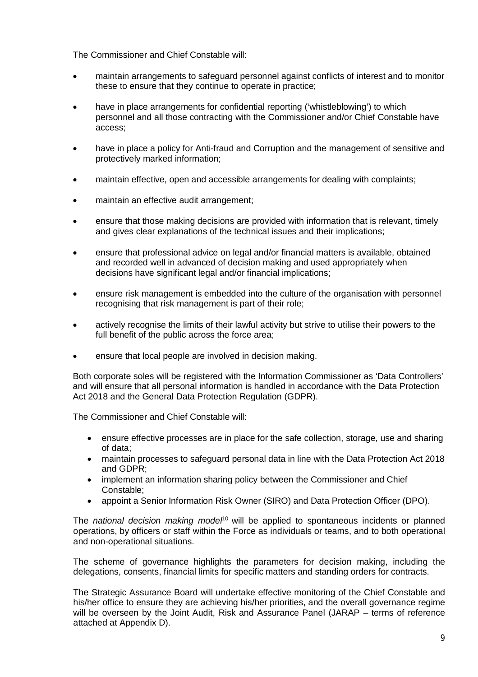The Commissioner and Chief Constable will:

- maintain arrangements to safeguard personnel against conflicts of interest and to monitor these to ensure that they continue to operate in practice;
- have in place arrangements for confidential reporting ('whistleblowing') to which personnel and all those contracting with the Commissioner and/or Chief Constable have access;
- have in place a policy for Anti-fraud and Corruption and the management of sensitive and protectively marked information;
- maintain effective, open and accessible arrangements for dealing with complaints;
- maintain an effective audit arrangement;
- ensure that those making decisions are provided with information that is relevant, timely and gives clear explanations of the technical issues and their implications;
- ensure that professional advice on legal and/or financial matters is available, obtained and recorded well in advanced of decision making and used appropriately when decisions have significant legal and/or financial implications;
- ensure risk management is embedded into the culture of the organisation with personnel recognising that risk management is part of their role;
- actively recognise the limits of their lawful activity but strive to utilise their powers to the full benefit of the public across the force area;
- ensure that local people are involved in decision making.

Both corporate soles will be registered with the Information Commissioner as 'Data Controllers' and will ensure that all personal information is handled in accordance with the Data Protection Act 2018 and the General Data Protection Regulation (GDPR).

The Commissioner and Chief Constable will:

- ensure effective processes are in place for the safe collection, storage, use and sharing of data;
- maintain processes to safeguard personal data in line with the Data Protection Act 2018 and GDPR;
- implement an information sharing policy between the Commissioner and Chief Constable;
- appoint a Senior Information Risk Owner (SIRO) and Data Protection Officer (DPO).

The *national decision making model*<sup>10</sup> will be applied to spontaneous incidents or planned operations, by officers or staff within the Force as individuals or teams, and to both operational and non-operational situations.

The scheme of governance highlights the parameters for decision making, including the delegations, consents, financial limits for specific matters and standing orders for contracts.

The Strategic Assurance Board will undertake effective monitoring of the Chief Constable and his/her office to ensure they are achieving his/her priorities, and the overall governance regime will be overseen by the Joint Audit, Risk and Assurance Panel (JARAP – terms of reference attached at Appendix D).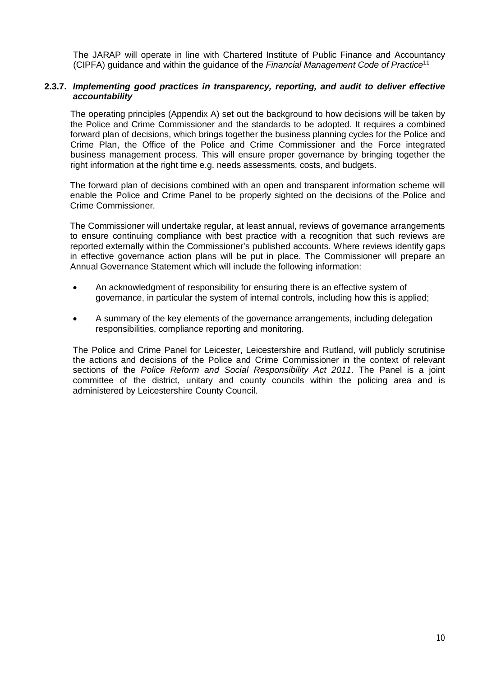The JARAP will operate in line with Chartered Institute of Public Finance and Accountancy (CIPFA) guidance and within the guidance of the *Financial Management Code of Practice*<sup>11</sup>

## **2.3.7.** *Implementing good practices in transparency, reporting, and audit to deliver effective accountability*

The operating principles (Appendix A) set out the background to how decisions will be taken by the Police and Crime Commissioner and the standards to be adopted. It requires a combined forward plan of decisions, which brings together the business planning cycles for the Police and Crime Plan, the Office of the Police and Crime Commissioner and the Force integrated business management process. This will ensure proper governance by bringing together the right information at the right time e.g. needs assessments, costs, and budgets.

The forward plan of decisions combined with an open and transparent information scheme will enable the Police and Crime Panel to be properly sighted on the decisions of the Police and Crime Commissioner.

The Commissioner will undertake regular, at least annual, reviews of governance arrangements to ensure continuing compliance with best practice with a recognition that such reviews are reported externally within the Commissioner's published accounts. Where reviews identify gaps in effective governance action plans will be put in place. The Commissioner will prepare an Annual Governance Statement which will include the following information:

- An acknowledgment of responsibility for ensuring there is an effective system of governance, in particular the system of internal controls, including how this is applied;
- A summary of the key elements of the governance arrangements, including delegation responsibilities, compliance reporting and monitoring.

The Police and Crime Panel for Leicester, Leicestershire and Rutland, will publicly scrutinise the actions and decisions of the Police and Crime Commissioner in the context of relevant sections of the *Police Reform and Social Responsibility Act 2011*. The Panel is a joint committee of the district, unitary and county councils within the policing area and is administered by Leicestershire County Council.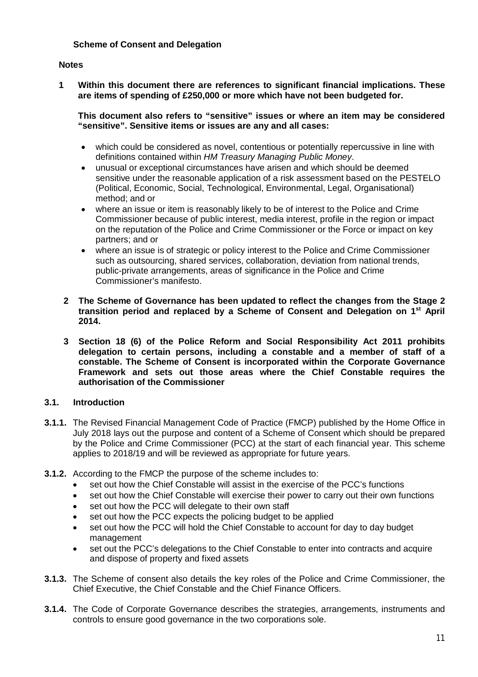# **Scheme of Consent and Delegation**

#### **Notes**

**1 Within this document there are references to significant financial implications. These are items of spending of £250,000 or more which have not been budgeted for.** 

**This document also refers to "sensitive" issues or where an item may be considered "sensitive". Sensitive items or issues are any and all cases:** 

- which could be considered as novel, contentious or potentially repercussive in line with definitions contained within *HM Treasury Managing Public Money*.
- unusual or exceptional circumstances have arisen and which should be deemed sensitive under the reasonable application of a risk assessment based on the PESTELO (Political, Economic, Social, Technological, Environmental, Legal, Organisational) method; and or
- where an issue or item is reasonably likely to be of interest to the Police and Crime Commissioner because of public interest, media interest, profile in the region or impact on the reputation of the Police and Crime Commissioner or the Force or impact on key partners; and or
- where an issue is of strategic or policy interest to the Police and Crime Commissioner such as outsourcing, shared services, collaboration, deviation from national trends, public-private arrangements, areas of significance in the Police and Crime Commissioner's manifesto.
- **2 The Scheme of Governance has been updated to reflect the changes from the Stage 2 transition period and replaced by a Scheme of Consent and Delegation on 1st April 2014.**
- **3 Section 18 (6) of the Police Reform and Social Responsibility Act 2011 prohibits delegation to certain persons, including a constable and a member of staff of a constable. The Scheme of Consent is incorporated within the Corporate Governance Framework and sets out those areas where the Chief Constable requires the authorisation of the Commissioner**

# **3.1. Introduction**

- **3.1.1.** The Revised Financial Management Code of Practice (FMCP) published by the Home Office in July 2018 lays out the purpose and content of a Scheme of Consent which should be prepared by the Police and Crime Commissioner (PCC) at the start of each financial year. This scheme applies to 2018/19 and will be reviewed as appropriate for future years.
- **3.1.2.** According to the FMCP the purpose of the scheme includes to:
	- set out how the Chief Constable will assist in the exercise of the PCC's functions
	- set out how the Chief Constable will exercise their power to carry out their own functions
	- set out how the PCC will delegate to their own staff
	- set out how the PCC expects the policing budget to be applied
	- set out how the PCC will hold the Chief Constable to account for day to day budget management
	- set out the PCC's delegations to the Chief Constable to enter into contracts and acquire and dispose of property and fixed assets
- **3.1.3.** The Scheme of consent also details the key roles of the Police and Crime Commissioner, the Chief Executive, the Chief Constable and the Chief Finance Officers.
- **3.1.4.** The Code of Corporate Governance describes the strategies, arrangements, instruments and controls to ensure good governance in the two corporations sole.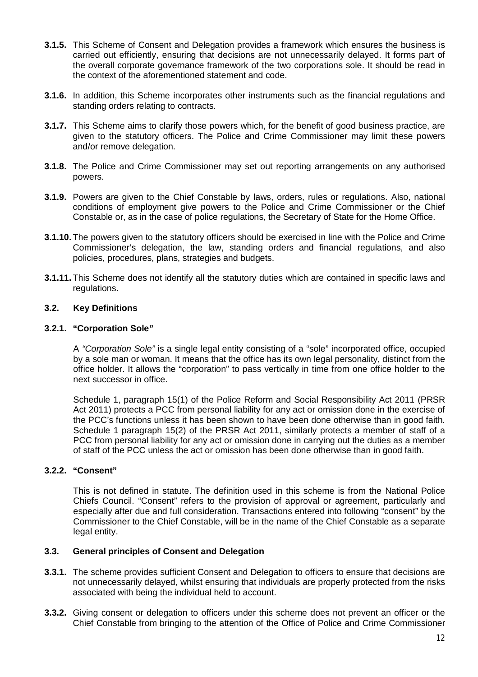- **3.1.5.** This Scheme of Consent and Delegation provides a framework which ensures the business is carried out efficiently, ensuring that decisions are not unnecessarily delayed. It forms part of the overall corporate governance framework of the two corporations sole. It should be read in the context of the aforementioned statement and code.
- **3.1.6.** In addition, this Scheme incorporates other instruments such as the financial regulations and standing orders relating to contracts.
- **3.1.7.** This Scheme aims to clarify those powers which, for the benefit of good business practice, are given to the statutory officers. The Police and Crime Commissioner may limit these powers and/or remove delegation.
- **3.1.8.** The Police and Crime Commissioner may set out reporting arrangements on any authorised powers.
- **3.1.9.** Powers are given to the Chief Constable by laws, orders, rules or regulations. Also, national conditions of employment give powers to the Police and Crime Commissioner or the Chief Constable or, as in the case of police regulations, the Secretary of State for the Home Office.
- **3.1.10.** The powers given to the statutory officers should be exercised in line with the Police and Crime Commissioner's delegation, the law, standing orders and financial regulations, and also policies, procedures, plans, strategies and budgets.
- **3.1.11.** This Scheme does not identify all the statutory duties which are contained in specific laws and regulations.

# **3.2. Key Definitions**

#### **3.2.1. "Corporation Sole"**

A *"Corporation Sole"* is a single legal entity consisting of a "sole" incorporated office, occupied by a sole man or woman. It means that the office has its own legal personality, distinct from the office holder. It allows the "corporation" to pass vertically in time from one office holder to the next successor in office.

Schedule 1, paragraph 15(1) of the Police Reform and Social Responsibility Act 2011 (PRSR Act 2011) protects a PCC from personal liability for any act or omission done in the exercise of the PCC's functions unless it has been shown to have been done otherwise than in good faith. Schedule 1 paragraph 15(2) of the PRSR Act 2011, similarly protects a member of staff of a PCC from personal liability for any act or omission done in carrying out the duties as a member of staff of the PCC unless the act or omission has been done otherwise than in good faith.

# **3.2.2. "Consent"**

This is not defined in statute. The definition used in this scheme is from the National Police Chiefs Council. "Consent" refers to the provision of approval or agreement, particularly and especially after due and full consideration. Transactions entered into following "consent" by the Commissioner to the Chief Constable, will be in the name of the Chief Constable as a separate legal entity.

# **3.3. General principles of Consent and Delegation**

- **3.3.1.** The scheme provides sufficient Consent and Delegation to officers to ensure that decisions are not unnecessarily delayed, whilst ensuring that individuals are properly protected from the risks associated with being the individual held to account.
- **3.3.2.** Giving consent or delegation to officers under this scheme does not prevent an officer or the Chief Constable from bringing to the attention of the Office of Police and Crime Commissioner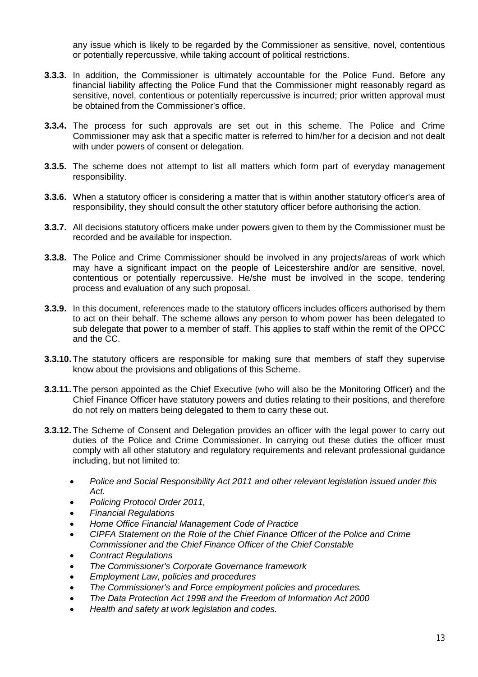any issue which is likely to be regarded by the Commissioner as sensitive, novel, contentious or potentially repercussive, while taking account of political restrictions.

- **3.3.3.** In addition, the Commissioner is ultimately accountable for the Police Fund. Before any financial liability affecting the Police Fund that the Commissioner might reasonably regard as sensitive, novel, contentious or potentially repercussive is incurred; prior written approval must be obtained from the Commissioner's office.
- **3.3.4.** The process for such approvals are set out in this scheme. The Police and Crime Commissioner may ask that a specific matter is referred to him/her for a decision and not dealt with under powers of consent or delegation.
- **3.3.5.** The scheme does not attempt to list all matters which form part of everyday management responsibility.
- **3.3.6.** When a statutory officer is considering a matter that is within another statutory officer's area of responsibility, they should consult the other statutory officer before authorising the action.
- **3.3.7.** All decisions statutory officers make under powers given to them by the Commissioner must be recorded and be available for inspection.
- **3.3.8.** The Police and Crime Commissioner should be involved in any projects/areas of work which may have a significant impact on the people of Leicestershire and/or are sensitive, novel, contentious or potentially repercussive. He/she must be involved in the scope, tendering process and evaluation of any such proposal.
- **3.3.9.** In this document, references made to the statutory officers includes officers authorised by them to act on their behalf. The scheme allows any person to whom power has been delegated to sub delegate that power to a member of staff. This applies to staff within the remit of the OPCC and the CC.
- **3.3.10.** The statutory officers are responsible for making sure that members of staff they supervise know about the provisions and obligations of this Scheme.
- **3.3.11.** The person appointed as the Chief Executive (who will also be the Monitoring Officer) and the Chief Finance Officer have statutory powers and duties relating to their positions, and therefore do not rely on matters being delegated to them to carry these out.
- **3.3.12.** The Scheme of Consent and Delegation provides an officer with the legal power to carry out duties of the Police and Crime Commissioner. In carrying out these duties the officer must comply with all other statutory and regulatory requirements and relevant professional guidance including, but not limited to:
	- *Police and Social Responsibility Act 2011 and other relevant legislation issued under this Act.*
	- *Policing Protocol Order 2011,*
	- *Financial Regulations*
	- *Home Office Financial Management Code of Practice*
	- *CIPFA Statement on the Role of the Chief Finance Officer of the Police and Crime Commissioner and the Chief Finance Officer of the Chief Constable*
	- *Contract Regulations*
	- *The Commissioner's Corporate Governance framework*
	- *Employment Law, policies and procedures*
	- *The Commissioner's and Force employment policies and procedures.*
	- *The Data Protection Act 1998 and the Freedom of Information Act 2000*
	- *Health and safety at work legislation and codes.*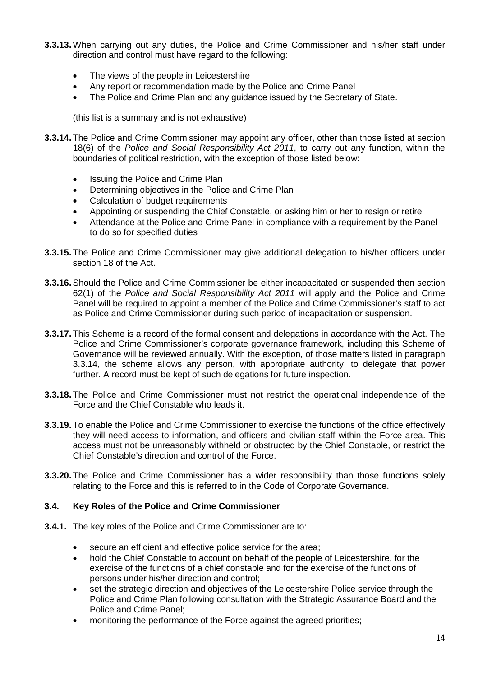- **3.3.13.** When carrying out any duties, the Police and Crime Commissioner and his/her staff under direction and control must have regard to the following:
	- The views of the people in Leicestershire
	- Any report or recommendation made by the Police and Crime Panel
	- The Police and Crime Plan and any guidance issued by the Secretary of State.

(this list is a summary and is not exhaustive)

- **3.3.14.** The Police and Crime Commissioner may appoint any officer, other than those listed at section 18(6) of the *Police and Social Responsibility Act 2011*, to carry out any function, within the boundaries of political restriction, with the exception of those listed below:
	- Issuing the Police and Crime Plan
	- Determining objectives in the Police and Crime Plan
	- Calculation of budget requirements
	- Appointing or suspending the Chief Constable, or asking him or her to resign or retire
	- Attendance at the Police and Crime Panel in compliance with a requirement by the Panel to do so for specified duties
- **3.3.15.** The Police and Crime Commissioner may give additional delegation to his/her officers under section 18 of the Act.
- **3.3.16.**Should the Police and Crime Commissioner be either incapacitated or suspended then section 62(1) of the *Police and Social Responsibility Act 2011* will apply and the Police and Crime Panel will be required to appoint a member of the Police and Crime Commissioner's staff to act as Police and Crime Commissioner during such period of incapacitation or suspension.
- **3.3.17.** This Scheme is a record of the formal consent and delegations in accordance with the Act. The Police and Crime Commissioner's corporate governance framework, including this Scheme of Governance will be reviewed annually. With the exception, of those matters listed in paragraph 3.3.14, the scheme allows any person, with appropriate authority, to delegate that power further. A record must be kept of such delegations for future inspection.
- **3.3.18.** The Police and Crime Commissioner must not restrict the operational independence of the Force and the Chief Constable who leads it.
- **3.3.19.** To enable the Police and Crime Commissioner to exercise the functions of the office effectively they will need access to information, and officers and civilian staff within the Force area. This access must not be unreasonably withheld or obstructed by the Chief Constable, or restrict the Chief Constable's direction and control of the Force.
- **3.3.20.** The Police and Crime Commissioner has a wider responsibility than those functions solely relating to the Force and this is referred to in the Code of Corporate Governance.

# **3.4. Key Roles of the Police and Crime Commissioner**

- **3.4.1.** The key roles of the Police and Crime Commissioner are to:
	- secure an efficient and effective police service for the area;
	- hold the Chief Constable to account on behalf of the people of Leicestershire, for the exercise of the functions of a chief constable and for the exercise of the functions of persons under his/her direction and control;
	- set the strategic direction and objectives of the Leicestershire Police service through the Police and Crime Plan following consultation with the Strategic Assurance Board and the Police and Crime Panel;
	- monitoring the performance of the Force against the agreed priorities;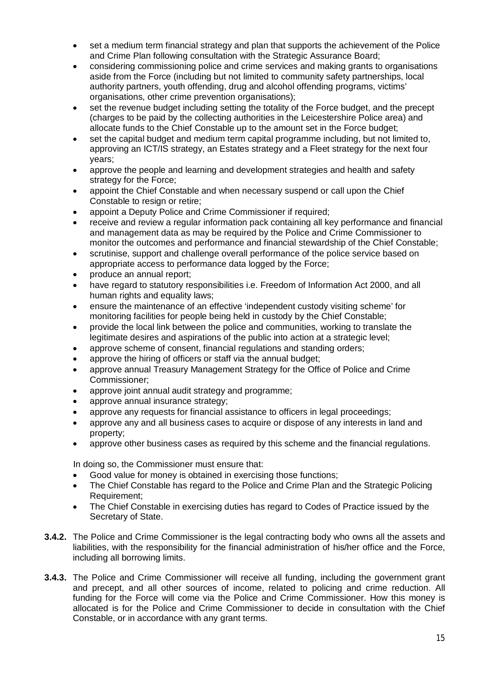- set a medium term financial strategy and plan that supports the achievement of the Police and Crime Plan following consultation with the Strategic Assurance Board;
- considering commissioning police and crime services and making grants to organisations aside from the Force (including but not limited to community safety partnerships, local authority partners, youth offending, drug and alcohol offending programs, victims' organisations, other crime prevention organisations);
- set the revenue budget including setting the totality of the Force budget, and the precept (charges to be paid by the collecting authorities in the Leicestershire Police area) and allocate funds to the Chief Constable up to the amount set in the Force budget;
- set the capital budget and medium term capital programme including, but not limited to, approving an ICT/IS strategy, an Estates strategy and a Fleet strategy for the next four years;
- approve the people and learning and development strategies and health and safety strategy for the Force;
- appoint the Chief Constable and when necessary suspend or call upon the Chief Constable to resign or retire:
- appoint a Deputy Police and Crime Commissioner if required;
- receive and review a regular information pack containing all key performance and financial and management data as may be required by the Police and Crime Commissioner to monitor the outcomes and performance and financial stewardship of the Chief Constable;
- scrutinise, support and challenge overall performance of the police service based on appropriate access to performance data logged by the Force;
- produce an annual report;
- have regard to statutory responsibilities i.e. Freedom of Information Act 2000, and all human rights and equality laws;
- ensure the maintenance of an effective 'independent custody visiting scheme' for monitoring facilities for people being held in custody by the Chief Constable;
- provide the local link between the police and communities, working to translate the legitimate desires and aspirations of the public into action at a strategic level;
- approve scheme of consent, financial regulations and standing orders;
- approve the hiring of officers or staff via the annual budget:
- approve annual Treasury Management Strategy for the Office of Police and Crime Commissioner;
- approve joint annual audit strategy and programme;
- approve annual insurance strategy;
- approve any requests for financial assistance to officers in legal proceedings;
- approve any and all business cases to acquire or dispose of any interests in land and property;
- approve other business cases as required by this scheme and the financial regulations.

In doing so, the Commissioner must ensure that:

- Good value for money is obtained in exercising those functions;
- The Chief Constable has regard to the Police and Crime Plan and the Strategic Policing Requirement;
- The Chief Constable in exercising duties has regard to Codes of Practice issued by the Secretary of State.
- **3.4.2.** The Police and Crime Commissioner is the legal contracting body who owns all the assets and liabilities, with the responsibility for the financial administration of his/her office and the Force, including all borrowing limits.
- **3.4.3.** The Police and Crime Commissioner will receive all funding, including the government grant and precept, and all other sources of income, related to policing and crime reduction. All funding for the Force will come via the Police and Crime Commissioner. How this money is allocated is for the Police and Crime Commissioner to decide in consultation with the Chief Constable, or in accordance with any grant terms.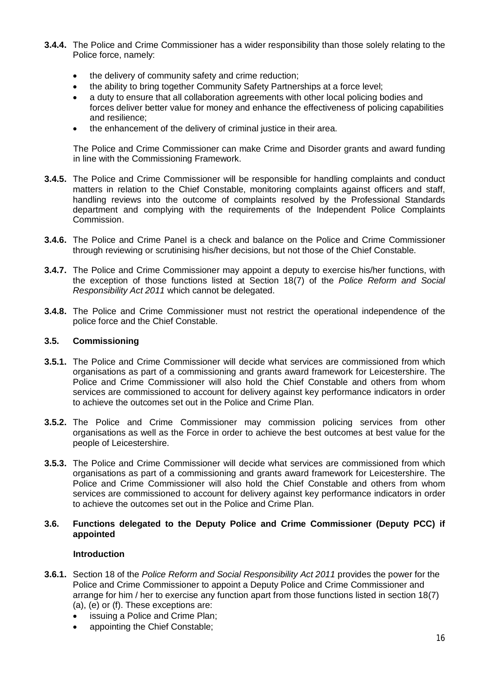- **3.4.4.** The Police and Crime Commissioner has a wider responsibility than those solely relating to the Police force, namely:
	- the delivery of community safety and crime reduction;
	- the ability to bring together Community Safety Partnerships at a force level;
	- a duty to ensure that all collaboration agreements with other local policing bodies and forces deliver better value for money and enhance the effectiveness of policing capabilities and resilience;
	- the enhancement of the delivery of criminal justice in their area.

The Police and Crime Commissioner can make Crime and Disorder grants and award funding in line with the Commissioning Framework.

- **3.4.5.** The Police and Crime Commissioner will be responsible for handling complaints and conduct matters in relation to the Chief Constable, monitoring complaints against officers and staff, handling reviews into the outcome of complaints resolved by the Professional Standards department and complying with the requirements of the Independent Police Complaints Commission.
- **3.4.6.** The Police and Crime Panel is a check and balance on the Police and Crime Commissioner through reviewing or scrutinising his/her decisions, but not those of the Chief Constable.
- **3.4.7.** The Police and Crime Commissioner may appoint a deputy to exercise his/her functions, with the exception of those functions listed at Section 18(7) of the *Police Reform and Social Responsibility Act 2011* which cannot be delegated.
- **3.4.8.** The Police and Crime Commissioner must not restrict the operational independence of the police force and the Chief Constable.

# **3.5. Commissioning**

- **3.5.1.** The Police and Crime Commissioner will decide what services are commissioned from which organisations as part of a commissioning and grants award framework for Leicestershire. The Police and Crime Commissioner will also hold the Chief Constable and others from whom services are commissioned to account for delivery against key performance indicators in order to achieve the outcomes set out in the Police and Crime Plan.
- **3.5.2.** The Police and Crime Commissioner may commission policing services from other organisations as well as the Force in order to achieve the best outcomes at best value for the people of Leicestershire.
- **3.5.3.** The Police and Crime Commissioner will decide what services are commissioned from which organisations as part of a commissioning and grants award framework for Leicestershire. The Police and Crime Commissioner will also hold the Chief Constable and others from whom services are commissioned to account for delivery against key performance indicators in order to achieve the outcomes set out in the Police and Crime Plan.

# **3.6. Functions delegated to the Deputy Police and Crime Commissioner (Deputy PCC) if appointed**

# **Introduction**

- **3.6.1.** Section 18 of the *Police Reform and Social Responsibility Act 2011* provides the power for the Police and Crime Commissioner to appoint a Deputy Police and Crime Commissioner and arrange for him / her to exercise any function apart from those functions listed in section 18(7) (a), (e) or (f). These exceptions are:
	- issuing a Police and Crime Plan;
	- appointing the Chief Constable;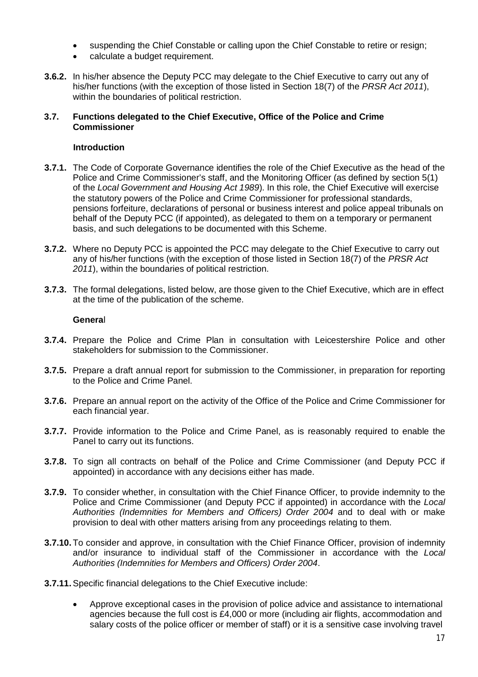- suspending the Chief Constable or calling upon the Chief Constable to retire or resign;
- calculate a budget requirement.
- **3.6.2.** In his/her absence the Deputy PCC may delegate to the Chief Executive to carry out any of his/her functions (with the exception of those listed in Section 18(7) of the *PRSR Act 2011*), within the boundaries of political restriction.

#### **3.7. Functions delegated to the Chief Executive, Office of the Police and Crime Commissioner**

# **Introduction**

- **3.7.1.** The Code of Corporate Governance identifies the role of the Chief Executive as the head of the Police and Crime Commissioner's staff, and the Monitoring Officer (as defined by section 5(1) of the *Local Government and Housing Act 1989*). In this role, the Chief Executive will exercise the statutory powers of the Police and Crime Commissioner for professional standards, pensions forfeiture, declarations of personal or business interest and police appeal tribunals on behalf of the Deputy PCC (if appointed), as delegated to them on a temporary or permanent basis, and such delegations to be documented with this Scheme.
- **3.7.2.** Where no Deputy PCC is appointed the PCC may delegate to the Chief Executive to carry out any of his/her functions (with the exception of those listed in Section 18(7) of the *PRSR Act 2011*), within the boundaries of political restriction.
- **3.7.3.** The formal delegations, listed below, are those given to the Chief Executive, which are in effect at the time of the publication of the scheme.

#### **Genera**l

- **3.7.4.** Prepare the Police and Crime Plan in consultation with Leicestershire Police and other stakeholders for submission to the Commissioner.
- **3.7.5.** Prepare a draft annual report for submission to the Commissioner, in preparation for reporting to the Police and Crime Panel.
- **3.7.6.** Prepare an annual report on the activity of the Office of the Police and Crime Commissioner for each financial year.
- **3.7.7.** Provide information to the Police and Crime Panel, as is reasonably required to enable the Panel to carry out its functions.
- **3.7.8.** To sign all contracts on behalf of the Police and Crime Commissioner (and Deputy PCC if appointed) in accordance with any decisions either has made.
- **3.7.9.** To consider whether, in consultation with the Chief Finance Officer, to provide indemnity to the Police and Crime Commissioner (and Deputy PCC if appointed) in accordance with the *Local Authorities (Indemnities for Members and Officers) Order 2004* and to deal with or make provision to deal with other matters arising from any proceedings relating to them.
- **3.7.10.** To consider and approve, in consultation with the Chief Finance Officer, provision of indemnity and/or insurance to individual staff of the Commissioner in accordance with the *Local Authorities (Indemnities for Members and Officers) Order 2004*.
- **3.7.11.**Specific financial delegations to the Chief Executive include:
	- Approve exceptional cases in the provision of police advice and assistance to international agencies because the full cost is £4,000 or more (including air flights, accommodation and salary costs of the police officer or member of staff) or it is a sensitive case involving travel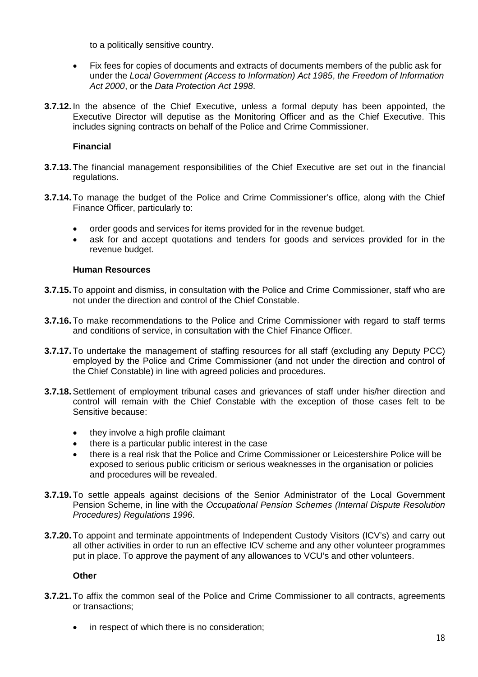to a politically sensitive country.

- Fix fees for copies of documents and extracts of documents members of the public ask for under the *Local Government (Access to Information) Act 1985*, *the Freedom of Information Act 2000*, or the *Data Protection Act 1998*.
- **3.7.12.** In the absence of the Chief Executive, unless a formal deputy has been appointed, the Executive Director will deputise as the Monitoring Officer and as the Chief Executive. This includes signing contracts on behalf of the Police and Crime Commissioner.

# **Financial**

- **3.7.13.** The financial management responsibilities of the Chief Executive are set out in the financial regulations.
- **3.7.14.** To manage the budget of the Police and Crime Commissioner's office, along with the Chief Finance Officer, particularly to:
	- order goods and services for items provided for in the revenue budget.
	- ask for and accept quotations and tenders for goods and services provided for in the revenue budget.

# **Human Resources**

- **3.7.15.** To appoint and dismiss, in consultation with the Police and Crime Commissioner, staff who are not under the direction and control of the Chief Constable.
- **3.7.16.** To make recommendations to the Police and Crime Commissioner with regard to staff terms and conditions of service, in consultation with the Chief Finance Officer.
- **3.7.17.** To undertake the management of staffing resources for all staff (excluding any Deputy PCC) employed by the Police and Crime Commissioner (and not under the direction and control of the Chief Constable) in line with agreed policies and procedures.
- **3.7.18.**Settlement of employment tribunal cases and grievances of staff under his/her direction and control will remain with the Chief Constable with the exception of those cases felt to be Sensitive because:
	- they involve a high profile claimant
	- there is a particular public interest in the case
	- there is a real risk that the Police and Crime Commissioner or Leicestershire Police will be exposed to serious public criticism or serious weaknesses in the organisation or policies and procedures will be revealed.
- **3.7.19.** To settle appeals against decisions of the Senior Administrator of the Local Government Pension Scheme, in line with the *Occupational Pension Schemes (Internal Dispute Resolution Procedures) Regulations 1996*.
- **3.7.20.** To appoint and terminate appointments of Independent Custody Visitors (ICV's) and carry out all other activities in order to run an effective ICV scheme and any other volunteer programmes put in place. To approve the payment of any allowances to VCU's and other volunteers.

# **Other**

- **3.7.21.** To affix the common seal of the Police and Crime Commissioner to all contracts, agreements or transactions;
	- in respect of which there is no consideration;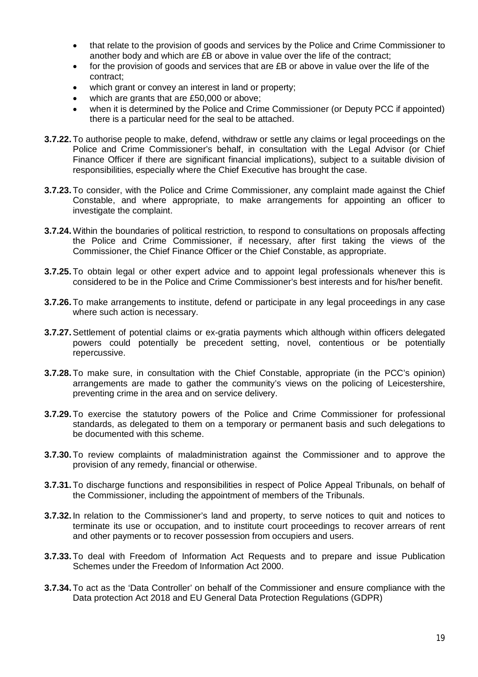- that relate to the provision of goods and services by the Police and Crime Commissioner to another body and which are £B or above in value over the life of the contract;
- for the provision of goods and services that are £B or above in value over the life of the contract;
- which grant or convey an interest in land or property;
- which are grants that are £50,000 or above;
- when it is determined by the Police and Crime Commissioner (or Deputy PCC if appointed) there is a particular need for the seal to be attached.
- **3.7.22.** To authorise people to make, defend, withdraw or settle any claims or legal proceedings on the Police and Crime Commissioner's behalf, in consultation with the Legal Advisor (or Chief Finance Officer if there are significant financial implications), subject to a suitable division of responsibilities, especially where the Chief Executive has brought the case.
- **3.7.23.** To consider, with the Police and Crime Commissioner, any complaint made against the Chief Constable, and where appropriate, to make arrangements for appointing an officer to investigate the complaint.
- **3.7.24.** Within the boundaries of political restriction, to respond to consultations on proposals affecting the Police and Crime Commissioner, if necessary, after first taking the views of the Commissioner, the Chief Finance Officer or the Chief Constable, as appropriate.
- **3.7.25.** To obtain legal or other expert advice and to appoint legal professionals whenever this is considered to be in the Police and Crime Commissioner's best interests and for his/her benefit.
- **3.7.26.** To make arrangements to institute, defend or participate in any legal proceedings in any case where such action is necessary.
- **3.7.27.**Settlement of potential claims or ex-gratia payments which although within officers delegated powers could potentially be precedent setting, novel, contentious or be potentially repercussive.
- **3.7.28.** To make sure, in consultation with the Chief Constable, appropriate (in the PCC's opinion) arrangements are made to gather the community's views on the policing of Leicestershire, preventing crime in the area and on service delivery.
- **3.7.29.** To exercise the statutory powers of the Police and Crime Commissioner for professional standards, as delegated to them on a temporary or permanent basis and such delegations to be documented with this scheme.
- **3.7.30.** To review complaints of maladministration against the Commissioner and to approve the provision of any remedy, financial or otherwise.
- **3.7.31.** To discharge functions and responsibilities in respect of Police Appeal Tribunals, on behalf of the Commissioner, including the appointment of members of the Tribunals.
- **3.7.32.** In relation to the Commissioner's land and property, to serve notices to quit and notices to terminate its use or occupation, and to institute court proceedings to recover arrears of rent and other payments or to recover possession from occupiers and users.
- **3.7.33.** To deal with Freedom of Information Act Requests and to prepare and issue Publication Schemes under the Freedom of Information Act 2000.
- **3.7.34.** To act as the 'Data Controller' on behalf of the Commissioner and ensure compliance with the Data protection Act 2018 and EU General Data Protection Regulations (GDPR)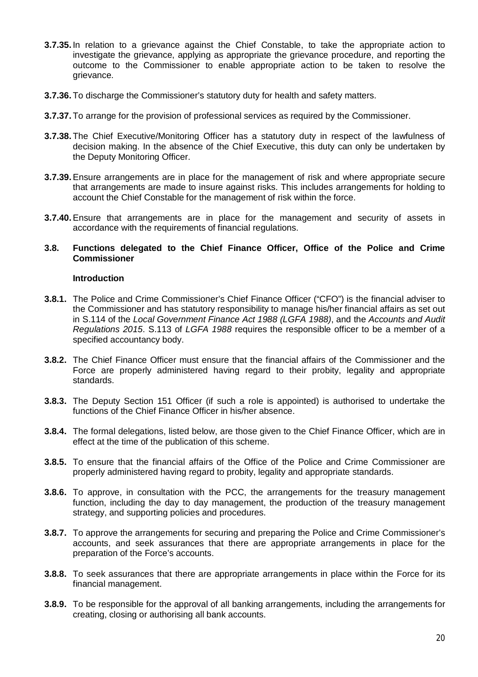- **3.7.35.** In relation to a grievance against the Chief Constable, to take the appropriate action to investigate the grievance, applying as appropriate the grievance procedure, and reporting the outcome to the Commissioner to enable appropriate action to be taken to resolve the grievance.
- **3.7.36.** To discharge the Commissioner's statutory duty for health and safety matters.
- **3.7.37.** To arrange for the provision of professional services as required by the Commissioner.
- **3.7.38.** The Chief Executive/Monitoring Officer has a statutory duty in respect of the lawfulness of decision making. In the absence of the Chief Executive, this duty can only be undertaken by the Deputy Monitoring Officer.
- **3.7.39.**Ensure arrangements are in place for the management of risk and where appropriate secure that arrangements are made to insure against risks. This includes arrangements for holding to account the Chief Constable for the management of risk within the force.
- **3.7.40.**Ensure that arrangements are in place for the management and security of assets in accordance with the requirements of financial regulations.

#### **3.8. Functions delegated to the Chief Finance Officer, Office of the Police and Crime Commissioner**

#### **Introduction**

- **3.8.1.** The Police and Crime Commissioner's Chief Finance Officer ("CFO") is the financial adviser to the Commissioner and has statutory responsibility to manage his/her financial affairs as set out in S.114 of the *Local Government Finance Act 1988 (LGFA 1988)*, and the *Accounts and Audit Regulations 2015*. S.113 of *LGFA 1988* requires the responsible officer to be a member of a specified accountancy body.
- **3.8.2.** The Chief Finance Officer must ensure that the financial affairs of the Commissioner and the Force are properly administered having regard to their probity, legality and appropriate standards.
- **3.8.3.** The Deputy Section 151 Officer (if such a role is appointed) is authorised to undertake the functions of the Chief Finance Officer in his/her absence.
- **3.8.4.** The formal delegations, listed below, are those given to the Chief Finance Officer, which are in effect at the time of the publication of this scheme.
- **3.8.5.** To ensure that the financial affairs of the Office of the Police and Crime Commissioner are properly administered having regard to probity, legality and appropriate standards.
- **3.8.6.** To approve, in consultation with the PCC, the arrangements for the treasury management function, including the day to day management, the production of the treasury management strategy, and supporting policies and procedures.
- **3.8.7.** To approve the arrangements for securing and preparing the Police and Crime Commissioner's accounts, and seek assurances that there are appropriate arrangements in place for the preparation of the Force's accounts.
- **3.8.8.** To seek assurances that there are appropriate arrangements in place within the Force for its financial management.
- **3.8.9.** To be responsible for the approval of all banking arrangements, including the arrangements for creating, closing or authorising all bank accounts.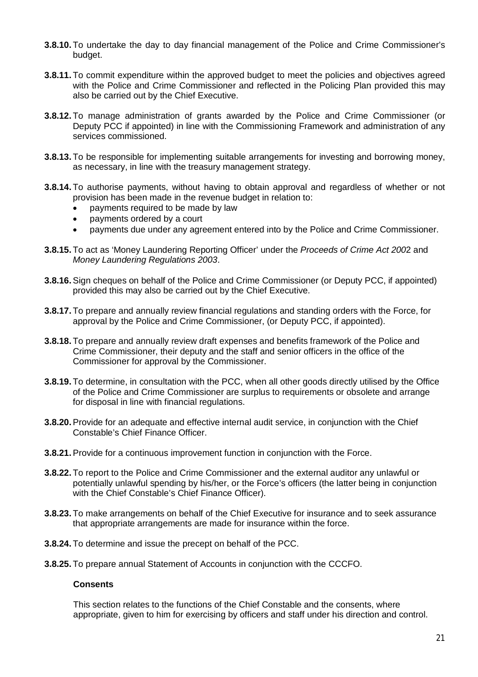- **3.8.10.** To undertake the day to day financial management of the Police and Crime Commissioner's budget.
- **3.8.11.** To commit expenditure within the approved budget to meet the policies and objectives agreed with the Police and Crime Commissioner and reflected in the Policing Plan provided this may also be carried out by the Chief Executive.
- **3.8.12.** To manage administration of grants awarded by the Police and Crime Commissioner (or Deputy PCC if appointed) in line with the Commissioning Framework and administration of any services commissioned.
- **3.8.13.** To be responsible for implementing suitable arrangements for investing and borrowing money, as necessary, in line with the treasury management strategy.
- **3.8.14.** To authorise payments, without having to obtain approval and regardless of whether or not provision has been made in the revenue budget in relation to:
	- payments required to be made by law
	- payments ordered by a court
	- payments due under any agreement entered into by the Police and Crime Commissioner.
- **3.8.15.** To act as 'Money Laundering Reporting Officer' under the *Proceeds of Crime Act 200*2 and *Money Laundering Regulations 2003*.
- **3.8.16.**Sign cheques on behalf of the Police and Crime Commissioner (or Deputy PCC, if appointed) provided this may also be carried out by the Chief Executive.
- **3.8.17.** To prepare and annually review financial regulations and standing orders with the Force, for approval by the Police and Crime Commissioner, (or Deputy PCC, if appointed).
- **3.8.18.** To prepare and annually review draft expenses and benefits framework of the Police and Crime Commissioner, their deputy and the staff and senior officers in the office of the Commissioner for approval by the Commissioner.
- **3.8.19.** To determine, in consultation with the PCC, when all other goods directly utilised by the Office of the Police and Crime Commissioner are surplus to requirements or obsolete and arrange for disposal in line with financial regulations.
- **3.8.20.**Provide for an adequate and effective internal audit service, in conjunction with the Chief Constable's Chief Finance Officer.
- **3.8.21.**Provide for a continuous improvement function in conjunction with the Force.
- **3.8.22.** To report to the Police and Crime Commissioner and the external auditor any unlawful or potentially unlawful spending by his/her, or the Force's officers (the latter being in conjunction with the Chief Constable's Chief Finance Officer).
- **3.8.23.** To make arrangements on behalf of the Chief Executive for insurance and to seek assurance that appropriate arrangements are made for insurance within the force.
- **3.8.24.** To determine and issue the precept on behalf of the PCC.
- **3.8.25.** To prepare annual Statement of Accounts in conjunction with the CCCFO.

#### **Consents**

This section relates to the functions of the Chief Constable and the consents, where appropriate, given to him for exercising by officers and staff under his direction and control.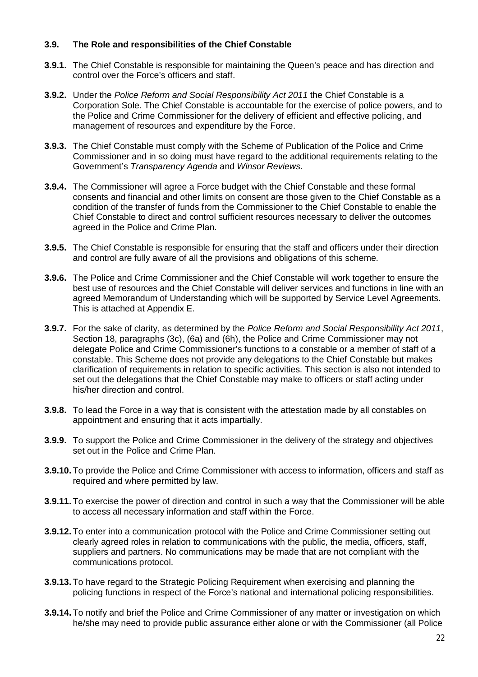# **3.9. The Role and responsibilities of the Chief Constable**

- **3.9.1.** The Chief Constable is responsible for maintaining the Queen's peace and has direction and control over the Force's officers and staff.
- **3.9.2.** Under the *Police Reform and Social Responsibility Act 2011* the Chief Constable is a Corporation Sole. The Chief Constable is accountable for the exercise of police powers, and to the Police and Crime Commissioner for the delivery of efficient and effective policing, and management of resources and expenditure by the Force.
- **3.9.3.** The Chief Constable must comply with the Scheme of Publication of the Police and Crime Commissioner and in so doing must have regard to the additional requirements relating to the Government's *Transparency Agenda* and *Winsor Reviews*.
- **3.9.4.** The Commissioner will agree a Force budget with the Chief Constable and these formal consents and financial and other limits on consent are those given to the Chief Constable as a condition of the transfer of funds from the Commissioner to the Chief Constable to enable the Chief Constable to direct and control sufficient resources necessary to deliver the outcomes agreed in the Police and Crime Plan.
- **3.9.5.** The Chief Constable is responsible for ensuring that the staff and officers under their direction and control are fully aware of all the provisions and obligations of this scheme.
- **3.9.6.** The Police and Crime Commissioner and the Chief Constable will work together to ensure the best use of resources and the Chief Constable will deliver services and functions in line with an agreed Memorandum of Understanding which will be supported by Service Level Agreements. This is attached at Appendix E.
- **3.9.7.** For the sake of clarity, as determined by the *Police Reform and Social Responsibility Act 2011*, Section 18, paragraphs (3c), (6a) and (6h), the Police and Crime Commissioner may not delegate Police and Crime Commissioner's functions to a constable or a member of staff of a constable. This Scheme does not provide any delegations to the Chief Constable but makes clarification of requirements in relation to specific activities. This section is also not intended to set out the delegations that the Chief Constable may make to officers or staff acting under his/her direction and control.
- **3.9.8.** To lead the Force in a way that is consistent with the attestation made by all constables on appointment and ensuring that it acts impartially.
- **3.9.9.** To support the Police and Crime Commissioner in the delivery of the strategy and objectives set out in the Police and Crime Plan.
- **3.9.10.** To provide the Police and Crime Commissioner with access to information, officers and staff as required and where permitted by law.
- **3.9.11.** To exercise the power of direction and control in such a way that the Commissioner will be able to access all necessary information and staff within the Force.
- **3.9.12.** To enter into a communication protocol with the Police and Crime Commissioner setting out clearly agreed roles in relation to communications with the public, the media, officers, staff, suppliers and partners. No communications may be made that are not compliant with the communications protocol.
- **3.9.13.** To have regard to the Strategic Policing Requirement when exercising and planning the policing functions in respect of the Force's national and international policing responsibilities.
- **3.9.14.** To notify and brief the Police and Crime Commissioner of any matter or investigation on which he/she may need to provide public assurance either alone or with the Commissioner (all Police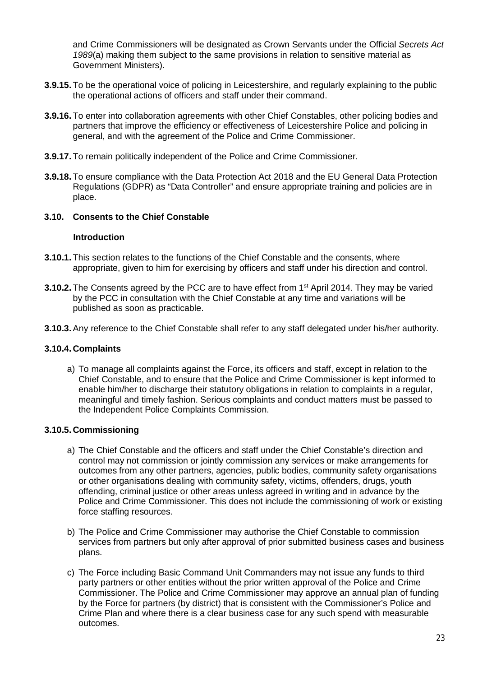and Crime Commissioners will be designated as Crown Servants under the Official *Secrets Act 1989*(a) making them subject to the same provisions in relation to sensitive material as Government Ministers).

- **3.9.15.** To be the operational voice of policing in Leicestershire, and regularly explaining to the public the operational actions of officers and staff under their command.
- **3.9.16.** To enter into collaboration agreements with other Chief Constables, other policing bodies and partners that improve the efficiency or effectiveness of Leicestershire Police and policing in general, and with the agreement of the Police and Crime Commissioner.
- **3.9.17.** To remain politically independent of the Police and Crime Commissioner.
- **3.9.18.** To ensure compliance with the Data Protection Act 2018 and the EU General Data Protection Regulations (GDPR) as "Data Controller" and ensure appropriate training and policies are in place.

#### **3.10. Consents to the Chief Constable**

#### **Introduction**

- **3.10.1.** This section relates to the functions of the Chief Constable and the consents, where appropriate, given to him for exercising by officers and staff under his direction and control.
- **3.10.2.** The Consents agreed by the PCC are to have effect from 1<sup>st</sup> April 2014. They may be varied by the PCC in consultation with the Chief Constable at any time and variations will be published as soon as practicable.
- **3.10.3.**Any reference to the Chief Constable shall refer to any staff delegated under his/her authority.

# **3.10.4. Complaints**

a) To manage all complaints against the Force, its officers and staff, except in relation to the Chief Constable, and to ensure that the Police and Crime Commissioner is kept informed to enable him/her to discharge their statutory obligations in relation to complaints in a regular, meaningful and timely fashion. Serious complaints and conduct matters must be passed to the Independent Police Complaints Commission.

# **3.10.5. Commissioning**

- a) The Chief Constable and the officers and staff under the Chief Constable's direction and control may not commission or jointly commission any services or make arrangements for outcomes from any other partners, agencies, public bodies, community safety organisations or other organisations dealing with community safety, victims, offenders, drugs, youth offending, criminal justice or other areas unless agreed in writing and in advance by the Police and Crime Commissioner. This does not include the commissioning of work or existing force staffing resources.
- b) The Police and Crime Commissioner may authorise the Chief Constable to commission services from partners but only after approval of prior submitted business cases and business plans.
- c) The Force including Basic Command Unit Commanders may not issue any funds to third party partners or other entities without the prior written approval of the Police and Crime Commissioner. The Police and Crime Commissioner may approve an annual plan of funding by the Force for partners (by district) that is consistent with the Commissioner's Police and Crime Plan and where there is a clear business case for any such spend with measurable outcomes.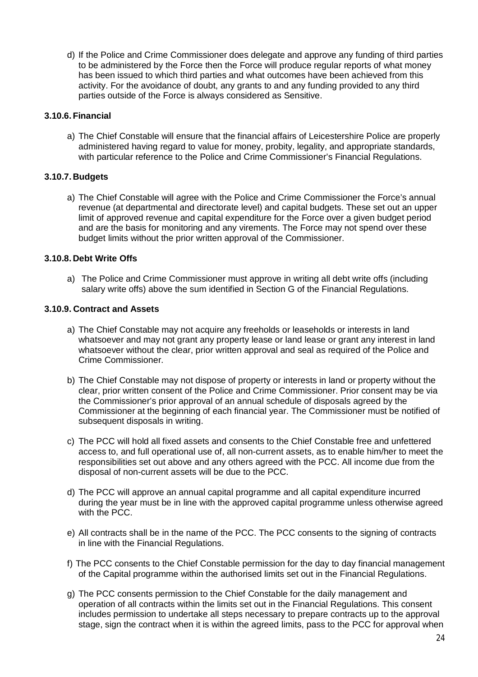d) If the Police and Crime Commissioner does delegate and approve any funding of third parties to be administered by the Force then the Force will produce regular reports of what money has been issued to which third parties and what outcomes have been achieved from this activity. For the avoidance of doubt, any grants to and any funding provided to any third parties outside of the Force is always considered as Sensitive.

# **3.10.6. Financial**

a) The Chief Constable will ensure that the financial affairs of Leicestershire Police are properly administered having regard to value for money, probity, legality, and appropriate standards, with particular reference to the Police and Crime Commissioner's Financial Regulations.

# **3.10.7. Budgets**

a) The Chief Constable will agree with the Police and Crime Commissioner the Force's annual revenue (at departmental and directorate level) and capital budgets. These set out an upper limit of approved revenue and capital expenditure for the Force over a given budget period and are the basis for monitoring and any virements. The Force may not spend over these budget limits without the prior written approval of the Commissioner.

# **3.10.8. Debt Write Offs**

a) The Police and Crime Commissioner must approve in writing all debt write offs (including salary write offs) above the sum identified in Section G of the Financial Regulations.

# **3.10.9. Contract and Assets**

- a) The Chief Constable may not acquire any freeholds or leaseholds or interests in land whatsoever and may not grant any property lease or land lease or grant any interest in land whatsoever without the clear, prior written approval and seal as required of the Police and Crime Commissioner.
- b) The Chief Constable may not dispose of property or interests in land or property without the clear, prior written consent of the Police and Crime Commissioner. Prior consent may be via the Commissioner's prior approval of an annual schedule of disposals agreed by the Commissioner at the beginning of each financial year. The Commissioner must be notified of subsequent disposals in writing.
- c) The PCC will hold all fixed assets and consents to the Chief Constable free and unfettered access to, and full operational use of, all non-current assets, as to enable him/her to meet the responsibilities set out above and any others agreed with the PCC. All income due from the disposal of non-current assets will be due to the PCC.
- d) The PCC will approve an annual capital programme and all capital expenditure incurred during the year must be in line with the approved capital programme unless otherwise agreed with the PCC.
- e) All contracts shall be in the name of the PCC. The PCC consents to the signing of contracts in line with the Financial Regulations.
- f) The PCC consents to the Chief Constable permission for the day to day financial management of the Capital programme within the authorised limits set out in the Financial Regulations.
- g) The PCC consents permission to the Chief Constable for the daily management and operation of all contracts within the limits set out in the Financial Regulations. This consent includes permission to undertake all steps necessary to prepare contracts up to the approval stage, sign the contract when it is within the agreed limits, pass to the PCC for approval when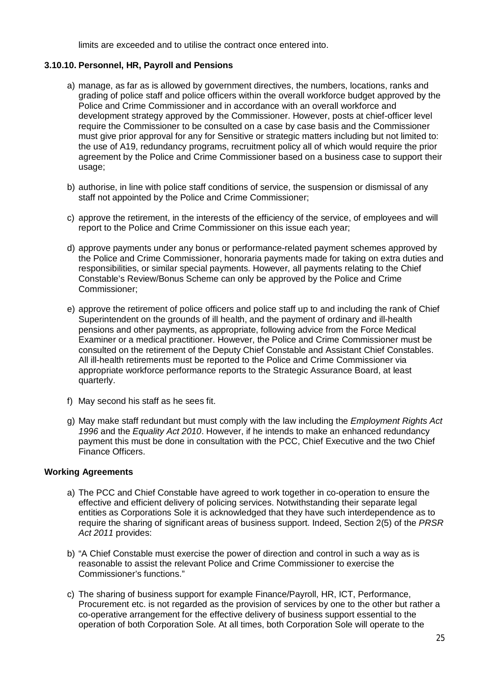limits are exceeded and to utilise the contract once entered into.

# **3.10.10. Personnel, HR, Payroll and Pensions**

- a) manage, as far as is allowed by government directives, the numbers, locations, ranks and grading of police staff and police officers within the overall workforce budget approved by the Police and Crime Commissioner and in accordance with an overall workforce and development strategy approved by the Commissioner. However, posts at chief-officer level require the Commissioner to be consulted on a case by case basis and the Commissioner must give prior approval for any for Sensitive or strategic matters including but not limited to: the use of A19, redundancy programs, recruitment policy all of which would require the prior agreement by the Police and Crime Commissioner based on a business case to support their usage;
- b) authorise, in line with police staff conditions of service, the suspension or dismissal of any staff not appointed by the Police and Crime Commissioner;
- c) approve the retirement, in the interests of the efficiency of the service, of employees and will report to the Police and Crime Commissioner on this issue each year;
- d) approve payments under any bonus or performance-related payment schemes approved by the Police and Crime Commissioner, honoraria payments made for taking on extra duties and responsibilities, or similar special payments. However, all payments relating to the Chief Constable's Review/Bonus Scheme can only be approved by the Police and Crime Commissioner;
- e) approve the retirement of police officers and police staff up to and including the rank of Chief Superintendent on the grounds of ill health, and the payment of ordinary and ill-health pensions and other payments, as appropriate, following advice from the Force Medical Examiner or a medical practitioner. However, the Police and Crime Commissioner must be consulted on the retirement of the Deputy Chief Constable and Assistant Chief Constables. All ill-health retirements must be reported to the Police and Crime Commissioner via appropriate workforce performance reports to the Strategic Assurance Board, at least quarterly.
- f) May second his staff as he sees fit.
- g) May make staff redundant but must comply with the law including the *Employment Rights Act 1996* and the *Equality Act 2010*. However, if he intends to make an enhanced redundancy payment this must be done in consultation with the PCC, Chief Executive and the two Chief Finance Officers.

# **Working Agreements**

- a) The PCC and Chief Constable have agreed to work together in co-operation to ensure the effective and efficient delivery of policing services. Notwithstanding their separate legal entities as Corporations Sole it is acknowledged that they have such interdependence as to require the sharing of significant areas of business support. Indeed, Section 2(5) of the *PRSR Act 2011* provides:
- b) "A Chief Constable must exercise the power of direction and control in such a way as is reasonable to assist the relevant Police and Crime Commissioner to exercise the Commissioner's functions."
- c) The sharing of business support for example Finance/Payroll, HR, ICT, Performance, Procurement etc. is not regarded as the provision of services by one to the other but rather a co-operative arrangement for the effective delivery of business support essential to the operation of both Corporation Sole. At all times, both Corporation Sole will operate to the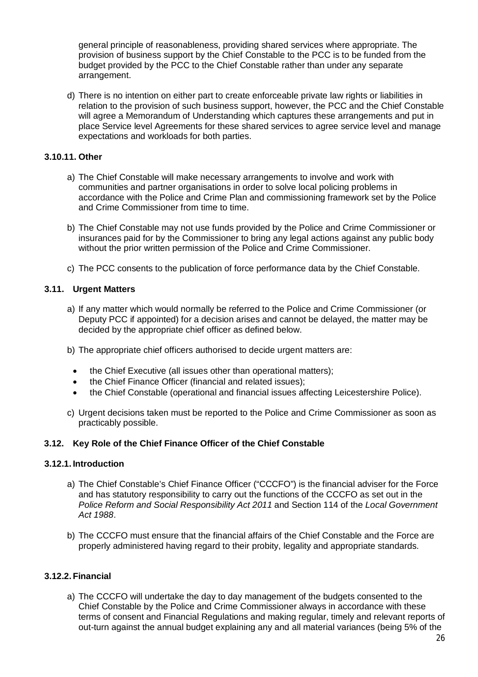general principle of reasonableness, providing shared services where appropriate. The provision of business support by the Chief Constable to the PCC is to be funded from the budget provided by the PCC to the Chief Constable rather than under any separate arrangement.

d) There is no intention on either part to create enforceable private law rights or liabilities in relation to the provision of such business support, however, the PCC and the Chief Constable will agree a Memorandum of Understanding which captures these arrangements and put in place Service level Agreements for these shared services to agree service level and manage expectations and workloads for both parties.

# **3.10.11. Other**

- a) The Chief Constable will make necessary arrangements to involve and work with communities and partner organisations in order to solve local policing problems in accordance with the Police and Crime Plan and commissioning framework set by the Police and Crime Commissioner from time to time.
- b) The Chief Constable may not use funds provided by the Police and Crime Commissioner or insurances paid for by the Commissioner to bring any legal actions against any public body without the prior written permission of the Police and Crime Commissioner.
- c) The PCC consents to the publication of force performance data by the Chief Constable.

# **3.11. Urgent Matters**

- a) If any matter which would normally be referred to the Police and Crime Commissioner (or Deputy PCC if appointed) for a decision arises and cannot be delayed, the matter may be decided by the appropriate chief officer as defined below.
- b) The appropriate chief officers authorised to decide urgent matters are:
	- the Chief Executive (all issues other than operational matters);
	- the Chief Finance Officer (financial and related issues);
	- the Chief Constable (operational and financial issues affecting Leicestershire Police).
- c) Urgent decisions taken must be reported to the Police and Crime Commissioner as soon as practicably possible.

# **3.12. Key Role of the Chief Finance Officer of the Chief Constable**

# **3.12.1. Introduction**

- a) The Chief Constable's Chief Finance Officer ("CCCFO") is the financial adviser for the Force and has statutory responsibility to carry out the functions of the CCCFO as set out in the *Police Reform and Social Responsibility Act 2011* and Section 114 of the *Local Government Act 1988*.
- b) The CCCFO must ensure that the financial affairs of the Chief Constable and the Force are properly administered having regard to their probity, legality and appropriate standards.

# **3.12.2. Financial**

a) The CCCFO will undertake the day to day management of the budgets consented to the Chief Constable by the Police and Crime Commissioner always in accordance with these terms of consent and Financial Regulations and making regular, timely and relevant reports of out-turn against the annual budget explaining any and all material variances (being 5% of the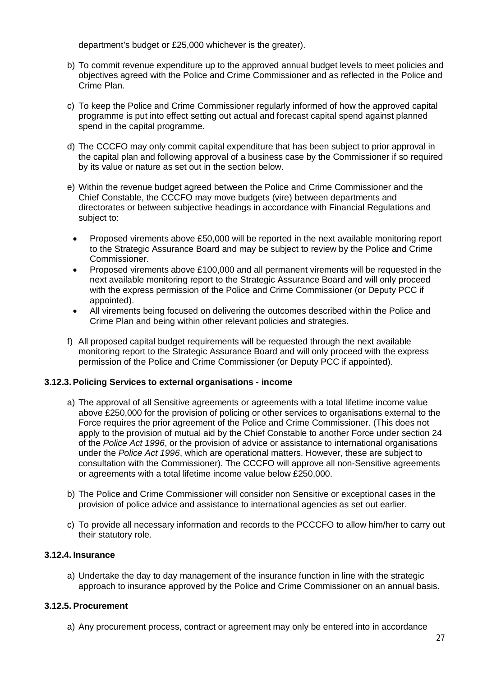department's budget or £25,000 whichever is the greater).

- b) To commit revenue expenditure up to the approved annual budget levels to meet policies and objectives agreed with the Police and Crime Commissioner and as reflected in the Police and Crime Plan.
- c) To keep the Police and Crime Commissioner regularly informed of how the approved capital programme is put into effect setting out actual and forecast capital spend against planned spend in the capital programme.
- d) The CCCFO may only commit capital expenditure that has been subject to prior approval in the capital plan and following approval of a business case by the Commissioner if so required by its value or nature as set out in the section below.
- e) Within the revenue budget agreed between the Police and Crime Commissioner and the Chief Constable, the CCCFO may move budgets (vire) between departments and directorates or between subjective headings in accordance with Financial Regulations and subject to:
	- Proposed virements above £50,000 will be reported in the next available monitoring report to the Strategic Assurance Board and may be subject to review by the Police and Crime Commissioner.
	- Proposed virements above £100,000 and all permanent virements will be requested in the next available monitoring report to the Strategic Assurance Board and will only proceed with the express permission of the Police and Crime Commissioner (or Deputy PCC if appointed).
	- All virements being focused on delivering the outcomes described within the Police and Crime Plan and being within other relevant policies and strategies.
- f) All proposed capital budget requirements will be requested through the next available monitoring report to the Strategic Assurance Board and will only proceed with the express permission of the Police and Crime Commissioner (or Deputy PCC if appointed).

# **3.12.3.Policing Services to external organisations - income**

- a) The approval of all Sensitive agreements or agreements with a total lifetime income value above £250,000 for the provision of policing or other services to organisations external to the Force requires the prior agreement of the Police and Crime Commissioner. (This does not apply to the provision of mutual aid by the Chief Constable to another Force under section 24 of the *Police Act 1996*, or the provision of advice or assistance to international organisations under the *Police Act 1996*, which are operational matters. However, these are subject to consultation with the Commissioner). The CCCFO will approve all non-Sensitive agreements or agreements with a total lifetime income value below £250,000.
- b) The Police and Crime Commissioner will consider non Sensitive or exceptional cases in the provision of police advice and assistance to international agencies as set out earlier.
- c) To provide all necessary information and records to the PCCCFO to allow him/her to carry out their statutory role.

# **3.12.4. Insurance**

a) Undertake the day to day management of the insurance function in line with the strategic approach to insurance approved by the Police and Crime Commissioner on an annual basis.

# **3.12.5. Procurement**

a) Any procurement process, contract or agreement may only be entered into in accordance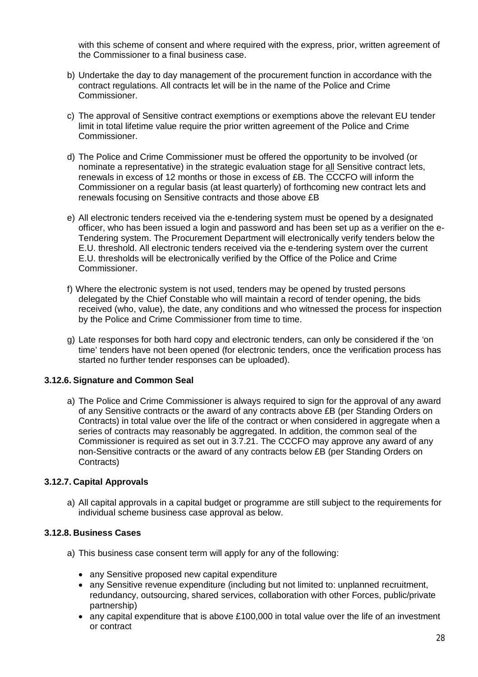with this scheme of consent and where required with the express, prior, written agreement of the Commissioner to a final business case.

- b) Undertake the day to day management of the procurement function in accordance with the contract regulations. All contracts let will be in the name of the Police and Crime Commissioner.
- c) The approval of Sensitive contract exemptions or exemptions above the relevant EU tender limit in total lifetime value require the prior written agreement of the Police and Crime Commissioner.
- d) The Police and Crime Commissioner must be offered the opportunity to be involved (or nominate a representative) in the strategic evaluation stage for all Sensitive contract lets, renewals in excess of 12 months or those in excess of £B. The CCCFO will inform the Commissioner on a regular basis (at least quarterly) of forthcoming new contract lets and renewals focusing on Sensitive contracts and those above £B
- e) All electronic tenders received via the e-tendering system must be opened by a designated officer, who has been issued a login and password and has been set up as a verifier on the e-Tendering system. The Procurement Department will electronically verify tenders below the E.U. threshold. All electronic tenders received via the e-tendering system over the current E.U. thresholds will be electronically verified by the Office of the Police and Crime Commissioner.
- f) Where the electronic system is not used, tenders may be opened by trusted persons delegated by the Chief Constable who will maintain a record of tender opening, the bids received (who, value), the date, any conditions and who witnessed the process for inspection by the Police and Crime Commissioner from time to time.
- g) Late responses for both hard copy and electronic tenders, can only be considered if the 'on time' tenders have not been opened (for electronic tenders, once the verification process has started no further tender responses can be uploaded).

# **3.12.6. Signature and Common Seal**

a) The Police and Crime Commissioner is always required to sign for the approval of any award of any Sensitive contracts or the award of any contracts above £B (per Standing Orders on Contracts) in total value over the life of the contract or when considered in aggregate when a series of contracts may reasonably be aggregated. In addition, the common seal of the Commissioner is required as set out in 3.7.21. The CCCFO may approve any award of any non-Sensitive contracts or the award of any contracts below £B (per Standing Orders on Contracts)

# **3.12.7. Capital Approvals**

a) All capital approvals in a capital budget or programme are still subject to the requirements for individual scheme business case approval as below.

# **3.12.8. Business Cases**

- a) This business case consent term will apply for any of the following:
	- any Sensitive proposed new capital expenditure
	- any Sensitive revenue expenditure (including but not limited to: unplanned recruitment, redundancy, outsourcing, shared services, collaboration with other Forces, public/private partnership)
	- any capital expenditure that is above £100,000 in total value over the life of an investment or contract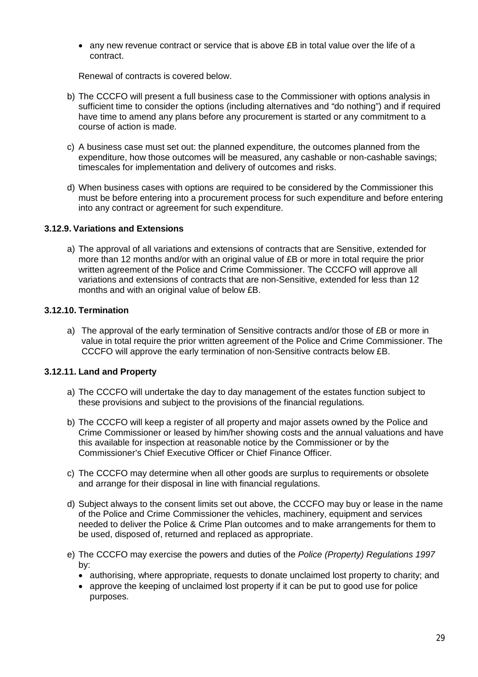$\bullet$  any new revenue contract or service that is above  $\overline{E}$  in total value over the life of a contract.

Renewal of contracts is covered below.

- b) The CCCFO will present a full business case to the Commissioner with options analysis in sufficient time to consider the options (including alternatives and "do nothing") and if required have time to amend any plans before any procurement is started or any commitment to a course of action is made.
- c) A business case must set out: the planned expenditure, the outcomes planned from the expenditure, how those outcomes will be measured, any cashable or non-cashable savings; timescales for implementation and delivery of outcomes and risks.
- d) When business cases with options are required to be considered by the Commissioner this must be before entering into a procurement process for such expenditure and before entering into any contract or agreement for such expenditure.

# **3.12.9. Variations and Extensions**

a) The approval of all variations and extensions of contracts that are Sensitive, extended for more than 12 months and/or with an original value of £B or more in total require the prior written agreement of the Police and Crime Commissioner. The CCCFO will approve all variations and extensions of contracts that are non-Sensitive, extended for less than 12 months and with an original value of below £B.

# **3.12.10. Termination**

a) The approval of the early termination of Sensitive contracts and/or those of £B or more in value in total require the prior written agreement of the Police and Crime Commissioner. The CCCFO will approve the early termination of non-Sensitive contracts below £B.

# **3.12.11. Land and Property**

- a) The CCCFO will undertake the day to day management of the estates function subject to these provisions and subject to the provisions of the financial regulations.
- b) The CCCFO will keep a register of all property and major assets owned by the Police and Crime Commissioner or leased by him/her showing costs and the annual valuations and have this available for inspection at reasonable notice by the Commissioner or by the Commissioner's Chief Executive Officer or Chief Finance Officer.
- c) The CCCFO may determine when all other goods are surplus to requirements or obsolete and arrange for their disposal in line with financial regulations.
- d) Subject always to the consent limits set out above, the CCCFO may buy or lease in the name of the Police and Crime Commissioner the vehicles, machinery, equipment and services needed to deliver the Police & Crime Plan outcomes and to make arrangements for them to be used, disposed of, returned and replaced as appropriate.
- e) The CCCFO may exercise the powers and duties of the *Police (Property) Regulations 1997* by:
	- authorising, where appropriate, requests to donate unclaimed lost property to charity; and
	- approve the keeping of unclaimed lost property if it can be put to good use for police purposes.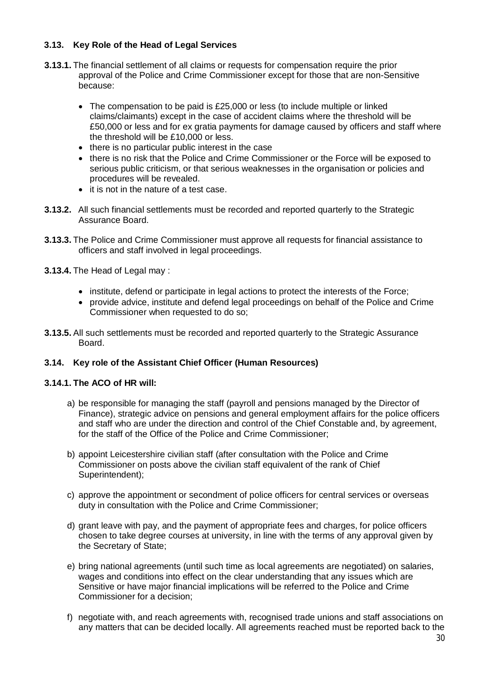# **3.13. Key Role of the Head of Legal Services**

- **3.13.1.** The financial settlement of all claims or requests for compensation require the prior approval of the Police and Crime Commissioner except for those that are non-Sensitive because:
	- The compensation to be paid is £25,000 or less (to include multiple or linked claims/claimants) except in the case of accident claims where the threshold will be £50,000 or less and for ex gratia payments for damage caused by officers and staff where the threshold will be £10,000 or less.
	- there is no particular public interest in the case
	- there is no risk that the Police and Crime Commissioner or the Force will be exposed to serious public criticism, or that serious weaknesses in the organisation or policies and procedures will be revealed.
	- it is not in the nature of a test case.
- **3.13.2.** All such financial settlements must be recorded and reported quarterly to the Strategic Assurance Board.
- **3.13.3.** The Police and Crime Commissioner must approve all requests for financial assistance to officers and staff involved in legal proceedings.
- **3.13.4.** The Head of Legal may :
	- institute, defend or participate in legal actions to protect the interests of the Force;
	- provide advice, institute and defend legal proceedings on behalf of the Police and Crime Commissioner when requested to do so;
- **3.13.5.** All such settlements must be recorded and reported quarterly to the Strategic Assurance Board.

# **3.14. Key role of the Assistant Chief Officer (Human Resources)**

# **3.14.1. The ACO of HR will:**

- a) be responsible for managing the staff (payroll and pensions managed by the Director of Finance), strategic advice on pensions and general employment affairs for the police officers and staff who are under the direction and control of the Chief Constable and, by agreement, for the staff of the Office of the Police and Crime Commissioner;
- b) appoint Leicestershire civilian staff (after consultation with the Police and Crime Commissioner on posts above the civilian staff equivalent of the rank of Chief Superintendent);
- c) approve the appointment or secondment of police officers for central services or overseas duty in consultation with the Police and Crime Commissioner;
- d) grant leave with pay, and the payment of appropriate fees and charges, for police officers chosen to take degree courses at university, in line with the terms of any approval given by the Secretary of State;
- e) bring national agreements (until such time as local agreements are negotiated) on salaries, wages and conditions into effect on the clear understanding that any issues which are Sensitive or have major financial implications will be referred to the Police and Crime Commissioner for a decision;
- f) negotiate with, and reach agreements with, recognised trade unions and staff associations on any matters that can be decided locally. All agreements reached must be reported back to the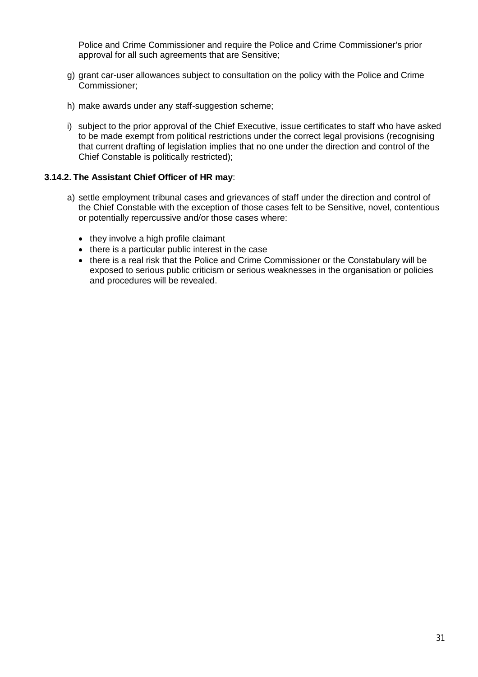Police and Crime Commissioner and require the Police and Crime Commissioner's prior approval for all such agreements that are Sensitive;

- g) grant car-user allowances subject to consultation on the policy with the Police and Crime Commissioner;
- h) make awards under any staff-suggestion scheme;
- i) subject to the prior approval of the Chief Executive, issue certificates to staff who have asked to be made exempt from political restrictions under the correct legal provisions (recognising that current drafting of legislation implies that no one under the direction and control of the Chief Constable is politically restricted);

# **3.14.2. The Assistant Chief Officer of HR may**:

- a) settle employment tribunal cases and grievances of staff under the direction and control of the Chief Constable with the exception of those cases felt to be Sensitive, novel, contentious or potentially repercussive and/or those cases where:
	- they involve a high profile claimant
	- there is a particular public interest in the case
	- there is a real risk that the Police and Crime Commissioner or the Constabulary will be exposed to serious public criticism or serious weaknesses in the organisation or policies and procedures will be revealed.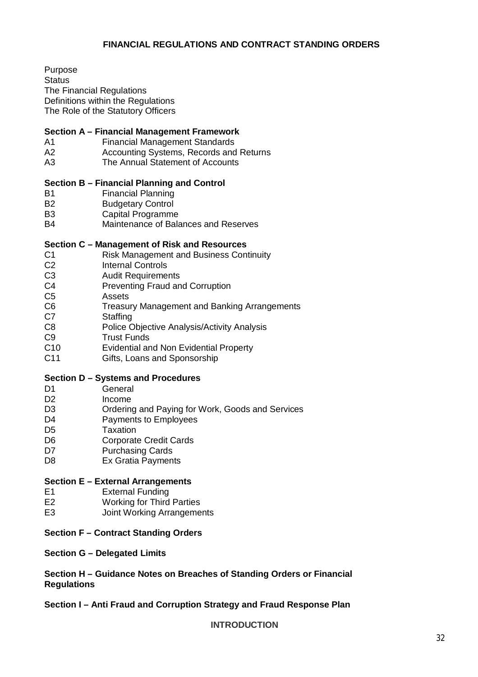# **FINANCIAL REGULATIONS AND CONTRACT STANDING ORDERS**

Purpose **Status** The Financial Regulations Definitions within the Regulations The Role of the Statutory Officers

#### **Section A – Financial Management Framework**

- A1 Financial Management Standards
- A2 Accounting Systems, Records and Returns
- A3 The Annual Statement of Accounts

#### **Section B – Financial Planning and Control**

- B1 Financial Planning
- B<sub>2</sub> Budgetary Control
- B3 Capital Programme<br>B4 Maintenance of Bala
- Maintenance of Balances and Reserves

#### **Section C – Management of Risk and Resources**

- C1 Risk Management and Business Continuity<br>C2 Internal Controls
- C2 Internal Controls<br>C3 Audit Requireme
- C3 Audit Requirements<br>C4 Preventing Fraud an
- Preventing Fraud and Corruption
- C5 Assets
- C6 Treasury Management and Banking Arrangements
- C7 Staffing
- C8 Police Objective Analysis/Activity Analysis
- C9 Trust Funds<br>C10 Evidential ar
- C10 Evidential and Non Evidential Property<br>C11 Gifts, Loans and Sponsorship
- Gifts, Loans and Sponsorship

#### **Section D – Systems and Procedures**

- D1 General
- D2 Income<br>D3 Ordering
- Ordering and Paying for Work, Goods and Services
- D<sub>4</sub> Payments to Employees
- D5 Taxation
- D6 Corporate Credit Cards
- D7 **Purchasing Cards**
- D8 Ex Gratia Payments

#### **Section E – External Arrangements**

- E1 External Funding
- E2 Working for Third Parties
- E3 Joint Working Arrangements

# **Section F – Contract Standing Orders**

#### **Section G – Delegated Limits**

**Section H – Guidance Notes on Breaches of Standing Orders or Financial Regulations** 

**Section I – Anti Fraud and Corruption Strategy and Fraud Response Plan** 

**INTRODUCTION**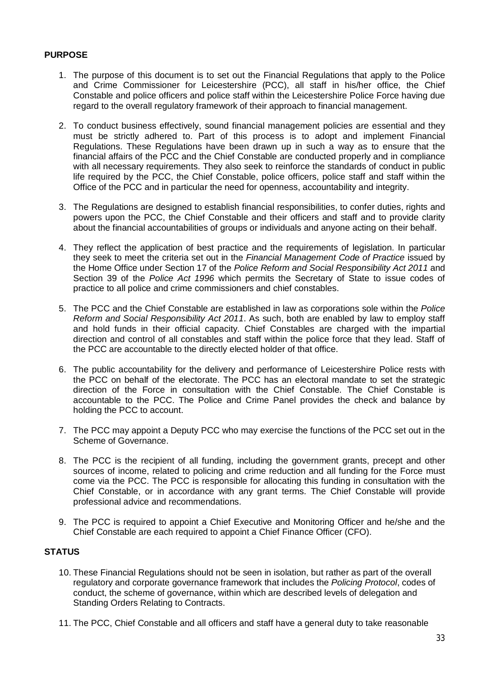# **PURPOSE**

- 1. The purpose of this document is to set out the Financial Regulations that apply to the Police and Crime Commissioner for Leicestershire (PCC), all staff in his/her office, the Chief Constable and police officers and police staff within the Leicestershire Police Force having due regard to the overall regulatory framework of their approach to financial management.
- 2. To conduct business effectively, sound financial management policies are essential and they must be strictly adhered to. Part of this process is to adopt and implement Financial Regulations. These Regulations have been drawn up in such a way as to ensure that the financial affairs of the PCC and the Chief Constable are conducted properly and in compliance with all necessary requirements. They also seek to reinforce the standards of conduct in public life required by the PCC, the Chief Constable, police officers, police staff and staff within the Office of the PCC and in particular the need for openness, accountability and integrity.
- 3. The Regulations are designed to establish financial responsibilities, to confer duties, rights and powers upon the PCC, the Chief Constable and their officers and staff and to provide clarity about the financial accountabilities of groups or individuals and anyone acting on their behalf.
- 4. They reflect the application of best practice and the requirements of legislation. In particular they seek to meet the criteria set out in the *Financial Management Code of Practice* issued by the Home Office under Section 17 of the *Police Reform and Social Responsibility Act 2011* and Section 39 of the *Police Act 1996* which permits the Secretary of State to issue codes of practice to all police and crime commissioners and chief constables.
- 5. The PCC and the Chief Constable are established in law as corporations sole within the *Police Reform and Social Responsibility Act 2011*. As such, both are enabled by law to employ staff and hold funds in their official capacity. Chief Constables are charged with the impartial direction and control of all constables and staff within the police force that they lead. Staff of the PCC are accountable to the directly elected holder of that office.
- 6. The public accountability for the delivery and performance of Leicestershire Police rests with the PCC on behalf of the electorate. The PCC has an electoral mandate to set the strategic direction of the Force in consultation with the Chief Constable. The Chief Constable is accountable to the PCC. The Police and Crime Panel provides the check and balance by holding the PCC to account.
- 7. The PCC may appoint a Deputy PCC who may exercise the functions of the PCC set out in the Scheme of Governance.
- 8. The PCC is the recipient of all funding, including the government grants, precept and other sources of income, related to policing and crime reduction and all funding for the Force must come via the PCC. The PCC is responsible for allocating this funding in consultation with the Chief Constable, or in accordance with any grant terms. The Chief Constable will provide professional advice and recommendations.
- 9. The PCC is required to appoint a Chief Executive and Monitoring Officer and he/she and the Chief Constable are each required to appoint a Chief Finance Officer (CFO).

# **STATUS**

- 10. These Financial Regulations should not be seen in isolation, but rather as part of the overall regulatory and corporate governance framework that includes the *Policing Protocol*, codes of conduct, the scheme of governance, within which are described levels of delegation and Standing Orders Relating to Contracts.
- 11. The PCC, Chief Constable and all officers and staff have a general duty to take reasonable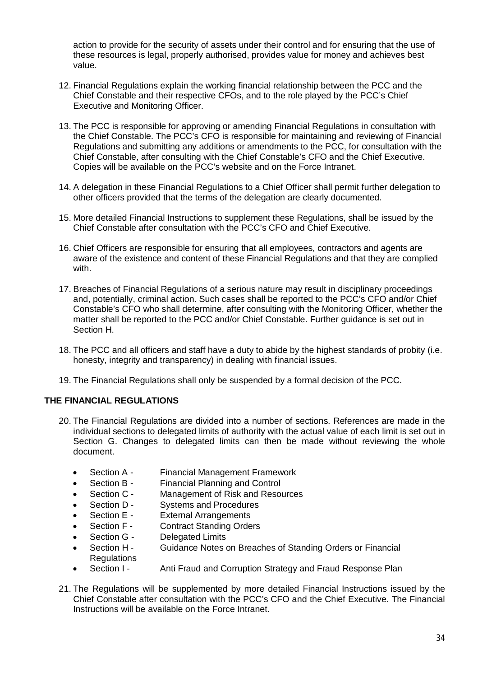action to provide for the security of assets under their control and for ensuring that the use of these resources is legal, properly authorised, provides value for money and achieves best value.

- 12. Financial Regulations explain the working financial relationship between the PCC and the Chief Constable and their respective CFOs, and to the role played by the PCC's Chief Executive and Monitoring Officer.
- 13. The PCC is responsible for approving or amending Financial Regulations in consultation with the Chief Constable. The PCC's CFO is responsible for maintaining and reviewing of Financial Regulations and submitting any additions or amendments to the PCC, for consultation with the Chief Constable, after consulting with the Chief Constable's CFO and the Chief Executive. Copies will be available on the PCC's website and on the Force Intranet.
- 14. A delegation in these Financial Regulations to a Chief Officer shall permit further delegation to other officers provided that the terms of the delegation are clearly documented.
- 15. More detailed Financial Instructions to supplement these Regulations, shall be issued by the Chief Constable after consultation with the PCC's CFO and Chief Executive.
- 16. Chief Officers are responsible for ensuring that all employees, contractors and agents are aware of the existence and content of these Financial Regulations and that they are complied with.
- 17. Breaches of Financial Regulations of a serious nature may result in disciplinary proceedings and, potentially, criminal action. Such cases shall be reported to the PCC's CFO and/or Chief Constable's CFO who shall determine, after consulting with the Monitoring Officer, whether the matter shall be reported to the PCC and/or Chief Constable. Further guidance is set out in Section H.
- 18. The PCC and all officers and staff have a duty to abide by the highest standards of probity (i.e. honesty, integrity and transparency) in dealing with financial issues.
- 19. The Financial Regulations shall only be suspended by a formal decision of the PCC.

# **THE FINANCIAL REGULATIONS**

- 20. The Financial Regulations are divided into a number of sections. References are made in the individual sections to delegated limits of authority with the actual value of each limit is set out in Section G. Changes to delegated limits can then be made without reviewing the whole document.
	- Section A Financial Management Framework
	- Section B Financial Planning and Control
	- Section C Management of Risk and Resources
	- Section D Systems and Procedures
	- Section E External Arrangements
	- Section F Contract Standing Orders
	- Section G Delegated Limits
	- Section H Guidance Notes on Breaches of Standing Orders or Financial **Regulations**
	- Section I Anti Fraud and Corruption Strategy and Fraud Response Plan
- 21. The Regulations will be supplemented by more detailed Financial Instructions issued by the Chief Constable after consultation with the PCC's CFO and the Chief Executive. The Financial Instructions will be available on the Force Intranet.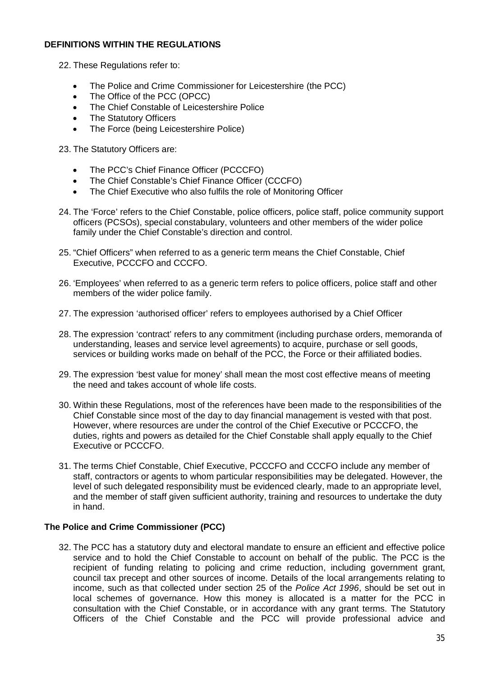# **DEFINITIONS WITHIN THE REGULATIONS**

- 22. These Regulations refer to:
	- The Police and Crime Commissioner for Leicestershire (the PCC)
	- The Office of the PCC (OPCC)
	- The Chief Constable of Leicestershire Police
	- The Statutory Officers
	- The Force (being Leicestershire Police)

23. The Statutory Officers are:

- The PCC's Chief Finance Officer (PCCCFO)
- The Chief Constable's Chief Finance Officer (CCCFO)
- The Chief Executive who also fulfils the role of Monitoring Officer
- 24. The 'Force' refers to the Chief Constable, police officers, police staff, police community support officers (PCSOs), special constabulary, volunteers and other members of the wider police family under the Chief Constable's direction and control.
- 25. "Chief Officers" when referred to as a generic term means the Chief Constable, Chief Executive, PCCCFO and CCCFO.
- 26. 'Employees' when referred to as a generic term refers to police officers, police staff and other members of the wider police family.
- 27. The expression 'authorised officer' refers to employees authorised by a Chief Officer
- 28. The expression 'contract' refers to any commitment (including purchase orders, memoranda of understanding, leases and service level agreements) to acquire, purchase or sell goods, services or building works made on behalf of the PCC, the Force or their affiliated bodies.
- 29. The expression 'best value for money' shall mean the most cost effective means of meeting the need and takes account of whole life costs.
- 30. Within these Regulations, most of the references have been made to the responsibilities of the Chief Constable since most of the day to day financial management is vested with that post. However, where resources are under the control of the Chief Executive or PCCCFO, the duties, rights and powers as detailed for the Chief Constable shall apply equally to the Chief Executive or PCCCFO.
- 31. The terms Chief Constable, Chief Executive, PCCCFO and CCCFO include any member of staff, contractors or agents to whom particular responsibilities may be delegated. However, the level of such delegated responsibility must be evidenced clearly, made to an appropriate level, and the member of staff given sufficient authority, training and resources to undertake the duty in hand.

# **The Police and Crime Commissioner (PCC)**

32. The PCC has a statutory duty and electoral mandate to ensure an efficient and effective police service and to hold the Chief Constable to account on behalf of the public. The PCC is the recipient of funding relating to policing and crime reduction, including government grant, council tax precept and other sources of income. Details of the local arrangements relating to income, such as that collected under section 25 of the *Police Act 1996*, should be set out in local schemes of governance. How this money is allocated is a matter for the PCC in consultation with the Chief Constable, or in accordance with any grant terms. The Statutory Officers of the Chief Constable and the PCC will provide professional advice and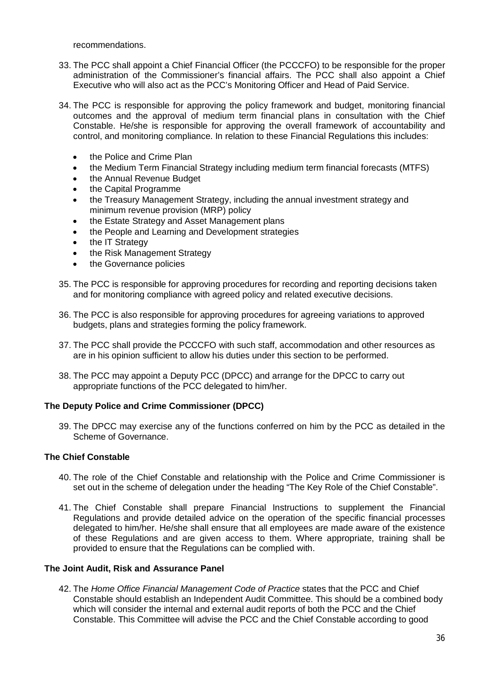recommendations.

- 33. The PCC shall appoint a Chief Financial Officer (the PCCCFO) to be responsible for the proper administration of the Commissioner's financial affairs. The PCC shall also appoint a Chief Executive who will also act as the PCC's Monitoring Officer and Head of Paid Service.
- 34. The PCC is responsible for approving the policy framework and budget, monitoring financial outcomes and the approval of medium term financial plans in consultation with the Chief Constable. He/she is responsible for approving the overall framework of accountability and control, and monitoring compliance. In relation to these Financial Regulations this includes:
	- the Police and Crime Plan
	- the Medium Term Financial Strategy including medium term financial forecasts (MTFS)
	- the Annual Revenue Budget
	- the Capital Programme
	- the Treasury Management Strategy, including the annual investment strategy and minimum revenue provision (MRP) policy
	- the Estate Strategy and Asset Management plans
	- the People and Learning and Development strategies
	- the IT Strategy
	- the Risk Management Strategy
	- the Governance policies
- 35. The PCC is responsible for approving procedures for recording and reporting decisions taken and for monitoring compliance with agreed policy and related executive decisions.
- 36. The PCC is also responsible for approving procedures for agreeing variations to approved budgets, plans and strategies forming the policy framework.
- 37. The PCC shall provide the PCCCFO with such staff, accommodation and other resources as are in his opinion sufficient to allow his duties under this section to be performed.
- 38. The PCC may appoint a Deputy PCC (DPCC) and arrange for the DPCC to carry out appropriate functions of the PCC delegated to him/her.

#### **The Deputy Police and Crime Commissioner (DPCC)**

39. The DPCC may exercise any of the functions conferred on him by the PCC as detailed in the Scheme of Governance.

#### **The Chief Constable**

- 40. The role of the Chief Constable and relationship with the Police and Crime Commissioner is set out in the scheme of delegation under the heading "The Key Role of the Chief Constable".
- 41. The Chief Constable shall prepare Financial Instructions to supplement the Financial Regulations and provide detailed advice on the operation of the specific financial processes delegated to him/her. He/she shall ensure that all employees are made aware of the existence of these Regulations and are given access to them. Where appropriate, training shall be provided to ensure that the Regulations can be complied with.

#### **The Joint Audit, Risk and Assurance Panel**

42. The *Home Office Financial Management Code of Practice* states that the PCC and Chief Constable should establish an Independent Audit Committee. This should be a combined body which will consider the internal and external audit reports of both the PCC and the Chief Constable. This Committee will advise the PCC and the Chief Constable according to good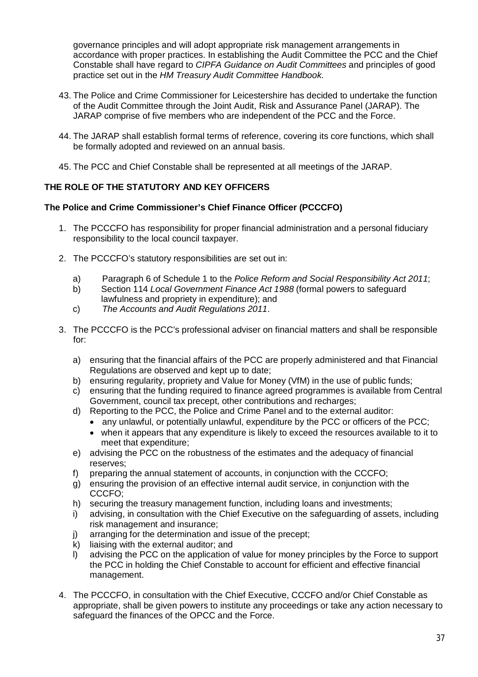governance principles and will adopt appropriate risk management arrangements in accordance with proper practices. In establishing the Audit Committee the PCC and the Chief Constable shall have regard to *CIPFA Guidance on Audit Committees* and principles of good practice set out in the *HM Treasury Audit Committee Handbook*.

- 43. The Police and Crime Commissioner for Leicestershire has decided to undertake the function of the Audit Committee through the Joint Audit, Risk and Assurance Panel (JARAP). The JARAP comprise of five members who are independent of the PCC and the Force.
- 44. The JARAP shall establish formal terms of reference, covering its core functions, which shall be formally adopted and reviewed on an annual basis.
- 45. The PCC and Chief Constable shall be represented at all meetings of the JARAP.

# **THE ROLE OF THE STATUTORY AND KEY OFFICERS**

# **The Police and Crime Commissioner's Chief Finance Officer (PCCCFO)**

- 1. The PCCCFO has responsibility for proper financial administration and a personal fiduciary responsibility to the local council taxpayer.
- 2. The PCCCFO's statutory responsibilities are set out in:
	- a) Paragraph 6 of Schedule 1 to the *Police Reform and Social Responsibility Act 2011*;
	- b) Section 114 *Local Government Finance Act 1988* (formal powers to safeguard lawfulness and propriety in expenditure); and
	- c) *The Accounts and Audit Regulations 2011*.
- 3. The PCCCFO is the PCC's professional adviser on financial matters and shall be responsible for:
	- a) ensuring that the financial affairs of the PCC are properly administered and that Financial Regulations are observed and kept up to date;
	- b) ensuring regularity, propriety and Value for Money (VfM) in the use of public funds;
	- c) ensuring that the funding required to finance agreed programmes is available from Central Government, council tax precept, other contributions and recharges;
	- d) Reporting to the PCC, the Police and Crime Panel and to the external auditor:
		- any unlawful, or potentially unlawful, expenditure by the PCC or officers of the PCC;
		- when it appears that any expenditure is likely to exceed the resources available to it to meet that expenditure;
	- e) advising the PCC on the robustness of the estimates and the adequacy of financial reserves;
	- f) preparing the annual statement of accounts, in conjunction with the CCCFO;
	- g) ensuring the provision of an effective internal audit service, in conjunction with the CCCFO;
	- h) securing the treasury management function, including loans and investments;
	- i) advising, in consultation with the Chief Executive on the safeguarding of assets, including risk management and insurance;
	- j) arranging for the determination and issue of the precept;
	- k) liaising with the external auditor; and
	- l) advising the PCC on the application of value for money principles by the Force to support the PCC in holding the Chief Constable to account for efficient and effective financial management.
- 4. The PCCCFO, in consultation with the Chief Executive, CCCFO and/or Chief Constable as appropriate, shall be given powers to institute any proceedings or take any action necessary to safeguard the finances of the OPCC and the Force.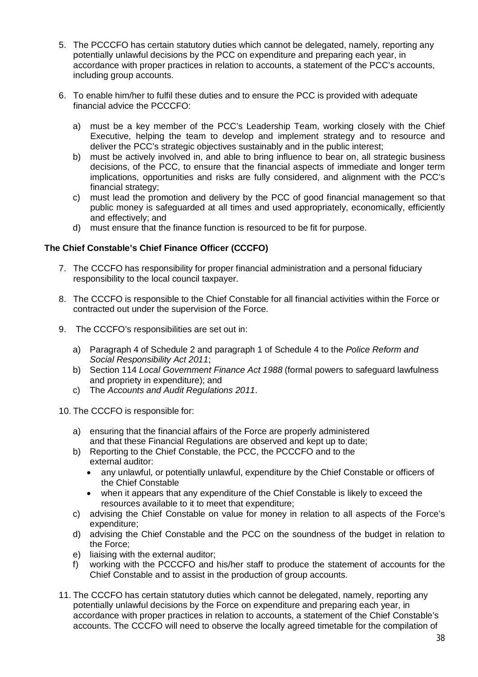- 5. The PCCCFO has certain statutory duties which cannot be delegated, namely, reporting any potentially unlawful decisions by the PCC on expenditure and preparing each year, in accordance with proper practices in relation to accounts, a statement of the PCC's accounts, including group accounts.
- 6. To enable him/her to fulfil these duties and to ensure the PCC is provided with adequate financial advice the PCCCFO:
	- a) must be a key member of the PCC's Leadership Team, working closely with the Chief Executive, helping the team to develop and implement strategy and to resource and deliver the PCC's strategic objectives sustainably and in the public interest;
	- b) must be actively involved in, and able to bring influence to bear on, all strategic business decisions, of the PCC, to ensure that the financial aspects of immediate and longer term implications, opportunities and risks are fully considered, and alignment with the PCC's financial strategy;
	- c) must lead the promotion and delivery by the PCC of good financial management so that public money is safeguarded at all times and used appropriately, economically, efficiently and effectively; and
	- d) must ensure that the finance function is resourced to be fit for purpose.

# **The Chief Constable's Chief Finance Officer (CCCFO)**

- 7. The CCCFO has responsibility for proper financial administration and a personal fiduciary responsibility to the local council taxpayer.
- 8. The CCCFO is responsible to the Chief Constable for all financial activities within the Force or contracted out under the supervision of the Force.
- 9. The CCCFO's responsibilities are set out in:
	- a) Paragraph 4 of Schedule 2 and paragraph 1 of Schedule 4 to the *Police Reform and Social Responsibility Act 2011*;
	- b) Section 114 *Local Government Finance Act 1988* (formal powers to safeguard lawfulness and propriety in expenditure); and
	- c) The *Accounts and Audit Regulations 2011*.
- 10. The CCCFO is responsible for:
	- a) ensuring that the financial affairs of the Force are properly administered and that these Financial Regulations are observed and kept up to date;
	- b) Reporting to the Chief Constable, the PCC, the PCCCFO and to the external auditor:
		- any unlawful, or potentially unlawful, expenditure by the Chief Constable or officers of the Chief Constable
		- when it appears that any expenditure of the Chief Constable is likely to exceed the resources available to it to meet that expenditure;
	- c) advising the Chief Constable on value for money in relation to all aspects of the Force's expenditure;
	- d) advising the Chief Constable and the PCC on the soundness of the budget in relation to the Force;
	- e) liaising with the external auditor;
	- f) working with the PCCCFO and his/her staff to produce the statement of accounts for the Chief Constable and to assist in the production of group accounts.
- 11. The CCCFO has certain statutory duties which cannot be delegated, namely, reporting any potentially unlawful decisions by the Force on expenditure and preparing each year, in accordance with proper practices in relation to accounts, a statement of the Chief Constable's accounts. The CCCFO will need to observe the locally agreed timetable for the compilation of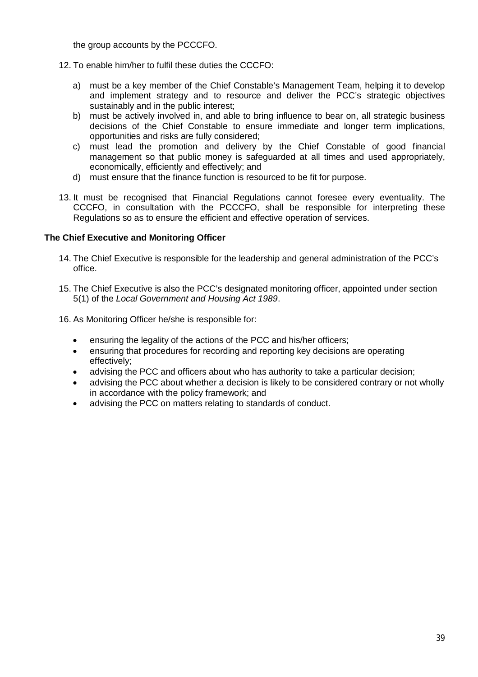the group accounts by the PCCCFO.

- 12. To enable him/her to fulfil these duties the CCCFO:
	- a) must be a key member of the Chief Constable's Management Team, helping it to develop and implement strategy and to resource and deliver the PCC's strategic objectives sustainably and in the public interest;
	- b) must be actively involved in, and able to bring influence to bear on, all strategic business decisions of the Chief Constable to ensure immediate and longer term implications, opportunities and risks are fully considered;
	- c) must lead the promotion and delivery by the Chief Constable of good financial management so that public money is safeguarded at all times and used appropriately, economically, efficiently and effectively; and
	- d) must ensure that the finance function is resourced to be fit for purpose.
- 13. It must be recognised that Financial Regulations cannot foresee every eventuality. The CCCFO, in consultation with the PCCCFO, shall be responsible for interpreting these Regulations so as to ensure the efficient and effective operation of services.

### **The Chief Executive and Monitoring Officer**

- 14. The Chief Executive is responsible for the leadership and general administration of the PCC's office.
- 15. The Chief Executive is also the PCC's designated monitoring officer, appointed under section 5(1) of the *Local Government and Housing Act 1989*.
- 16. As Monitoring Officer he/she is responsible for:
	- ensuring the legality of the actions of the PCC and his/her officers;
	- ensuring that procedures for recording and reporting key decisions are operating effectively;
	- advising the PCC and officers about who has authority to take a particular decision;
	- advising the PCC about whether a decision is likely to be considered contrary or not wholly in accordance with the policy framework; and
	- advising the PCC on matters relating to standards of conduct.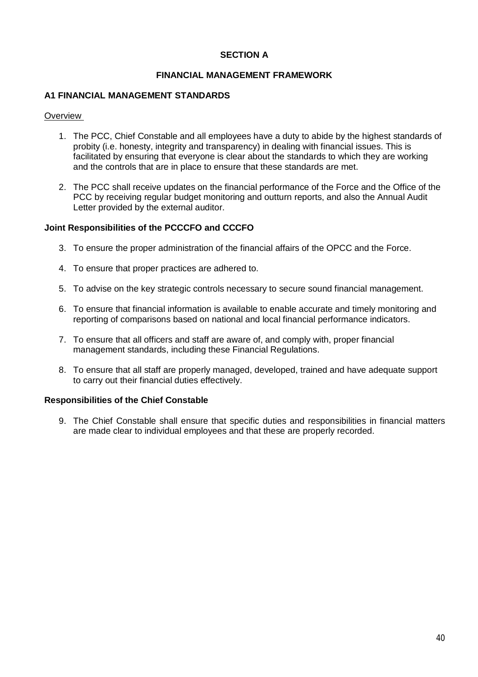### **SECTION A**

### **FINANCIAL MANAGEMENT FRAMEWORK**

### **A1 FINANCIAL MANAGEMENT STANDARDS**

#### **Overview**

- 1. The PCC, Chief Constable and all employees have a duty to abide by the highest standards of probity (i.e. honesty, integrity and transparency) in dealing with financial issues. This is facilitated by ensuring that everyone is clear about the standards to which they are working and the controls that are in place to ensure that these standards are met.
- 2. The PCC shall receive updates on the financial performance of the Force and the Office of the PCC by receiving regular budget monitoring and outturn reports, and also the Annual Audit Letter provided by the external auditor.

#### **Joint Responsibilities of the PCCCFO and CCCFO**

- 3. To ensure the proper administration of the financial affairs of the OPCC and the Force.
- 4. To ensure that proper practices are adhered to.
- 5. To advise on the key strategic controls necessary to secure sound financial management.
- 6. To ensure that financial information is available to enable accurate and timely monitoring and reporting of comparisons based on national and local financial performance indicators.
- 7. To ensure that all officers and staff are aware of, and comply with, proper financial management standards, including these Financial Regulations.
- 8. To ensure that all staff are properly managed, developed, trained and have adequate support to carry out their financial duties effectively.

### **Responsibilities of the Chief Constable**

9. The Chief Constable shall ensure that specific duties and responsibilities in financial matters are made clear to individual employees and that these are properly recorded.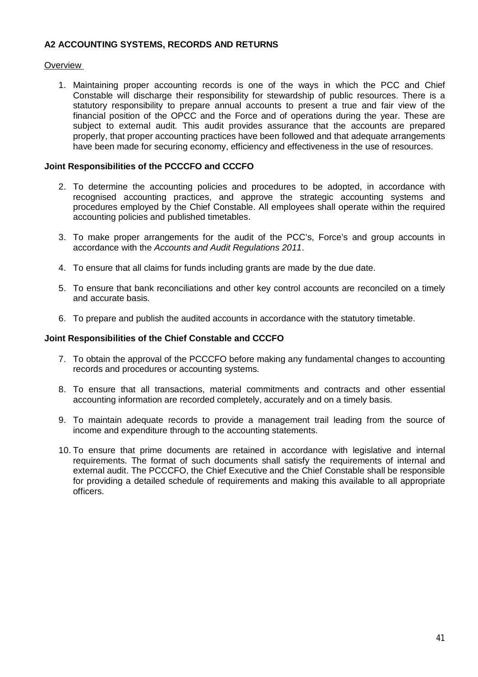### **A2 ACCOUNTING SYSTEMS, RECORDS AND RETURNS**

### **Overview**

1. Maintaining proper accounting records is one of the ways in which the PCC and Chief Constable will discharge their responsibility for stewardship of public resources. There is a statutory responsibility to prepare annual accounts to present a true and fair view of the financial position of the OPCC and the Force and of operations during the year. These are subject to external audit. This audit provides assurance that the accounts are prepared properly, that proper accounting practices have been followed and that adequate arrangements have been made for securing economy, efficiency and effectiveness in the use of resources.

### **Joint Responsibilities of the PCCCFO and CCCFO**

- 2. To determine the accounting policies and procedures to be adopted, in accordance with recognised accounting practices, and approve the strategic accounting systems and procedures employed by the Chief Constable. All employees shall operate within the required accounting policies and published timetables.
- 3. To make proper arrangements for the audit of the PCC's, Force's and group accounts in accordance with the *Accounts and Audit Regulations 2011*.
- 4. To ensure that all claims for funds including grants are made by the due date.
- 5. To ensure that bank reconciliations and other key control accounts are reconciled on a timely and accurate basis.
- 6. To prepare and publish the audited accounts in accordance with the statutory timetable.

### **Joint Responsibilities of the Chief Constable and CCCFO**

- 7. To obtain the approval of the PCCCFO before making any fundamental changes to accounting records and procedures or accounting systems.
- 8. To ensure that all transactions, material commitments and contracts and other essential accounting information are recorded completely, accurately and on a timely basis.
- 9. To maintain adequate records to provide a management trail leading from the source of income and expenditure through to the accounting statements.
- 10. To ensure that prime documents are retained in accordance with legislative and internal requirements. The format of such documents shall satisfy the requirements of internal and external audit. The PCCCFO, the Chief Executive and the Chief Constable shall be responsible for providing a detailed schedule of requirements and making this available to all appropriate officers.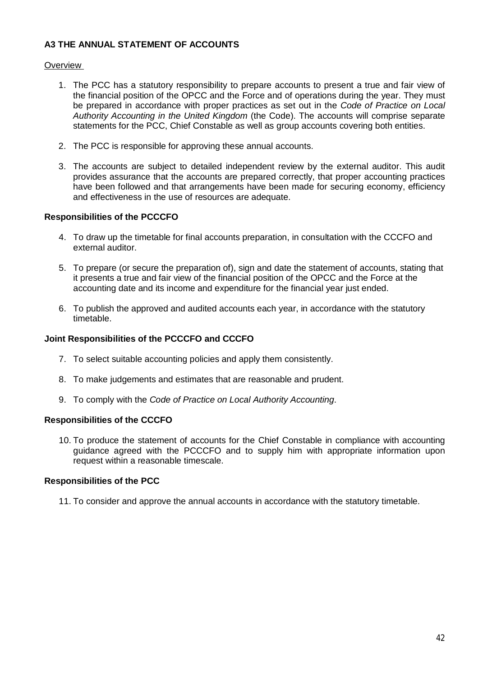## **A3 THE ANNUAL STATEMENT OF ACCOUNTS**

### **Overview**

- 1. The PCC has a statutory responsibility to prepare accounts to present a true and fair view of the financial position of the OPCC and the Force and of operations during the year. They must be prepared in accordance with proper practices as set out in the *Code of Practice on Local Authority Accounting in the United Kingdom* (the Code). The accounts will comprise separate statements for the PCC, Chief Constable as well as group accounts covering both entities.
- 2. The PCC is responsible for approving these annual accounts.
- 3. The accounts are subject to detailed independent review by the external auditor. This audit provides assurance that the accounts are prepared correctly, that proper accounting practices have been followed and that arrangements have been made for securing economy, efficiency and effectiveness in the use of resources are adequate.

### **Responsibilities of the PCCCFO**

- 4. To draw up the timetable for final accounts preparation, in consultation with the CCCFO and external auditor.
- 5. To prepare (or secure the preparation of), sign and date the statement of accounts, stating that it presents a true and fair view of the financial position of the OPCC and the Force at the accounting date and its income and expenditure for the financial year just ended.
- 6. To publish the approved and audited accounts each year, in accordance with the statutory timetable.

### **Joint Responsibilities of the PCCCFO and CCCFO**

- 7. To select suitable accounting policies and apply them consistently.
- 8. To make judgements and estimates that are reasonable and prudent.
- 9. To comply with the *Code of Practice on Local Authority Accounting*.

### **Responsibilities of the CCCFO**

10. To produce the statement of accounts for the Chief Constable in compliance with accounting guidance agreed with the PCCCFO and to supply him with appropriate information upon request within a reasonable timescale.

### **Responsibilities of the PCC**

11. To consider and approve the annual accounts in accordance with the statutory timetable.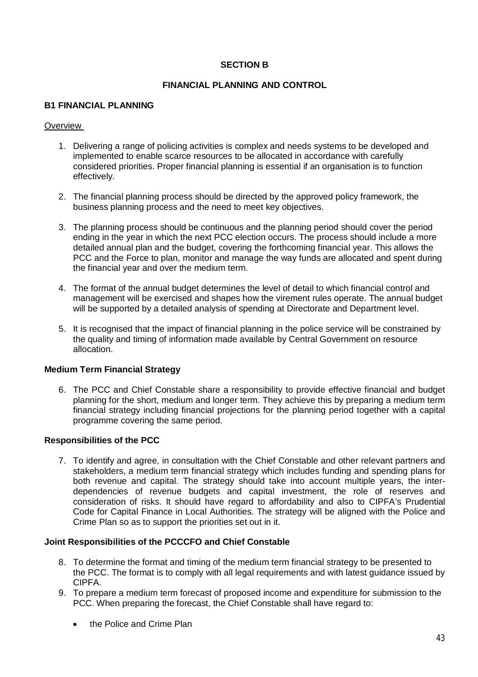## **SECTION B**

## **FINANCIAL PLANNING AND CONTROL**

### **B1 FINANCIAL PLANNING**

### **Overview**

- 1. Delivering a range of policing activities is complex and needs systems to be developed and implemented to enable scarce resources to be allocated in accordance with carefully considered priorities. Proper financial planning is essential if an organisation is to function effectively.
- 2. The financial planning process should be directed by the approved policy framework, the business planning process and the need to meet key objectives.
- 3. The planning process should be continuous and the planning period should cover the period ending in the year in which the next PCC election occurs. The process should include a more detailed annual plan and the budget, covering the forthcoming financial year. This allows the PCC and the Force to plan, monitor and manage the way funds are allocated and spent during the financial year and over the medium term.
- 4. The format of the annual budget determines the level of detail to which financial control and management will be exercised and shapes how the virement rules operate. The annual budget will be supported by a detailed analysis of spending at Directorate and Department level.
- 5. It is recognised that the impact of financial planning in the police service will be constrained by the quality and timing of information made available by Central Government on resource allocation.

### **Medium Term Financial Strategy**

6. The PCC and Chief Constable share a responsibility to provide effective financial and budget planning for the short, medium and longer term. They achieve this by preparing a medium term financial strategy including financial projections for the planning period together with a capital programme covering the same period.

### **Responsibilities of the PCC**

7. To identify and agree, in consultation with the Chief Constable and other relevant partners and stakeholders, a medium term financial strategy which includes funding and spending plans for both revenue and capital. The strategy should take into account multiple years, the interdependencies of revenue budgets and capital investment, the role of reserves and consideration of risks. It should have regard to affordability and also to CIPFA's Prudential Code for Capital Finance in Local Authorities. The strategy will be aligned with the Police and Crime Plan so as to support the priorities set out in it.

#### **Joint Responsibilities of the PCCCFO and Chief Constable**

- 8. To determine the format and timing of the medium term financial strategy to be presented to the PCC. The format is to comply with all legal requirements and with latest guidance issued by CIPFA.
- 9. To prepare a medium term forecast of proposed income and expenditure for submission to the PCC. When preparing the forecast, the Chief Constable shall have regard to:
	- the Police and Crime Plan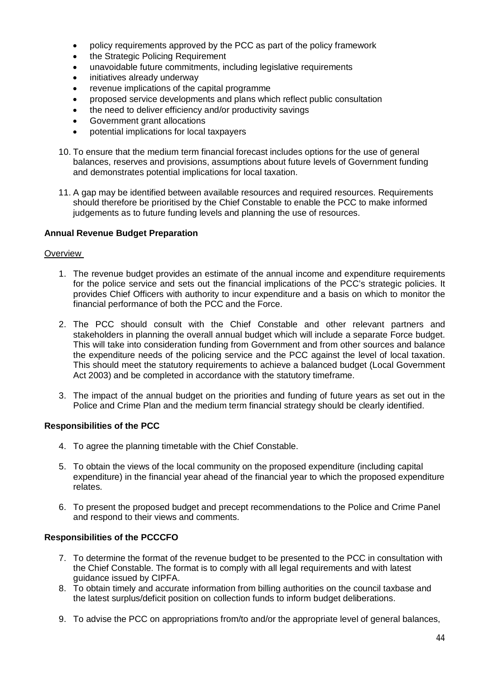- policy requirements approved by the PCC as part of the policy framework
- the Strategic Policing Requirement
- unavoidable future commitments, including legislative requirements
- initiatives already underway
- revenue implications of the capital programme
- proposed service developments and plans which reflect public consultation
- the need to deliver efficiency and/or productivity savings
- Government grant allocations
- potential implications for local taxpayers
- 10. To ensure that the medium term financial forecast includes options for the use of general balances, reserves and provisions, assumptions about future levels of Government funding and demonstrates potential implications for local taxation.
- 11. A gap may be identified between available resources and required resources. Requirements should therefore be prioritised by the Chief Constable to enable the PCC to make informed judgements as to future funding levels and planning the use of resources.

## **Annual Revenue Budget Preparation**

#### **Overview**

- 1. The revenue budget provides an estimate of the annual income and expenditure requirements for the police service and sets out the financial implications of the PCC's strategic policies. It provides Chief Officers with authority to incur expenditure and a basis on which to monitor the financial performance of both the PCC and the Force.
- 2. The PCC should consult with the Chief Constable and other relevant partners and stakeholders in planning the overall annual budget which will include a separate Force budget. This will take into consideration funding from Government and from other sources and balance the expenditure needs of the policing service and the PCC against the level of local taxation. This should meet the statutory requirements to achieve a balanced budget (Local Government Act 2003) and be completed in accordance with the statutory timeframe.
- 3. The impact of the annual budget on the priorities and funding of future years as set out in the Police and Crime Plan and the medium term financial strategy should be clearly identified.

### **Responsibilities of the PCC**

- 4. To agree the planning timetable with the Chief Constable.
- 5. To obtain the views of the local community on the proposed expenditure (including capital expenditure) in the financial year ahead of the financial year to which the proposed expenditure relates.
- 6. To present the proposed budget and precept recommendations to the Police and Crime Panel and respond to their views and comments.

### **Responsibilities of the PCCCFO**

- 7. To determine the format of the revenue budget to be presented to the PCC in consultation with the Chief Constable. The format is to comply with all legal requirements and with latest guidance issued by CIPFA.
- 8. To obtain timely and accurate information from billing authorities on the council taxbase and the latest surplus/deficit position on collection funds to inform budget deliberations.
- 9. To advise the PCC on appropriations from/to and/or the appropriate level of general balances,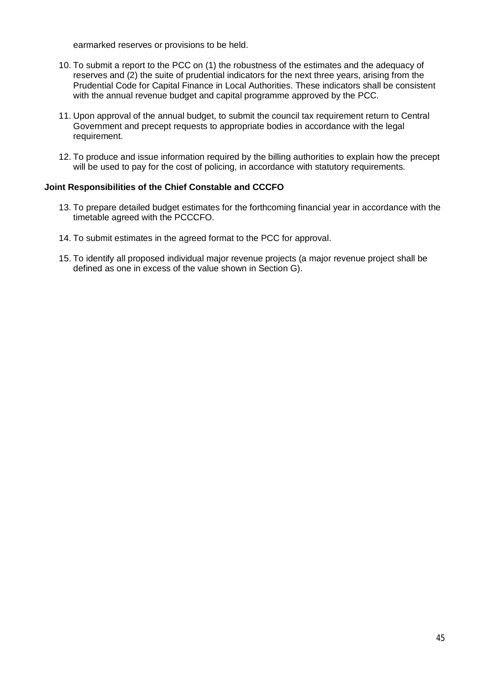earmarked reserves or provisions to be held.

- 10. To submit a report to the PCC on (1) the robustness of the estimates and the adequacy of reserves and (2) the suite of prudential indicators for the next three years, arising from the Prudential Code for Capital Finance in Local Authorities. These indicators shall be consistent with the annual revenue budget and capital programme approved by the PCC.
- 11. Upon approval of the annual budget, to submit the council tax requirement return to Central Government and precept requests to appropriate bodies in accordance with the legal requirement.
- 12. To produce and issue information required by the billing authorities to explain how the precept will be used to pay for the cost of policing, in accordance with statutory requirements.

### **Joint Responsibilities of the Chief Constable and CCCFO**

- 13. To prepare detailed budget estimates for the forthcoming financial year in accordance with the timetable agreed with the PCCCFO.
- 14. To submit estimates in the agreed format to the PCC for approval.
- 15. To identify all proposed individual major revenue projects (a major revenue project shall be defined as one in excess of the value shown in Section G).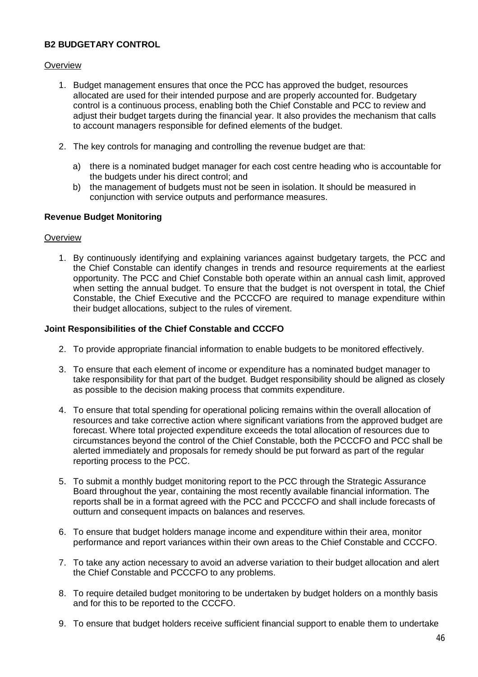# **B2 BUDGETARY CONTROL**

## **Overview**

- 1. Budget management ensures that once the PCC has approved the budget, resources allocated are used for their intended purpose and are properly accounted for. Budgetary control is a continuous process, enabling both the Chief Constable and PCC to review and adjust their budget targets during the financial year. It also provides the mechanism that calls to account managers responsible for defined elements of the budget.
- 2. The key controls for managing and controlling the revenue budget are that:
	- a) there is a nominated budget manager for each cost centre heading who is accountable for the budgets under his direct control; and
	- b) the management of budgets must not be seen in isolation. It should be measured in conjunction with service outputs and performance measures.

## **Revenue Budget Monitoring**

### **Overview**

1. By continuously identifying and explaining variances against budgetary targets, the PCC and the Chief Constable can identify changes in trends and resource requirements at the earliest opportunity. The PCC and Chief Constable both operate within an annual cash limit, approved when setting the annual budget. To ensure that the budget is not overspent in total, the Chief Constable, the Chief Executive and the PCCCFO are required to manage expenditure within their budget allocations, subject to the rules of virement.

### **Joint Responsibilities of the Chief Constable and CCCFO**

- 2. To provide appropriate financial information to enable budgets to be monitored effectively.
- 3. To ensure that each element of income or expenditure has a nominated budget manager to take responsibility for that part of the budget. Budget responsibility should be aligned as closely as possible to the decision making process that commits expenditure.
- 4. To ensure that total spending for operational policing remains within the overall allocation of resources and take corrective action where significant variations from the approved budget are forecast. Where total projected expenditure exceeds the total allocation of resources due to circumstances beyond the control of the Chief Constable, both the PCCCFO and PCC shall be alerted immediately and proposals for remedy should be put forward as part of the regular reporting process to the PCC.
- 5. To submit a monthly budget monitoring report to the PCC through the Strategic Assurance Board throughout the year, containing the most recently available financial information. The reports shall be in a format agreed with the PCC and PCCCFO and shall include forecasts of outturn and consequent impacts on balances and reserves.
- 6. To ensure that budget holders manage income and expenditure within their area, monitor performance and report variances within their own areas to the Chief Constable and CCCFO.
- 7. To take any action necessary to avoid an adverse variation to their budget allocation and alert the Chief Constable and PCCCFO to any problems.
- 8. To require detailed budget monitoring to be undertaken by budget holders on a monthly basis and for this to be reported to the CCCFO.
- 9. To ensure that budget holders receive sufficient financial support to enable them to undertake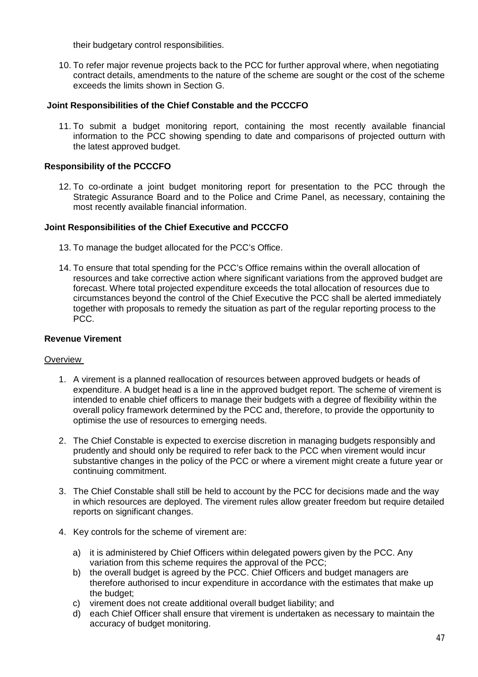their budgetary control responsibilities.

10. To refer major revenue projects back to the PCC for further approval where, when negotiating contract details, amendments to the nature of the scheme are sought or the cost of the scheme exceeds the limits shown in Section G.

### **Joint Responsibilities of the Chief Constable and the PCCCFO**

11. To submit a budget monitoring report, containing the most recently available financial information to the PCC showing spending to date and comparisons of projected outturn with the latest approved budget.

### **Responsibility of the PCCCFO**

12. To co-ordinate a joint budget monitoring report for presentation to the PCC through the Strategic Assurance Board and to the Police and Crime Panel, as necessary, containing the most recently available financial information.

#### **Joint Responsibilities of the Chief Executive and PCCCFO**

- 13. To manage the budget allocated for the PCC's Office.
- 14. To ensure that total spending for the PCC's Office remains within the overall allocation of resources and take corrective action where significant variations from the approved budget are forecast. Where total projected expenditure exceeds the total allocation of resources due to circumstances beyond the control of the Chief Executive the PCC shall be alerted immediately together with proposals to remedy the situation as part of the regular reporting process to the PCC.

### **Revenue Virement**

#### **Overview**

- 1. A virement is a planned reallocation of resources between approved budgets or heads of expenditure. A budget head is a line in the approved budget report. The scheme of virement is intended to enable chief officers to manage their budgets with a degree of flexibility within the overall policy framework determined by the PCC and, therefore, to provide the opportunity to optimise the use of resources to emerging needs.
- 2. The Chief Constable is expected to exercise discretion in managing budgets responsibly and prudently and should only be required to refer back to the PCC when virement would incur substantive changes in the policy of the PCC or where a virement might create a future year or continuing commitment.
- 3. The Chief Constable shall still be held to account by the PCC for decisions made and the way in which resources are deployed. The virement rules allow greater freedom but require detailed reports on significant changes.
- 4. Key controls for the scheme of virement are:
	- a) it is administered by Chief Officers within delegated powers given by the PCC. Any variation from this scheme requires the approval of the PCC;
	- b) the overall budget is agreed by the PCC. Chief Officers and budget managers are therefore authorised to incur expenditure in accordance with the estimates that make up the budget;
	- c) virement does not create additional overall budget liability; and
	- d) each Chief Officer shall ensure that virement is undertaken as necessary to maintain the accuracy of budget monitoring.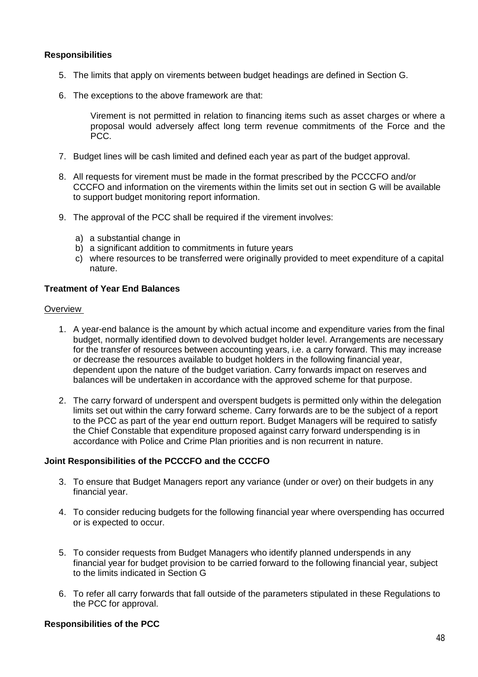## **Responsibilities**

- 5. The limits that apply on virements between budget headings are defined in Section G.
- 6. The exceptions to the above framework are that:

Virement is not permitted in relation to financing items such as asset charges or where a proposal would adversely affect long term revenue commitments of the Force and the PCC.

- 7. Budget lines will be cash limited and defined each year as part of the budget approval.
- 8. All requests for virement must be made in the format prescribed by the PCCCFO and/or CCCFO and information on the virements within the limits set out in section G will be available to support budget monitoring report information.
- 9. The approval of the PCC shall be required if the virement involves:
	- a) a substantial change in
	- b) a significant addition to commitments in future years
	- c) where resources to be transferred were originally provided to meet expenditure of a capital nature.

### **Treatment of Year End Balances**

#### **Overview**

- 1. A year-end balance is the amount by which actual income and expenditure varies from the final budget, normally identified down to devolved budget holder level. Arrangements are necessary for the transfer of resources between accounting years, i.e. a carry forward. This may increase or decrease the resources available to budget holders in the following financial year, dependent upon the nature of the budget variation. Carry forwards impact on reserves and balances will be undertaken in accordance with the approved scheme for that purpose.
- 2. The carry forward of underspent and overspent budgets is permitted only within the delegation limits set out within the carry forward scheme. Carry forwards are to be the subject of a report to the PCC as part of the year end outturn report. Budget Managers will be required to satisfy the Chief Constable that expenditure proposed against carry forward underspending is in accordance with Police and Crime Plan priorities and is non recurrent in nature.

### **Joint Responsibilities of the PCCCFO and the CCCFO**

- 3. To ensure that Budget Managers report any variance (under or over) on their budgets in any financial year.
- 4. To consider reducing budgets for the following financial year where overspending has occurred or is expected to occur.
- 5. To consider requests from Budget Managers who identify planned underspends in any financial year for budget provision to be carried forward to the following financial year, subject to the limits indicated in Section G
- 6. To refer all carry forwards that fall outside of the parameters stipulated in these Regulations to the PCC for approval.

### **Responsibilities of the PCC**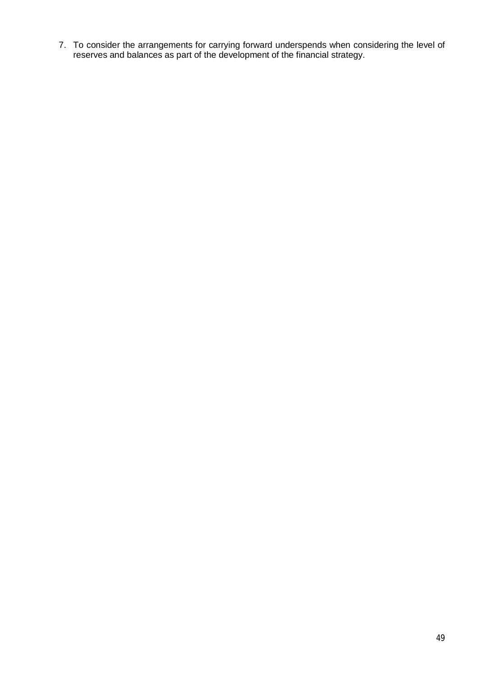7. To consider the arrangements for carrying forward underspends when considering the level of reserves and balances as part of the development of the financial strategy.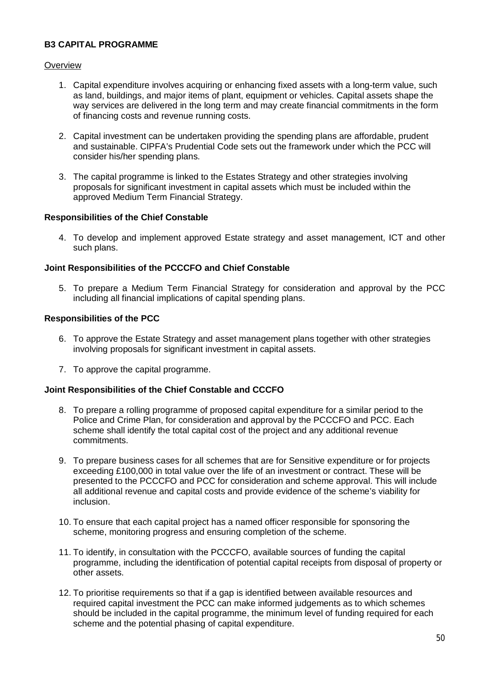## **B3 CAPITAL PROGRAMME**

### **Overview**

- 1. Capital expenditure involves acquiring or enhancing fixed assets with a long-term value, such as land, buildings, and major items of plant, equipment or vehicles. Capital assets shape the way services are delivered in the long term and may create financial commitments in the form of financing costs and revenue running costs.
- 2. Capital investment can be undertaken providing the spending plans are affordable, prudent and sustainable. CIPFA's Prudential Code sets out the framework under which the PCC will consider his/her spending plans.
- 3. The capital programme is linked to the Estates Strategy and other strategies involving proposals for significant investment in capital assets which must be included within the approved Medium Term Financial Strategy.

### **Responsibilities of the Chief Constable**

4. To develop and implement approved Estate strategy and asset management, ICT and other such plans.

### **Joint Responsibilities of the PCCCFO and Chief Constable**

5. To prepare a Medium Term Financial Strategy for consideration and approval by the PCC including all financial implications of capital spending plans.

#### **Responsibilities of the PCC**

- 6. To approve the Estate Strategy and asset management plans together with other strategies involving proposals for significant investment in capital assets.
- 7. To approve the capital programme.

### **Joint Responsibilities of the Chief Constable and CCCFO**

- 8. To prepare a rolling programme of proposed capital expenditure for a similar period to the Police and Crime Plan, for consideration and approval by the PCCCFO and PCC. Each scheme shall identify the total capital cost of the project and any additional revenue commitments.
- 9. To prepare business cases for all schemes that are for Sensitive expenditure or for projects exceeding £100,000 in total value over the life of an investment or contract. These will be presented to the PCCCFO and PCC for consideration and scheme approval. This will include all additional revenue and capital costs and provide evidence of the scheme's viability for inclusion.
- 10. To ensure that each capital project has a named officer responsible for sponsoring the scheme, monitoring progress and ensuring completion of the scheme.
- 11. To identify, in consultation with the PCCCFO, available sources of funding the capital programme, including the identification of potential capital receipts from disposal of property or other assets.
- 12. To prioritise requirements so that if a gap is identified between available resources and required capital investment the PCC can make informed judgements as to which schemes should be included in the capital programme, the minimum level of funding required for each scheme and the potential phasing of capital expenditure.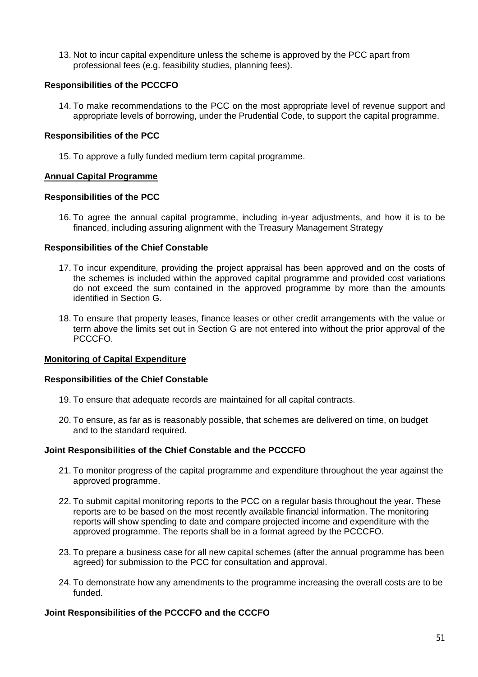13. Not to incur capital expenditure unless the scheme is approved by the PCC apart from professional fees (e.g. feasibility studies, planning fees).

### **Responsibilities of the PCCCFO**

14. To make recommendations to the PCC on the most appropriate level of revenue support and appropriate levels of borrowing, under the Prudential Code, to support the capital programme.

## **Responsibilities of the PCC**

15. To approve a fully funded medium term capital programme.

## **Annual Capital Programme**

### **Responsibilities of the PCC**

16. To agree the annual capital programme, including in-year adjustments, and how it is to be financed, including assuring alignment with the Treasury Management Strategy

### **Responsibilities of the Chief Constable**

- 17. To incur expenditure, providing the project appraisal has been approved and on the costs of the schemes is included within the approved capital programme and provided cost variations do not exceed the sum contained in the approved programme by more than the amounts identified in Section G.
- 18. To ensure that property leases, finance leases or other credit arrangements with the value or term above the limits set out in Section G are not entered into without the prior approval of the PCCCFO.

### **Monitoring of Capital Expenditure**

### **Responsibilities of the Chief Constable**

- 19. To ensure that adequate records are maintained for all capital contracts.
- 20. To ensure, as far as is reasonably possible, that schemes are delivered on time, on budget and to the standard required.

### **Joint Responsibilities of the Chief Constable and the PCCCFO**

- 21. To monitor progress of the capital programme and expenditure throughout the year against the approved programme.
- 22. To submit capital monitoring reports to the PCC on a regular basis throughout the year. These reports are to be based on the most recently available financial information. The monitoring reports will show spending to date and compare projected income and expenditure with the approved programme. The reports shall be in a format agreed by the PCCCFO.
- 23. To prepare a business case for all new capital schemes (after the annual programme has been agreed) for submission to the PCC for consultation and approval.
- 24. To demonstrate how any amendments to the programme increasing the overall costs are to be funded.

### **Joint Responsibilities of the PCCCFO and the CCCFO**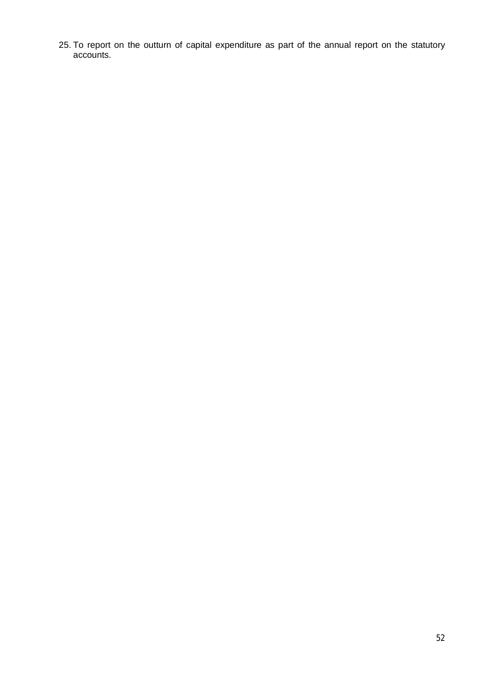25. To report on the outturn of capital expenditure as part of the annual report on the statutory accounts.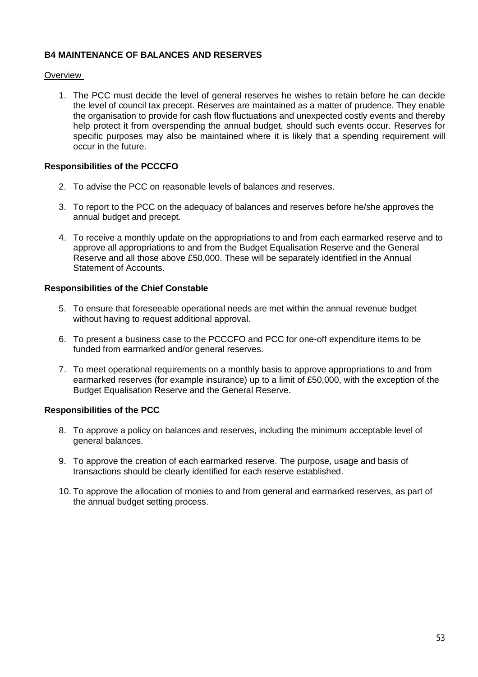## **B4 MAINTENANCE OF BALANCES AND RESERVES**

### Overview

1. The PCC must decide the level of general reserves he wishes to retain before he can decide the level of council tax precept. Reserves are maintained as a matter of prudence. They enable the organisation to provide for cash flow fluctuations and unexpected costly events and thereby help protect it from overspending the annual budget, should such events occur. Reserves for specific purposes may also be maintained where it is likely that a spending requirement will occur in the future.

### **Responsibilities of the PCCCFO**

- 2. To advise the PCC on reasonable levels of balances and reserves.
- 3. To report to the PCC on the adequacy of balances and reserves before he/she approves the annual budget and precept.
- 4. To receive a monthly update on the appropriations to and from each earmarked reserve and to approve all appropriations to and from the Budget Equalisation Reserve and the General Reserve and all those above £50,000. These will be separately identified in the Annual Statement of Accounts.

### **Responsibilities of the Chief Constable**

- 5. To ensure that foreseeable operational needs are met within the annual revenue budget without having to request additional approval.
- 6. To present a business case to the PCCCFO and PCC for one-off expenditure items to be funded from earmarked and/or general reserves.
- 7. To meet operational requirements on a monthly basis to approve appropriations to and from earmarked reserves (for example insurance) up to a limit of £50,000, with the exception of the Budget Equalisation Reserve and the General Reserve.

### **Responsibilities of the PCC**

- 8. To approve a policy on balances and reserves, including the minimum acceptable level of general balances.
- 9. To approve the creation of each earmarked reserve. The purpose, usage and basis of transactions should be clearly identified for each reserve established.
- 10. To approve the allocation of monies to and from general and earmarked reserves, as part of the annual budget setting process.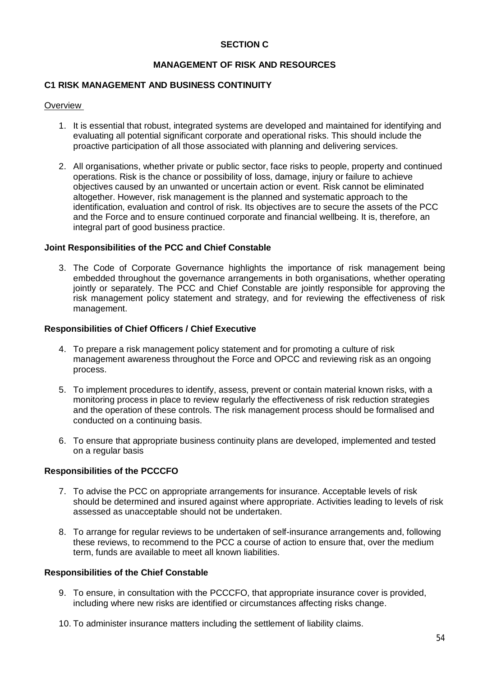### **SECTION C**

### **MANAGEMENT OF RISK AND RESOURCES**

### **C1 RISK MANAGEMENT AND BUSINESS CONTINUITY**

#### **Overview**

- 1. It is essential that robust, integrated systems are developed and maintained for identifying and evaluating all potential significant corporate and operational risks. This should include the proactive participation of all those associated with planning and delivering services.
- 2. All organisations, whether private or public sector, face risks to people, property and continued operations. Risk is the chance or possibility of loss, damage, injury or failure to achieve objectives caused by an unwanted or uncertain action or event. Risk cannot be eliminated altogether. However, risk management is the planned and systematic approach to the identification, evaluation and control of risk. Its objectives are to secure the assets of the PCC and the Force and to ensure continued corporate and financial wellbeing. It is, therefore, an integral part of good business practice.

#### **Joint Responsibilities of the PCC and Chief Constable**

3. The Code of Corporate Governance highlights the importance of risk management being embedded throughout the governance arrangements in both organisations, whether operating jointly or separately. The PCC and Chief Constable are jointly responsible for approving the risk management policy statement and strategy, and for reviewing the effectiveness of risk management.

#### **Responsibilities of Chief Officers / Chief Executive**

- 4. To prepare a risk management policy statement and for promoting a culture of risk management awareness throughout the Force and OPCC and reviewing risk as an ongoing process.
- 5. To implement procedures to identify, assess, prevent or contain material known risks, with a monitoring process in place to review regularly the effectiveness of risk reduction strategies and the operation of these controls. The risk management process should be formalised and conducted on a continuing basis.
- 6. To ensure that appropriate business continuity plans are developed, implemented and tested on a regular basis

### **Responsibilities of the PCCCFO**

- 7. To advise the PCC on appropriate arrangements for insurance. Acceptable levels of risk should be determined and insured against where appropriate. Activities leading to levels of risk assessed as unacceptable should not be undertaken.
- 8. To arrange for regular reviews to be undertaken of self-insurance arrangements and, following these reviews, to recommend to the PCC a course of action to ensure that, over the medium term, funds are available to meet all known liabilities.

#### **Responsibilities of the Chief Constable**

- 9. To ensure, in consultation with the PCCCFO, that appropriate insurance cover is provided, including where new risks are identified or circumstances affecting risks change.
- 10. To administer insurance matters including the settlement of liability claims.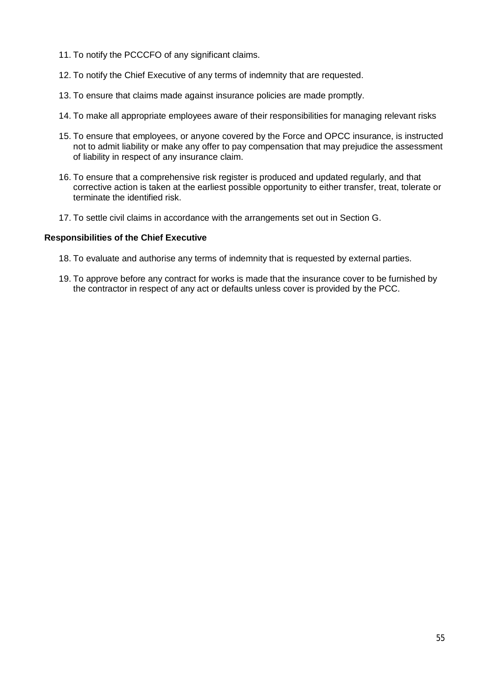- 11. To notify the PCCCFO of any significant claims.
- 12. To notify the Chief Executive of any terms of indemnity that are requested.
- 13. To ensure that claims made against insurance policies are made promptly.
- 14. To make all appropriate employees aware of their responsibilities for managing relevant risks
- 15. To ensure that employees, or anyone covered by the Force and OPCC insurance, is instructed not to admit liability or make any offer to pay compensation that may prejudice the assessment of liability in respect of any insurance claim.
- 16. To ensure that a comprehensive risk register is produced and updated regularly, and that corrective action is taken at the earliest possible opportunity to either transfer, treat, tolerate or terminate the identified risk.
- 17. To settle civil claims in accordance with the arrangements set out in Section G.

#### **Responsibilities of the Chief Executive**

- 18. To evaluate and authorise any terms of indemnity that is requested by external parties.
- 19. To approve before any contract for works is made that the insurance cover to be furnished by the contractor in respect of any act or defaults unless cover is provided by the PCC.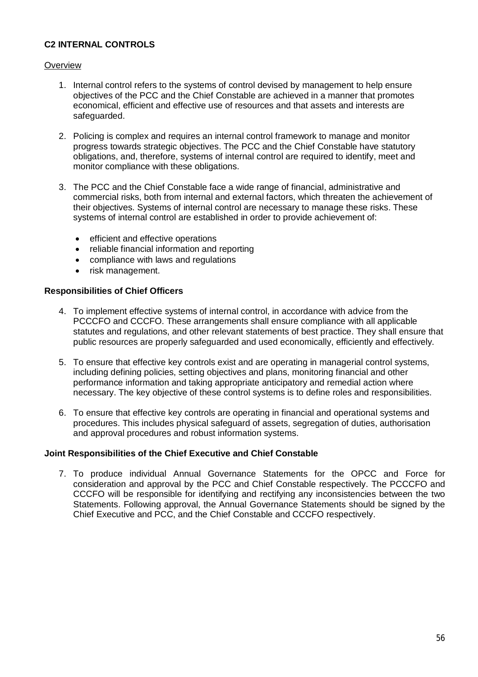# **C2 INTERNAL CONTROLS**

## **Overview**

- 1. Internal control refers to the systems of control devised by management to help ensure objectives of the PCC and the Chief Constable are achieved in a manner that promotes economical, efficient and effective use of resources and that assets and interests are safeguarded.
- 2. Policing is complex and requires an internal control framework to manage and monitor progress towards strategic objectives. The PCC and the Chief Constable have statutory obligations, and, therefore, systems of internal control are required to identify, meet and monitor compliance with these obligations.
- 3. The PCC and the Chief Constable face a wide range of financial, administrative and commercial risks, both from internal and external factors, which threaten the achievement of their objectives. Systems of internal control are necessary to manage these risks. These systems of internal control are established in order to provide achievement of:
	- efficient and effective operations
	- reliable financial information and reporting
	- compliance with laws and regulations
	- risk management.

## **Responsibilities of Chief Officers**

- 4. To implement effective systems of internal control, in accordance with advice from the PCCCFO and CCCFO. These arrangements shall ensure compliance with all applicable statutes and regulations, and other relevant statements of best practice. They shall ensure that public resources are properly safeguarded and used economically, efficiently and effectively.
- 5. To ensure that effective key controls exist and are operating in managerial control systems, including defining policies, setting objectives and plans, monitoring financial and other performance information and taking appropriate anticipatory and remedial action where necessary. The key objective of these control systems is to define roles and responsibilities.
- 6. To ensure that effective key controls are operating in financial and operational systems and procedures. This includes physical safeguard of assets, segregation of duties, authorisation and approval procedures and robust information systems.

## **Joint Responsibilities of the Chief Executive and Chief Constable**

7. To produce individual Annual Governance Statements for the OPCC and Force for consideration and approval by the PCC and Chief Constable respectively. The PCCCFO and CCCFO will be responsible for identifying and rectifying any inconsistencies between the two Statements. Following approval, the Annual Governance Statements should be signed by the Chief Executive and PCC, and the Chief Constable and CCCFO respectively.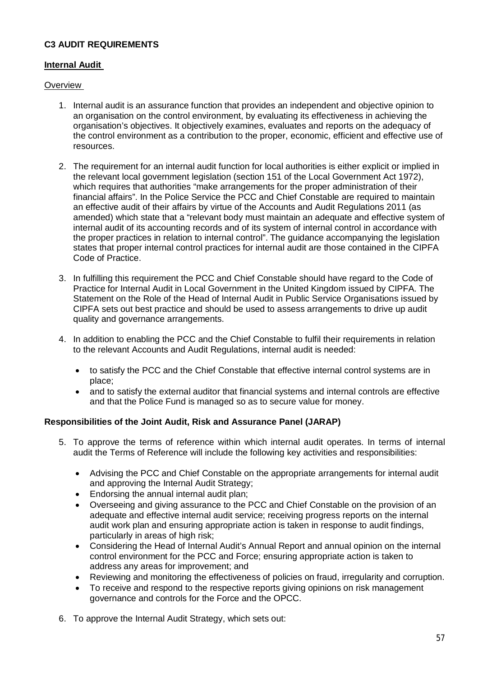# **C3 AUDIT REQUIREMENTS**

### **Internal Audit**

### **Overview**

- 1. Internal audit is an assurance function that provides an independent and objective opinion to an organisation on the control environment, by evaluating its effectiveness in achieving the organisation's objectives. It objectively examines, evaluates and reports on the adequacy of the control environment as a contribution to the proper, economic, efficient and effective use of resources.
- 2. The requirement for an internal audit function for local authorities is either explicit or implied in the relevant local government legislation (section 151 of the Local Government Act 1972), which requires that authorities "make arrangements for the proper administration of their financial affairs". In the Police Service the PCC and Chief Constable are required to maintain an effective audit of their affairs by virtue of the Accounts and Audit Regulations 2011 (as amended) which state that a "relevant body must maintain an adequate and effective system of internal audit of its accounting records and of its system of internal control in accordance with the proper practices in relation to internal control". The guidance accompanying the legislation states that proper internal control practices for internal audit are those contained in the CIPFA Code of Practice.
- 3. In fulfilling this requirement the PCC and Chief Constable should have regard to the Code of Practice for Internal Audit in Local Government in the United Kingdom issued by CIPFA. The Statement on the Role of the Head of Internal Audit in Public Service Organisations issued by CIPFA sets out best practice and should be used to assess arrangements to drive up audit quality and governance arrangements.
- 4. In addition to enabling the PCC and the Chief Constable to fulfil their requirements in relation to the relevant Accounts and Audit Regulations, internal audit is needed:
	- to satisfy the PCC and the Chief Constable that effective internal control systems are in place;
	- and to satisfy the external auditor that financial systems and internal controls are effective and that the Police Fund is managed so as to secure value for money.

### **Responsibilities of the Joint Audit, Risk and Assurance Panel (JARAP)**

- 5. To approve the terms of reference within which internal audit operates. In terms of internal audit the Terms of Reference will include the following key activities and responsibilities:
	- Advising the PCC and Chief Constable on the appropriate arrangements for internal audit and approving the Internal Audit Strategy;
	- Endorsing the annual internal audit plan;
	- Overseeing and giving assurance to the PCC and Chief Constable on the provision of an adequate and effective internal audit service; receiving progress reports on the internal audit work plan and ensuring appropriate action is taken in response to audit findings, particularly in areas of high risk;
	- Considering the Head of Internal Audit's Annual Report and annual opinion on the internal control environment for the PCC and Force; ensuring appropriate action is taken to address any areas for improvement; and
	- Reviewing and monitoring the effectiveness of policies on fraud, irregularity and corruption.
	- To receive and respond to the respective reports giving opinions on risk management governance and controls for the Force and the OPCC.
- 6. To approve the Internal Audit Strategy, which sets out: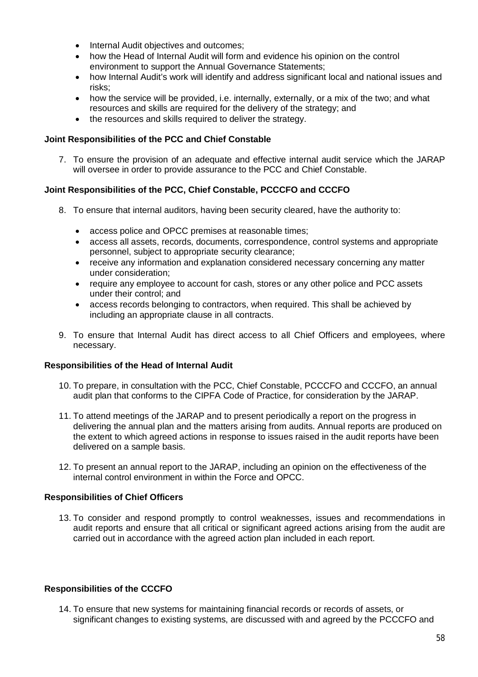- Internal Audit objectives and outcomes:
- how the Head of Internal Audit will form and evidence his opinion on the control environment to support the Annual Governance Statements;
- how Internal Audit's work will identify and address significant local and national issues and risks;
- how the service will be provided, i.e. internally, externally, or a mix of the two; and what resources and skills are required for the delivery of the strategy; and
- the resources and skills required to deliver the strategy.

## **Joint Responsibilities of the PCC and Chief Constable**

7. To ensure the provision of an adequate and effective internal audit service which the JARAP will oversee in order to provide assurance to the PCC and Chief Constable.

# **Joint Responsibilities of the PCC, Chief Constable, PCCCFO and CCCFO**

- 8. To ensure that internal auditors, having been security cleared, have the authority to:
	- access police and OPCC premises at reasonable times;
	- access all assets, records, documents, correspondence, control systems and appropriate personnel, subject to appropriate security clearance;
	- receive any information and explanation considered necessary concerning any matter under consideration;
	- require any employee to account for cash, stores or any other police and PCC assets under their control; and
	- access records belonging to contractors, when required. This shall be achieved by including an appropriate clause in all contracts.
- 9. To ensure that Internal Audit has direct access to all Chief Officers and employees, where necessary.

# **Responsibilities of the Head of Internal Audit**

- 10. To prepare, in consultation with the PCC, Chief Constable, PCCCFO and CCCFO, an annual audit plan that conforms to the CIPFA Code of Practice, for consideration by the JARAP.
- 11. To attend meetings of the JARAP and to present periodically a report on the progress in delivering the annual plan and the matters arising from audits. Annual reports are produced on the extent to which agreed actions in response to issues raised in the audit reports have been delivered on a sample basis.
- 12. To present an annual report to the JARAP, including an opinion on the effectiveness of the internal control environment in within the Force and OPCC.

# **Responsibilities of Chief Officers**

13. To consider and respond promptly to control weaknesses, issues and recommendations in audit reports and ensure that all critical or significant agreed actions arising from the audit are carried out in accordance with the agreed action plan included in each report.

# **Responsibilities of the CCCFO**

14. To ensure that new systems for maintaining financial records or records of assets, or significant changes to existing systems, are discussed with and agreed by the PCCCFO and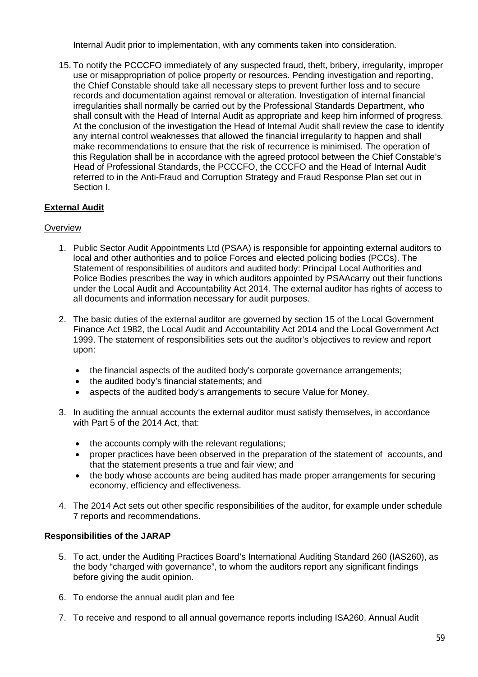Internal Audit prior to implementation, with any comments taken into consideration.

15. To notify the PCCCFO immediately of any suspected fraud, theft, bribery, irregularity, improper use or misappropriation of police property or resources. Pending investigation and reporting, the Chief Constable should take all necessary steps to prevent further loss and to secure records and documentation against removal or alteration. Investigation of internal financial irregularities shall normally be carried out by the Professional Standards Department, who shall consult with the Head of Internal Audit as appropriate and keep him informed of progress. At the conclusion of the investigation the Head of Internal Audit shall review the case to identify any internal control weaknesses that allowed the financial irregularity to happen and shall make recommendations to ensure that the risk of recurrence is minimised. The operation of this Regulation shall be in accordance with the agreed protocol between the Chief Constable's Head of Professional Standards, the PCCCFO, the CCCFO and the Head of Internal Audit referred to in the Anti-Fraud and Corruption Strategy and Fraud Response Plan set out in Section I.

# **External Audit**

## **Overview**

- 1. Public Sector Audit Appointments Ltd (PSAA) is responsible for appointing external auditors to local and other authorities and to police Forces and elected policing bodies (PCCs). The Statement of responsibilities of auditors and audited body: Principal Local Authorities and Police Bodies prescribes the way in which auditors appointed by PSAAcarry out their functions under the Local Audit and Accountability Act 2014. The external auditor has rights of access to all documents and information necessary for audit purposes.
- 2. The basic duties of the external auditor are governed by section 15 of the Local Government Finance Act 1982, the Local Audit and Accountability Act 2014 and the Local Government Act 1999. The statement of responsibilities sets out the auditor's objectives to review and report upon:
	- the financial aspects of the audited body's corporate governance arrangements;
	- the audited body's financial statements; and
	- aspects of the audited body's arrangements to secure Value for Money.
- 3. In auditing the annual accounts the external auditor must satisfy themselves, in accordance with Part 5 of the 2014 Act, that:
	- the accounts comply with the relevant regulations;
	- proper practices have been observed in the preparation of the statement of accounts, and that the statement presents a true and fair view; and
	- the body whose accounts are being audited has made proper arrangements for securing economy, efficiency and effectiveness.
- 4. The 2014 Act sets out other specific responsibilities of the auditor, for example under schedule 7 reports and recommendations.

### **Responsibilities of the JARAP**

- 5. To act, under the Auditing Practices Board's International Auditing Standard 260 (IAS260), as the body "charged with governance", to whom the auditors report any significant findings before giving the audit opinion.
- 6. To endorse the annual audit plan and fee
- 7. To receive and respond to all annual governance reports including ISA260, Annual Audit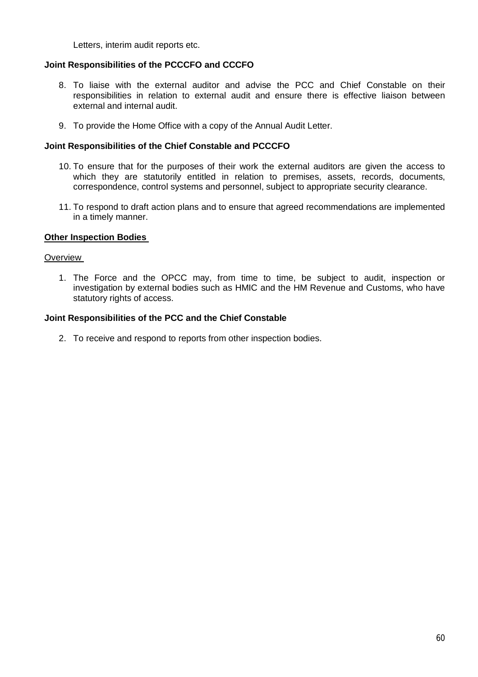Letters, interim audit reports etc.

## **Joint Responsibilities of the PCCCFO and CCCFO**

- 8. To liaise with the external auditor and advise the PCC and Chief Constable on their responsibilities in relation to external audit and ensure there is effective liaison between external and internal audit.
- 9. To provide the Home Office with a copy of the Annual Audit Letter.

### **Joint Responsibilities of the Chief Constable and PCCCFO**

- 10. To ensure that for the purposes of their work the external auditors are given the access to which they are statutorily entitled in relation to premises, assets, records, documents, correspondence, control systems and personnel, subject to appropriate security clearance.
- 11. To respond to draft action plans and to ensure that agreed recommendations are implemented in a timely manner.

#### **Other Inspection Bodies**

#### **Overview**

1. The Force and the OPCC may, from time to time, be subject to audit, inspection or investigation by external bodies such as HMIC and the HM Revenue and Customs, who have statutory rights of access.

#### **Joint Responsibilities of the PCC and the Chief Constable**

2. To receive and respond to reports from other inspection bodies.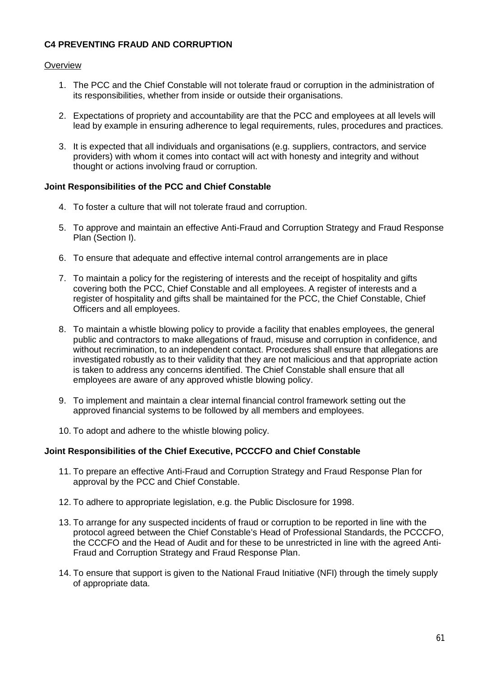# **C4 PREVENTING FRAUD AND CORRUPTION**

### **Overview**

- 1. The PCC and the Chief Constable will not tolerate fraud or corruption in the administration of its responsibilities, whether from inside or outside their organisations.
- 2. Expectations of propriety and accountability are that the PCC and employees at all levels will lead by example in ensuring adherence to legal requirements, rules, procedures and practices.
- 3. It is expected that all individuals and organisations (e.g. suppliers, contractors, and service providers) with whom it comes into contact will act with honesty and integrity and without thought or actions involving fraud or corruption.

### **Joint Responsibilities of the PCC and Chief Constable**

- 4. To foster a culture that will not tolerate fraud and corruption.
- 5. To approve and maintain an effective Anti-Fraud and Corruption Strategy and Fraud Response Plan (Section I).
- 6. To ensure that adequate and effective internal control arrangements are in place
- 7. To maintain a policy for the registering of interests and the receipt of hospitality and gifts covering both the PCC, Chief Constable and all employees. A register of interests and a register of hospitality and gifts shall be maintained for the PCC, the Chief Constable, Chief Officers and all employees.
- 8. To maintain a whistle blowing policy to provide a facility that enables employees, the general public and contractors to make allegations of fraud, misuse and corruption in confidence, and without recrimination, to an independent contact. Procedures shall ensure that allegations are investigated robustly as to their validity that they are not malicious and that appropriate action is taken to address any concerns identified. The Chief Constable shall ensure that all employees are aware of any approved whistle blowing policy.
- 9. To implement and maintain a clear internal financial control framework setting out the approved financial systems to be followed by all members and employees.
- 10. To adopt and adhere to the whistle blowing policy.

### **Joint Responsibilities of the Chief Executive, PCCCFO and Chief Constable**

- 11. To prepare an effective Anti-Fraud and Corruption Strategy and Fraud Response Plan for approval by the PCC and Chief Constable.
- 12. To adhere to appropriate legislation, e.g. the Public Disclosure for 1998.
- 13. To arrange for any suspected incidents of fraud or corruption to be reported in line with the protocol agreed between the Chief Constable's Head of Professional Standards, the PCCCFO, the CCCFO and the Head of Audit and for these to be unrestricted in line with the agreed Anti-Fraud and Corruption Strategy and Fraud Response Plan.
- 14. To ensure that support is given to the National Fraud Initiative (NFI) through the timely supply of appropriate data.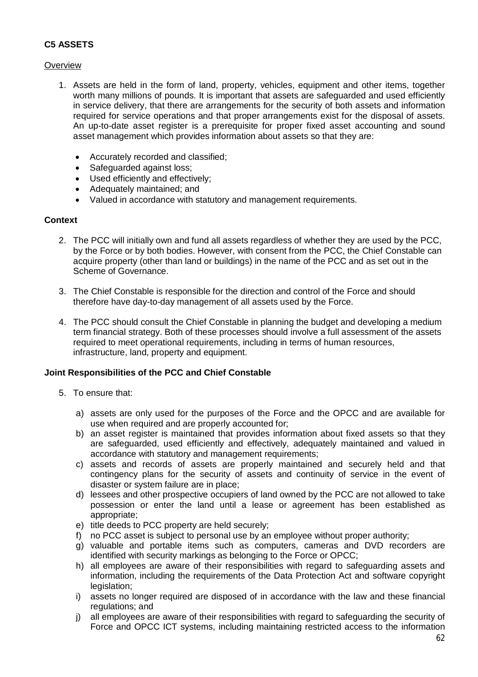# **C5 ASSETS**

### **Overview**

- 1. Assets are held in the form of land, property, vehicles, equipment and other items, together worth many millions of pounds. It is important that assets are safeguarded and used efficiently in service delivery, that there are arrangements for the security of both assets and information required for service operations and that proper arrangements exist for the disposal of assets. An up-to-date asset register is a prerequisite for proper fixed asset accounting and sound asset management which provides information about assets so that they are:
	- Accurately recorded and classified;
	- Safeguarded against loss;
	- Used efficiently and effectively;
	- Adequately maintained; and
	- Valued in accordance with statutory and management requirements.

### **Context**

- 2. The PCC will initially own and fund all assets regardless of whether they are used by the PCC, by the Force or by both bodies. However, with consent from the PCC, the Chief Constable can acquire property (other than land or buildings) in the name of the PCC and as set out in the Scheme of Governance.
- 3. The Chief Constable is responsible for the direction and control of the Force and should therefore have day-to-day management of all assets used by the Force.
- 4. The PCC should consult the Chief Constable in planning the budget and developing a medium term financial strategy. Both of these processes should involve a full assessment of the assets required to meet operational requirements, including in terms of human resources, infrastructure, land, property and equipment.

### **Joint Responsibilities of the PCC and Chief Constable**

- 5. To ensure that:
	- a) assets are only used for the purposes of the Force and the OPCC and are available for use when required and are properly accounted for;
	- b) an asset register is maintained that provides information about fixed assets so that they are safeguarded, used efficiently and effectively, adequately maintained and valued in accordance with statutory and management requirements;
	- c) assets and records of assets are properly maintained and securely held and that contingency plans for the security of assets and continuity of service in the event of disaster or system failure are in place;
	- d) lessees and other prospective occupiers of land owned by the PCC are not allowed to take possession or enter the land until a lease or agreement has been established as appropriate;
	- e) title deeds to PCC property are held securely;
	- f) no PCC asset is subject to personal use by an employee without proper authority;
	- g) valuable and portable items such as computers, cameras and DVD recorders are identified with security markings as belonging to the Force or OPCC;
	- h) all employees are aware of their responsibilities with regard to safeguarding assets and information, including the requirements of the Data Protection Act and software copyright legislation:
	- i) assets no longer required are disposed of in accordance with the law and these financial regulations; and
	- j) all employees are aware of their responsibilities with regard to safeguarding the security of Force and OPCC ICT systems, including maintaining restricted access to the information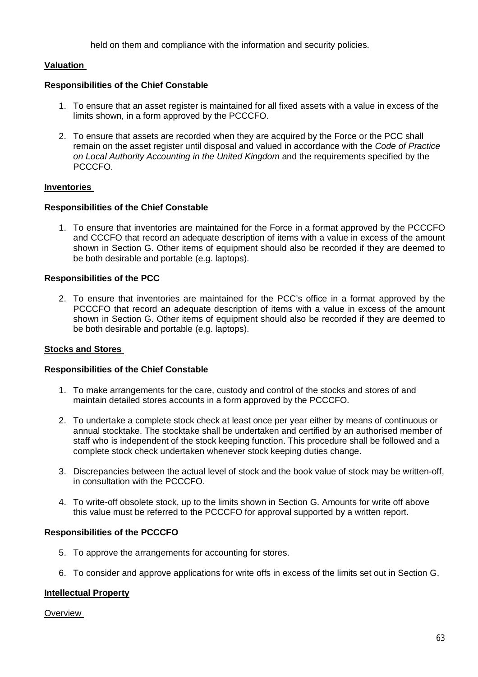held on them and compliance with the information and security policies.

## **Valuation**

### **Responsibilities of the Chief Constable**

- 1. To ensure that an asset register is maintained for all fixed assets with a value in excess of the limits shown, in a form approved by the PCCCFO.
- 2. To ensure that assets are recorded when they are acquired by the Force or the PCC shall remain on the asset register until disposal and valued in accordance with the *Code of Practice on Local Authority Accounting in the United Kingdom* and the requirements specified by the PCCCFO.

## **Inventories**

## **Responsibilities of the Chief Constable**

1. To ensure that inventories are maintained for the Force in a format approved by the PCCCFO and CCCFO that record an adequate description of items with a value in excess of the amount shown in Section G. Other items of equipment should also be recorded if they are deemed to be both desirable and portable (e.g. laptops).

## **Responsibilities of the PCC**

2. To ensure that inventories are maintained for the PCC's office in a format approved by the PCCCFO that record an adequate description of items with a value in excess of the amount shown in Section G. Other items of equipment should also be recorded if they are deemed to be both desirable and portable (e.g. laptops).

### **Stocks and Stores**

### **Responsibilities of the Chief Constable**

- 1. To make arrangements for the care, custody and control of the stocks and stores of and maintain detailed stores accounts in a form approved by the PCCCFO.
- 2. To undertake a complete stock check at least once per year either by means of continuous or annual stocktake. The stocktake shall be undertaken and certified by an authorised member of staff who is independent of the stock keeping function. This procedure shall be followed and a complete stock check undertaken whenever stock keeping duties change.
- 3. Discrepancies between the actual level of stock and the book value of stock may be written-off, in consultation with the PCCCFO.
- 4. To write-off obsolete stock, up to the limits shown in Section G. Amounts for write off above this value must be referred to the PCCCFO for approval supported by a written report.

### **Responsibilities of the PCCCFO**

- 5. To approve the arrangements for accounting for stores.
- 6. To consider and approve applications for write offs in excess of the limits set out in Section G.

### **Intellectual Property**

**Overview**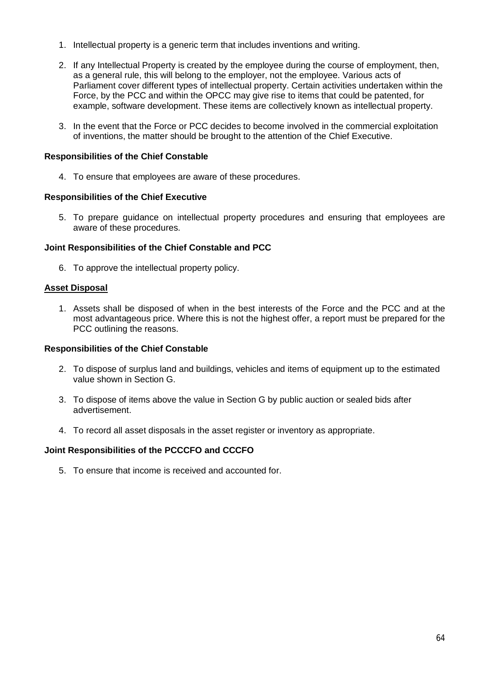- 1. Intellectual property is a generic term that includes inventions and writing.
- 2. If any Intellectual Property is created by the employee during the course of employment, then, as a general rule, this will belong to the employer, not the employee. Various acts of Parliament cover different types of intellectual property. Certain activities undertaken within the Force, by the PCC and within the OPCC may give rise to items that could be patented, for example, software development. These items are collectively known as intellectual property.
- 3. In the event that the Force or PCC decides to become involved in the commercial exploitation of inventions, the matter should be brought to the attention of the Chief Executive.

### **Responsibilities of the Chief Constable**

4. To ensure that employees are aware of these procedures.

#### **Responsibilities of the Chief Executive**

5. To prepare guidance on intellectual property procedures and ensuring that employees are aware of these procedures.

### **Joint Responsibilities of the Chief Constable and PCC**

6. To approve the intellectual property policy.

#### **Asset Disposal**

1. Assets shall be disposed of when in the best interests of the Force and the PCC and at the most advantageous price. Where this is not the highest offer, a report must be prepared for the PCC outlining the reasons.

### **Responsibilities of the Chief Constable**

- 2. To dispose of surplus land and buildings, vehicles and items of equipment up to the estimated value shown in Section G.
- 3. To dispose of items above the value in Section G by public auction or sealed bids after advertisement.
- 4. To record all asset disposals in the asset register or inventory as appropriate.

### **Joint Responsibilities of the PCCCFO and CCCFO**

5. To ensure that income is received and accounted for.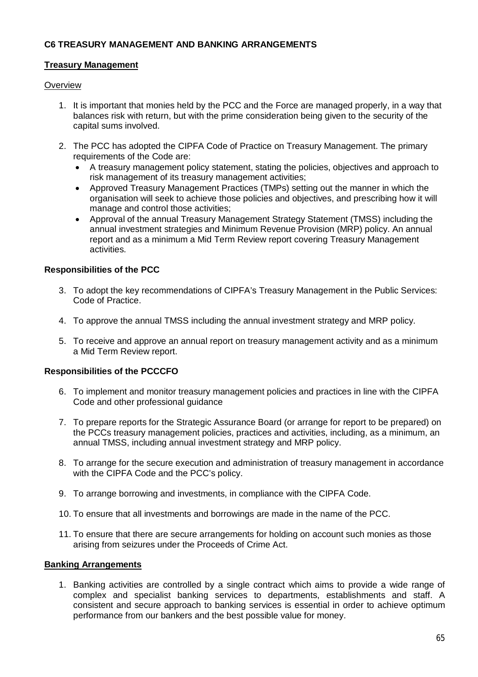## **C6 TREASURY MANAGEMENT AND BANKING ARRANGEMENTS**

### **Treasury Management**

### **Overview**

- 1. It is important that monies held by the PCC and the Force are managed properly, in a way that balances risk with return, but with the prime consideration being given to the security of the capital sums involved.
- 2. The PCC has adopted the CIPFA Code of Practice on Treasury Management. The primary requirements of the Code are:
	- A treasury management policy statement, stating the policies, objectives and approach to risk management of its treasury management activities;
	- Approved Treasury Management Practices (TMPs) setting out the manner in which the organisation will seek to achieve those policies and objectives, and prescribing how it will manage and control those activities;
	- Approval of the annual Treasury Management Strategy Statement (TMSS) including the annual investment strategies and Minimum Revenue Provision (MRP) policy. An annual report and as a minimum a Mid Term Review report covering Treasury Management activities.

### **Responsibilities of the PCC**

- 3. To adopt the key recommendations of CIPFA's Treasury Management in the Public Services: Code of Practice.
- 4. To approve the annual TMSS including the annual investment strategy and MRP policy.
- 5. To receive and approve an annual report on treasury management activity and as a minimum a Mid Term Review report.

### **Responsibilities of the PCCCFO**

- 6. To implement and monitor treasury management policies and practices in line with the CIPFA Code and other professional guidance
- 7. To prepare reports for the Strategic Assurance Board (or arrange for report to be prepared) on the PCCs treasury management policies, practices and activities, including, as a minimum, an annual TMSS, including annual investment strategy and MRP policy.
- 8. To arrange for the secure execution and administration of treasury management in accordance with the CIPFA Code and the PCC's policy.
- 9. To arrange borrowing and investments, in compliance with the CIPFA Code.
- 10. To ensure that all investments and borrowings are made in the name of the PCC.
- 11. To ensure that there are secure arrangements for holding on account such monies as those arising from seizures under the Proceeds of Crime Act.

### **Banking Arrangements**

1. Banking activities are controlled by a single contract which aims to provide a wide range of complex and specialist banking services to departments, establishments and staff. A consistent and secure approach to banking services is essential in order to achieve optimum performance from our bankers and the best possible value for money.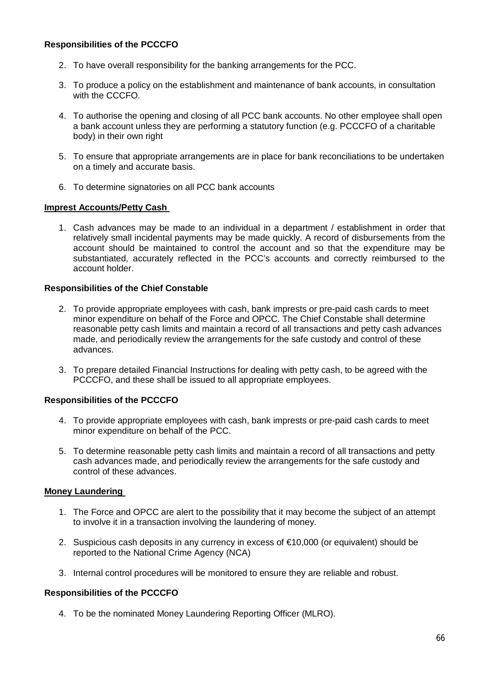## **Responsibilities of the PCCCFO**

- 2. To have overall responsibility for the banking arrangements for the PCC.
- 3. To produce a policy on the establishment and maintenance of bank accounts, in consultation with the CCCFO.
- 4. To authorise the opening and closing of all PCC bank accounts. No other employee shall open a bank account unless they are performing a statutory function (e.g. PCCCFO of a charitable body) in their own right
- 5. To ensure that appropriate arrangements are in place for bank reconciliations to be undertaken on a timely and accurate basis.
- 6. To determine signatories on all PCC bank accounts

#### **Imprest Accounts/Petty Cash**

1. Cash advances may be made to an individual in a department / establishment in order that relatively small incidental payments may be made quickly. A record of disbursements from the account should be maintained to control the account and so that the expenditure may be substantiated, accurately reflected in the PCC's accounts and correctly reimbursed to the account holder.

#### **Responsibilities of the Chief Constable**

- 2. To provide appropriate employees with cash, bank imprests or pre-paid cash cards to meet minor expenditure on behalf of the Force and OPCC. The Chief Constable shall determine reasonable petty cash limits and maintain a record of all transactions and petty cash advances made, and periodically review the arrangements for the safe custody and control of these advances.
- 3. To prepare detailed Financial Instructions for dealing with petty cash, to be agreed with the PCCCFO, and these shall be issued to all appropriate employees.

### **Responsibilities of the PCCCFO**

- 4. To provide appropriate employees with cash, bank imprests or pre-paid cash cards to meet minor expenditure on behalf of the PCC.
- 5. To determine reasonable petty cash limits and maintain a record of all transactions and petty cash advances made, and periodically review the arrangements for the safe custody and control of these advances.

### **Money Laundering**

- 1. The Force and OPCC are alert to the possibility that it may become the subject of an attempt to involve it in a transaction involving the laundering of money.
- 2. Suspicious cash deposits in any currency in excess of €10,000 (or equivalent) should be reported to the National Crime Agency (NCA)
- 3. Internal control procedures will be monitored to ensure they are reliable and robust.

#### **Responsibilities of the PCCCFO**

4. To be the nominated Money Laundering Reporting Officer (MLRO).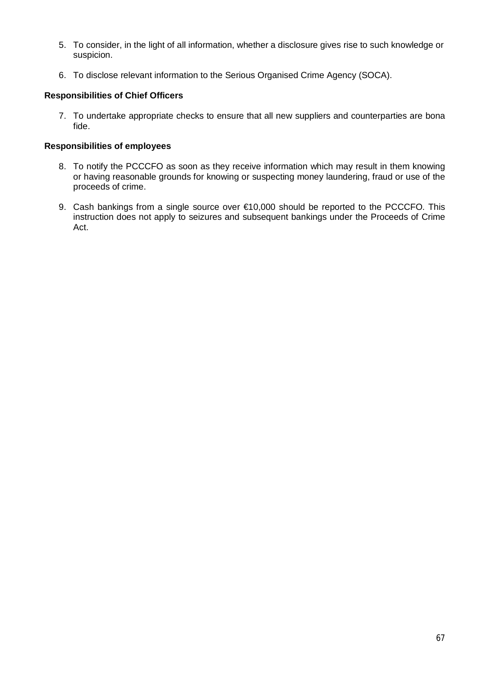- 5. To consider, in the light of all information, whether a disclosure gives rise to such knowledge or suspicion.
- 6. To disclose relevant information to the Serious Organised Crime Agency (SOCA).

## **Responsibilities of Chief Officers**

7. To undertake appropriate checks to ensure that all new suppliers and counterparties are bona fide.

### **Responsibilities of employees**

- 8. To notify the PCCCFO as soon as they receive information which may result in them knowing or having reasonable grounds for knowing or suspecting money laundering, fraud or use of the proceeds of crime.
- 9. Cash bankings from a single source over €10,000 should be reported to the PCCCFO. This instruction does not apply to seizures and subsequent bankings under the Proceeds of Crime Act.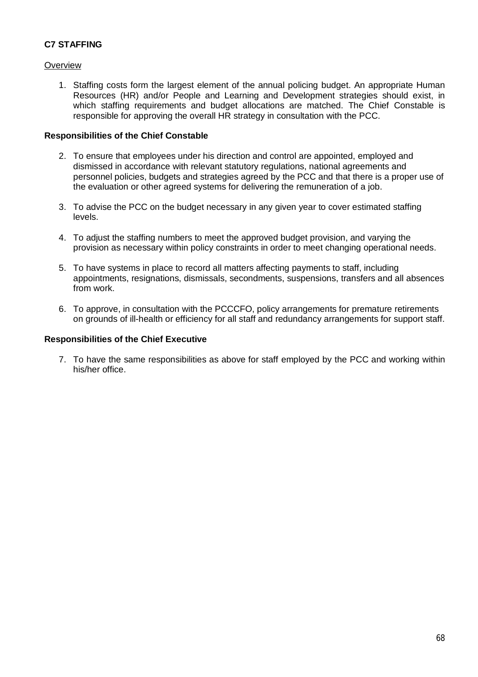# **C7 STAFFING**

## **Overview**

1. Staffing costs form the largest element of the annual policing budget. An appropriate Human Resources (HR) and/or People and Learning and Development strategies should exist, in which staffing requirements and budget allocations are matched. The Chief Constable is responsible for approving the overall HR strategy in consultation with the PCC.

### **Responsibilities of the Chief Constable**

- 2. To ensure that employees under his direction and control are appointed, employed and dismissed in accordance with relevant statutory regulations, national agreements and personnel policies, budgets and strategies agreed by the PCC and that there is a proper use of the evaluation or other agreed systems for delivering the remuneration of a job.
- 3. To advise the PCC on the budget necessary in any given year to cover estimated staffing levels.
- 4. To adjust the staffing numbers to meet the approved budget provision, and varying the provision as necessary within policy constraints in order to meet changing operational needs.
- 5. To have systems in place to record all matters affecting payments to staff, including appointments, resignations, dismissals, secondments, suspensions, transfers and all absences from work.
- 6. To approve, in consultation with the PCCCFO, policy arrangements for premature retirements on grounds of ill-health or efficiency for all staff and redundancy arrangements for support staff.

## **Responsibilities of the Chief Executive**

7. To have the same responsibilities as above for staff employed by the PCC and working within his/her office.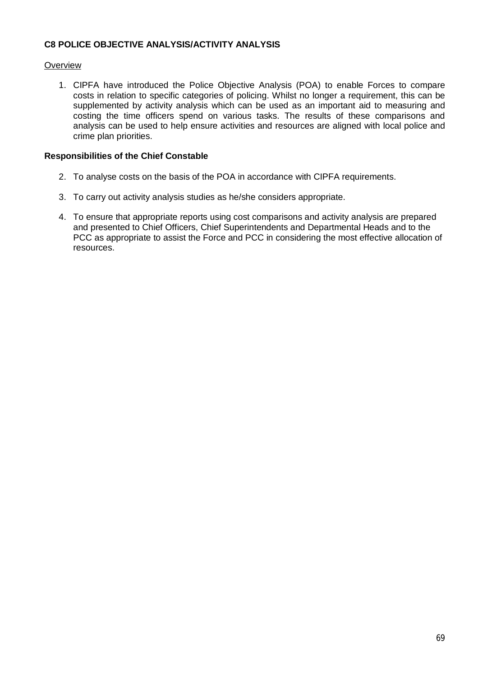## **C8 POLICE OBJECTIVE ANALYSIS/ACTIVITY ANALYSIS**

## **Overview**

1. CIPFA have introduced the Police Objective Analysis (POA) to enable Forces to compare costs in relation to specific categories of policing. Whilst no longer a requirement, this can be supplemented by activity analysis which can be used as an important aid to measuring and costing the time officers spend on various tasks. The results of these comparisons and analysis can be used to help ensure activities and resources are aligned with local police and crime plan priorities.

### **Responsibilities of the Chief Constable**

- 2. To analyse costs on the basis of the POA in accordance with CIPFA requirements.
- 3. To carry out activity analysis studies as he/she considers appropriate.
- 4. To ensure that appropriate reports using cost comparisons and activity analysis are prepared and presented to Chief Officers, Chief Superintendents and Departmental Heads and to the PCC as appropriate to assist the Force and PCC in considering the most effective allocation of resources.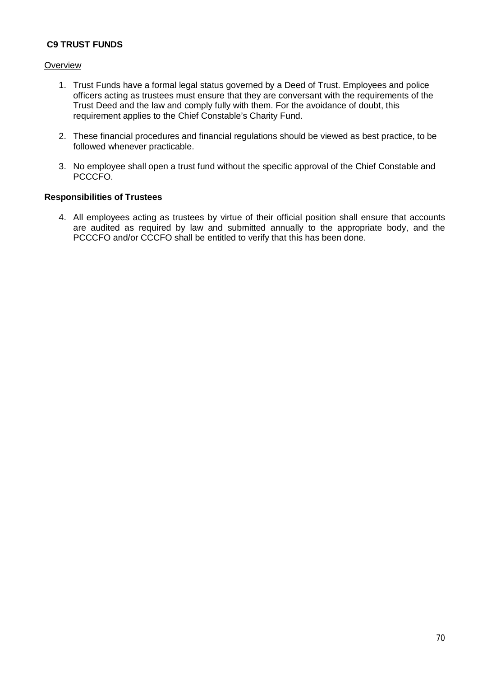# **C9 TRUST FUNDS**

### **Overview**

- 1. Trust Funds have a formal legal status governed by a Deed of Trust. Employees and police officers acting as trustees must ensure that they are conversant with the requirements of the Trust Deed and the law and comply fully with them. For the avoidance of doubt, this requirement applies to the Chief Constable's Charity Fund.
- 2. These financial procedures and financial regulations should be viewed as best practice, to be followed whenever practicable.
- 3. No employee shall open a trust fund without the specific approval of the Chief Constable and PCCCFO.

#### **Responsibilities of Trustees**

4. All employees acting as trustees by virtue of their official position shall ensure that accounts are audited as required by law and submitted annually to the appropriate body, and the PCCCFO and/or CCCFO shall be entitled to verify that this has been done.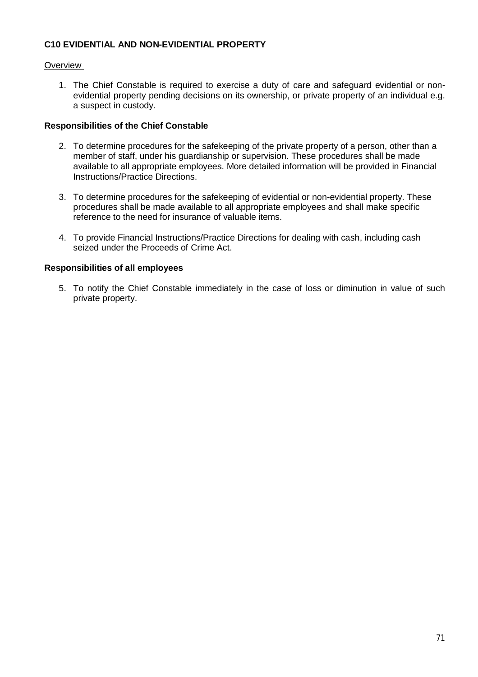## **C10 EVIDENTIAL AND NON-EVIDENTIAL PROPERTY**

## **Overview**

1. The Chief Constable is required to exercise a duty of care and safeguard evidential or nonevidential property pending decisions on its ownership, or private property of an individual e.g. a suspect in custody.

### **Responsibilities of the Chief Constable**

- 2. To determine procedures for the safekeeping of the private property of a person, other than a member of staff, under his guardianship or supervision. These procedures shall be made available to all appropriate employees. More detailed information will be provided in Financial Instructions/Practice Directions.
- 3. To determine procedures for the safekeeping of evidential or non-evidential property. These procedures shall be made available to all appropriate employees and shall make specific reference to the need for insurance of valuable items.
- 4. To provide Financial Instructions/Practice Directions for dealing with cash, including cash seized under the Proceeds of Crime Act.

### **Responsibilities of all employees**

5. To notify the Chief Constable immediately in the case of loss or diminution in value of such private property.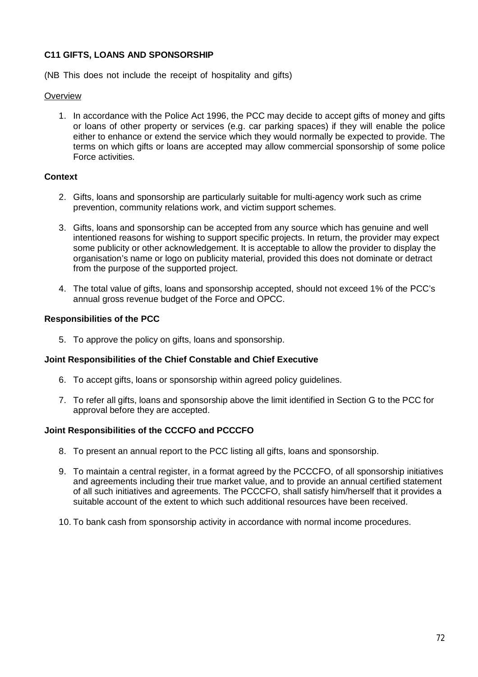## **C11 GIFTS, LOANS AND SPONSORSHIP**

(NB This does not include the receipt of hospitality and gifts)

#### **Overview**

1. In accordance with the Police Act 1996, the PCC may decide to accept gifts of money and gifts or loans of other property or services (e.g. car parking spaces) if they will enable the police either to enhance or extend the service which they would normally be expected to provide. The terms on which gifts or loans are accepted may allow commercial sponsorship of some police Force activities.

### **Context**

- 2. Gifts, loans and sponsorship are particularly suitable for multi-agency work such as crime prevention, community relations work, and victim support schemes.
- 3. Gifts, loans and sponsorship can be accepted from any source which has genuine and well intentioned reasons for wishing to support specific projects. In return, the provider may expect some publicity or other acknowledgement. It is acceptable to allow the provider to display the organisation's name or logo on publicity material, provided this does not dominate or detract from the purpose of the supported project.
- 4. The total value of gifts, loans and sponsorship accepted, should not exceed 1% of the PCC's annual gross revenue budget of the Force and OPCC.

#### **Responsibilities of the PCC**

5. To approve the policy on gifts, loans and sponsorship.

### **Joint Responsibilities of the Chief Constable and Chief Executive**

- 6. To accept gifts, loans or sponsorship within agreed policy guidelines.
- 7. To refer all gifts, loans and sponsorship above the limit identified in Section G to the PCC for approval before they are accepted.

### **Joint Responsibilities of the CCCFO and PCCCFO**

- 8. To present an annual report to the PCC listing all gifts, loans and sponsorship.
- 9. To maintain a central register, in a format agreed by the PCCCFO, of all sponsorship initiatives and agreements including their true market value, and to provide an annual certified statement of all such initiatives and agreements. The PCCCFO, shall satisfy him/herself that it provides a suitable account of the extent to which such additional resources have been received.
- 10. To bank cash from sponsorship activity in accordance with normal income procedures.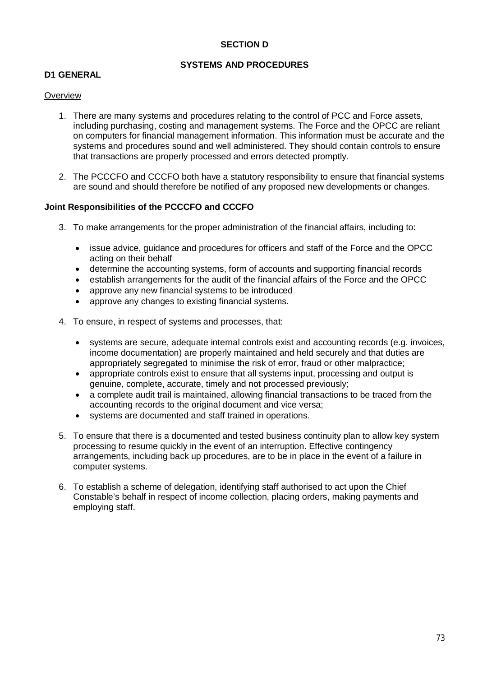## **SECTION D**

## **SYSTEMS AND PROCEDURES**

### **D1 GENERAL**

#### **Overview**

- 1. There are many systems and procedures relating to the control of PCC and Force assets, including purchasing, costing and management systems. The Force and the OPCC are reliant on computers for financial management information. This information must be accurate and the systems and procedures sound and well administered. They should contain controls to ensure that transactions are properly processed and errors detected promptly.
- 2. The PCCCFO and CCCFO both have a statutory responsibility to ensure that financial systems are sound and should therefore be notified of any proposed new developments or changes.

### **Joint Responsibilities of the PCCCFO and CCCFO**

- 3. To make arrangements for the proper administration of the financial affairs, including to:
	- issue advice, guidance and procedures for officers and staff of the Force and the OPCC acting on their behalf
	- determine the accounting systems, form of accounts and supporting financial records
	- establish arrangements for the audit of the financial affairs of the Force and the OPCC
	- approve any new financial systems to be introduced
	- approve any changes to existing financial systems.
- 4. To ensure, in respect of systems and processes, that:
	- systems are secure, adequate internal controls exist and accounting records (e.g. invoices, income documentation) are properly maintained and held securely and that duties are appropriately segregated to minimise the risk of error, fraud or other malpractice;
	- appropriate controls exist to ensure that all systems input, processing and output is genuine, complete, accurate, timely and not processed previously;
	- a complete audit trail is maintained, allowing financial transactions to be traced from the accounting records to the original document and vice versa;
	- systems are documented and staff trained in operations.
- 5. To ensure that there is a documented and tested business continuity plan to allow key system processing to resume quickly in the event of an interruption. Effective contingency arrangements, including back up procedures, are to be in place in the event of a failure in computer systems.
- 6. To establish a scheme of delegation, identifying staff authorised to act upon the Chief Constable's behalf in respect of income collection, placing orders, making payments and employing staff.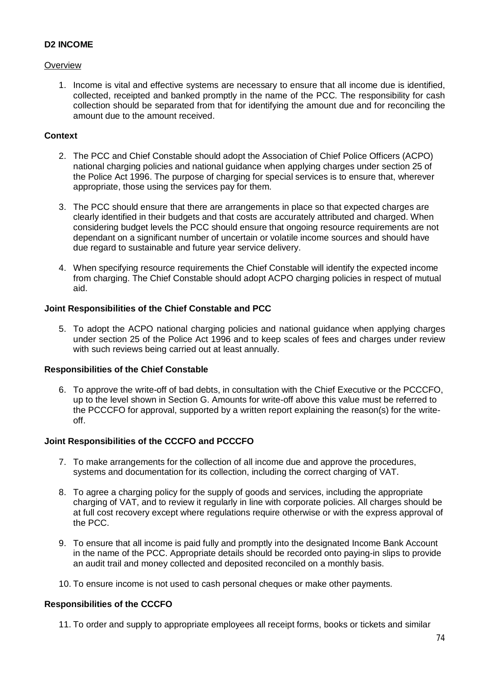## **D2 INCOME**

## **Overview**

1. Income is vital and effective systems are necessary to ensure that all income due is identified, collected, receipted and banked promptly in the name of the PCC. The responsibility for cash collection should be separated from that for identifying the amount due and for reconciling the amount due to the amount received.

## **Context**

- 2. The PCC and Chief Constable should adopt the Association of Chief Police Officers (ACPO) national charging policies and national guidance when applying charges under section 25 of the Police Act 1996. The purpose of charging for special services is to ensure that, wherever appropriate, those using the services pay for them.
- 3. The PCC should ensure that there are arrangements in place so that expected charges are clearly identified in their budgets and that costs are accurately attributed and charged. When considering budget levels the PCC should ensure that ongoing resource requirements are not dependant on a significant number of uncertain or volatile income sources and should have due regard to sustainable and future year service delivery.
- 4. When specifying resource requirements the Chief Constable will identify the expected income from charging. The Chief Constable should adopt ACPO charging policies in respect of mutual aid.

## **Joint Responsibilities of the Chief Constable and PCC**

5. To adopt the ACPO national charging policies and national guidance when applying charges under section 25 of the Police Act 1996 and to keep scales of fees and charges under review with such reviews being carried out at least annually.

### **Responsibilities of the Chief Constable**

6. To approve the write-off of bad debts, in consultation with the Chief Executive or the PCCCFO, up to the level shown in Section G. Amounts for write-off above this value must be referred to the PCCCFO for approval, supported by a written report explaining the reason(s) for the writeoff.

# **Joint Responsibilities of the CCCFO and PCCCFO**

- 7. To make arrangements for the collection of all income due and approve the procedures, systems and documentation for its collection, including the correct charging of VAT.
- 8. To agree a charging policy for the supply of goods and services, including the appropriate charging of VAT, and to review it regularly in line with corporate policies. All charges should be at full cost recovery except where regulations require otherwise or with the express approval of the PCC.
- 9. To ensure that all income is paid fully and promptly into the designated Income Bank Account in the name of the PCC. Appropriate details should be recorded onto paying-in slips to provide an audit trail and money collected and deposited reconciled on a monthly basis.
- 10. To ensure income is not used to cash personal cheques or make other payments.

# **Responsibilities of the CCCFO**

11. To order and supply to appropriate employees all receipt forms, books or tickets and similar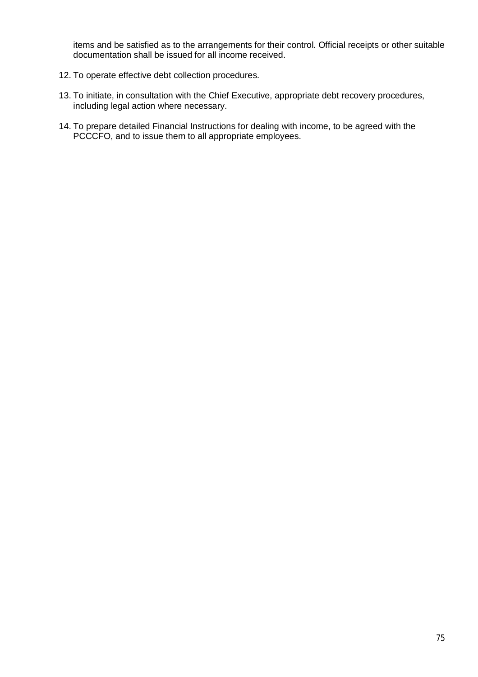items and be satisfied as to the arrangements for their control. Official receipts or other suitable documentation shall be issued for all income received.

- 12. To operate effective debt collection procedures.
- 13. To initiate, in consultation with the Chief Executive, appropriate debt recovery procedures, including legal action where necessary.
- 14. To prepare detailed Financial Instructions for dealing with income, to be agreed with the PCCCFO, and to issue them to all appropriate employees.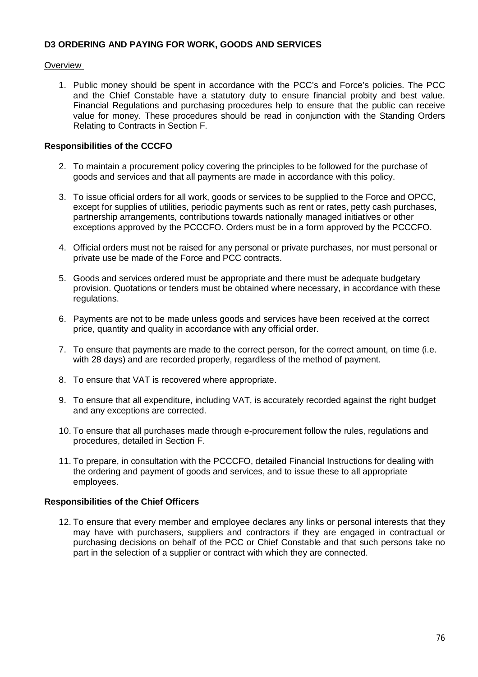### **D3 ORDERING AND PAYING FOR WORK, GOODS AND SERVICES**

## **Overview**

1. Public money should be spent in accordance with the PCC's and Force's policies. The PCC and the Chief Constable have a statutory duty to ensure financial probity and best value. Financial Regulations and purchasing procedures help to ensure that the public can receive value for money. These procedures should be read in conjunction with the Standing Orders Relating to Contracts in Section F.

## **Responsibilities of the CCCFO**

- 2. To maintain a procurement policy covering the principles to be followed for the purchase of goods and services and that all payments are made in accordance with this policy.
- 3. To issue official orders for all work, goods or services to be supplied to the Force and OPCC, except for supplies of utilities, periodic payments such as rent or rates, petty cash purchases, partnership arrangements, contributions towards nationally managed initiatives or other exceptions approved by the PCCCFO. Orders must be in a form approved by the PCCCFO.
- 4. Official orders must not be raised for any personal or private purchases, nor must personal or private use be made of the Force and PCC contracts.
- 5. Goods and services ordered must be appropriate and there must be adequate budgetary provision. Quotations or tenders must be obtained where necessary, in accordance with these regulations.
- 6. Payments are not to be made unless goods and services have been received at the correct price, quantity and quality in accordance with any official order.
- 7. To ensure that payments are made to the correct person, for the correct amount, on time (i.e. with 28 days) and are recorded properly, regardless of the method of payment.
- 8. To ensure that VAT is recovered where appropriate.
- 9. To ensure that all expenditure, including VAT, is accurately recorded against the right budget and any exceptions are corrected.
- 10. To ensure that all purchases made through e-procurement follow the rules, regulations and procedures, detailed in Section F.
- 11. To prepare, in consultation with the PCCCFO, detailed Financial Instructions for dealing with the ordering and payment of goods and services, and to issue these to all appropriate employees.

### **Responsibilities of the Chief Officers**

12. To ensure that every member and employee declares any links or personal interests that they may have with purchasers, suppliers and contractors if they are engaged in contractual or purchasing decisions on behalf of the PCC or Chief Constable and that such persons take no part in the selection of a supplier or contract with which they are connected.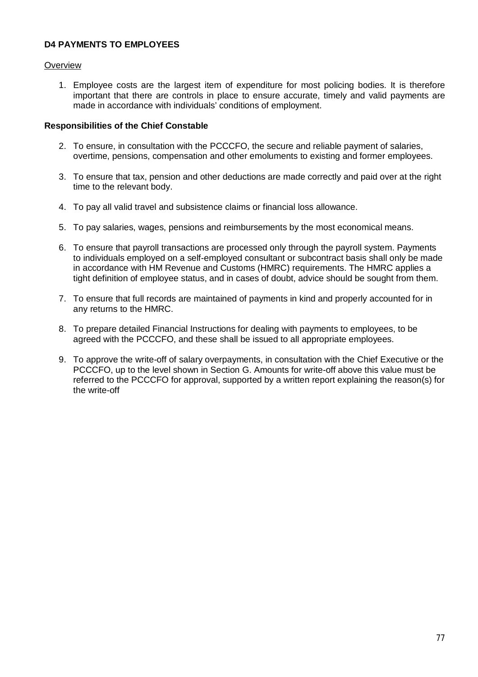## **D4 PAYMENTS TO EMPLOYEES**

### **Overview**

1. Employee costs are the largest item of expenditure for most policing bodies. It is therefore important that there are controls in place to ensure accurate, timely and valid payments are made in accordance with individuals' conditions of employment.

- 2. To ensure, in consultation with the PCCCFO, the secure and reliable payment of salaries, overtime, pensions, compensation and other emoluments to existing and former employees.
- 3. To ensure that tax, pension and other deductions are made correctly and paid over at the right time to the relevant body.
- 4. To pay all valid travel and subsistence claims or financial loss allowance.
- 5. To pay salaries, wages, pensions and reimbursements by the most economical means.
- 6. To ensure that payroll transactions are processed only through the payroll system. Payments to individuals employed on a self-employed consultant or subcontract basis shall only be made in accordance with HM Revenue and Customs (HMRC) requirements. The HMRC applies a tight definition of employee status, and in cases of doubt, advice should be sought from them.
- 7. To ensure that full records are maintained of payments in kind and properly accounted for in any returns to the HMRC.
- 8. To prepare detailed Financial Instructions for dealing with payments to employees, to be agreed with the PCCCFO, and these shall be issued to all appropriate employees.
- 9. To approve the write-off of salary overpayments, in consultation with the Chief Executive or the PCCCFO, up to the level shown in Section G. Amounts for write-off above this value must be referred to the PCCCFO for approval, supported by a written report explaining the reason(s) for the write-off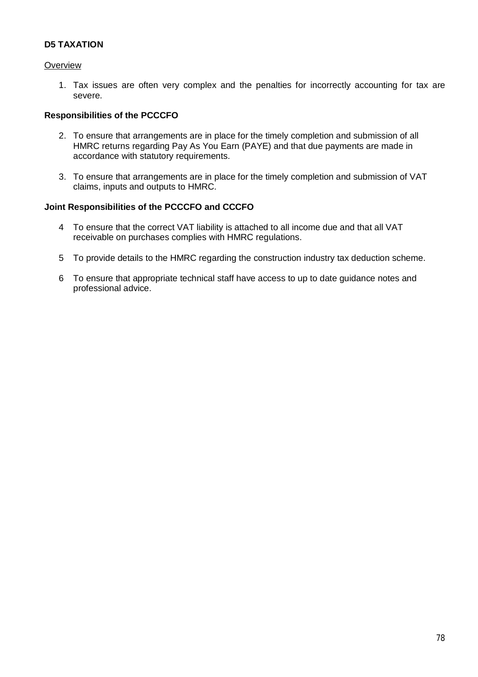## **D5 TAXATION**

### **Overview**

1. Tax issues are often very complex and the penalties for incorrectly accounting for tax are severe.

### **Responsibilities of the PCCCFO**

- 2. To ensure that arrangements are in place for the timely completion and submission of all HMRC returns regarding Pay As You Earn (PAYE) and that due payments are made in accordance with statutory requirements.
- 3. To ensure that arrangements are in place for the timely completion and submission of VAT claims, inputs and outputs to HMRC.

### **Joint Responsibilities of the PCCCFO and CCCFO**

- 4 To ensure that the correct VAT liability is attached to all income due and that all VAT receivable on purchases complies with HMRC regulations.
- 5 To provide details to the HMRC regarding the construction industry tax deduction scheme.
- 6 To ensure that appropriate technical staff have access to up to date guidance notes and professional advice.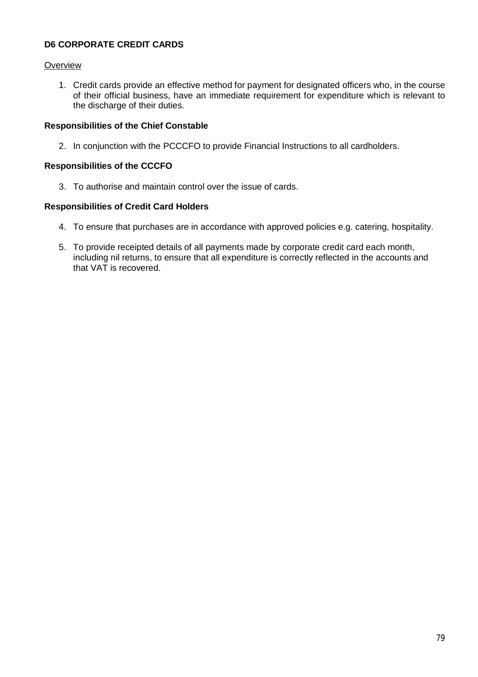# **D6 CORPORATE CREDIT CARDS**

## **Overview**

1. Credit cards provide an effective method for payment for designated officers who, in the course of their official business, have an immediate requirement for expenditure which is relevant to the discharge of their duties.

## **Responsibilities of the Chief Constable**

2. In conjunction with the PCCCFO to provide Financial Instructions to all cardholders.

## **Responsibilities of the CCCFO**

3. To authorise and maintain control over the issue of cards.

## **Responsibilities of Credit Card Holders**

- 4. To ensure that purchases are in accordance with approved policies e.g. catering, hospitality.
- 5. To provide receipted details of all payments made by corporate credit card each month, including nil returns, to ensure that all expenditure is correctly reflected in the accounts and that VAT is recovered.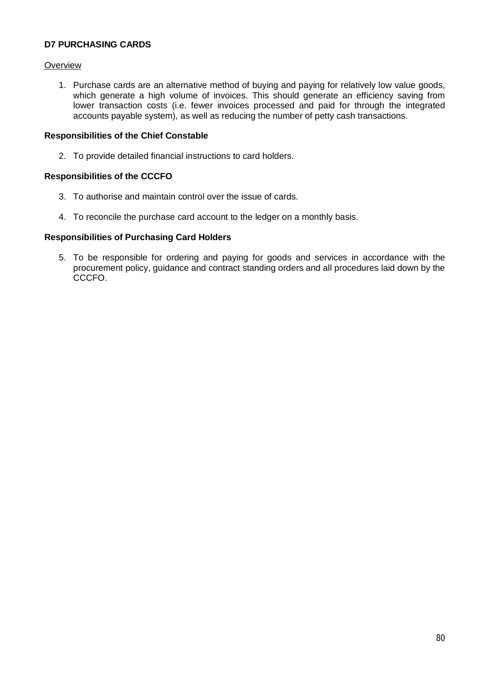## **D7 PURCHASING CARDS**

### **Overview**

1. Purchase cards are an alternative method of buying and paying for relatively low value goods, which generate a high volume of invoices. This should generate an efficiency saving from lower transaction costs (i.e. fewer invoices processed and paid for through the integrated accounts payable system), as well as reducing the number of petty cash transactions.

### **Responsibilities of the Chief Constable**

2. To provide detailed financial instructions to card holders.

### **Responsibilities of the CCCFO**

- 3. To authorise and maintain control over the issue of cards.
- 4. To reconcile the purchase card account to the ledger on a monthly basis.

#### **Responsibilities of Purchasing Card Holders**

5. To be responsible for ordering and paying for goods and services in accordance with the procurement policy, guidance and contract standing orders and all procedures laid down by the CCCFO.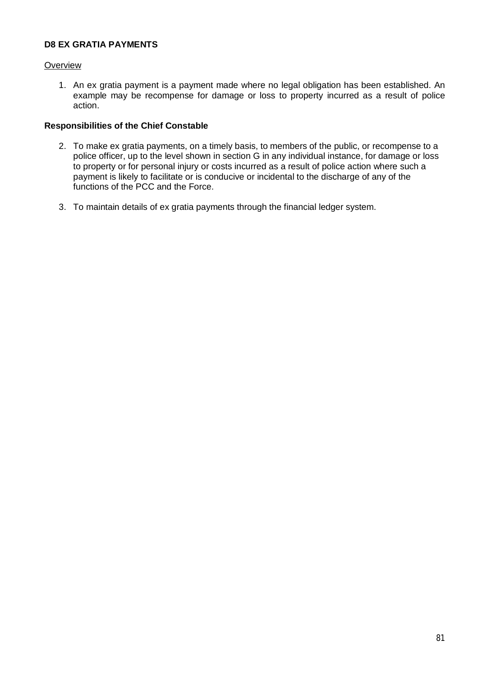## **D8 EX GRATIA PAYMENTS**

### **Overview**

1. An ex gratia payment is a payment made where no legal obligation has been established. An example may be recompense for damage or loss to property incurred as a result of police action.

- 2. To make ex gratia payments, on a timely basis, to members of the public, or recompense to a police officer, up to the level shown in section G in any individual instance, for damage or loss to property or for personal injury or costs incurred as a result of police action where such a payment is likely to facilitate or is conducive or incidental to the discharge of any of the functions of the PCC and the Force.
- 3. To maintain details of ex gratia payments through the financial ledger system.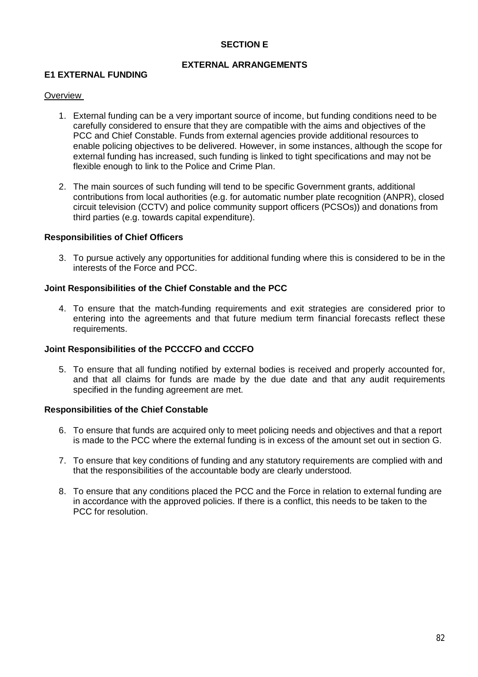## **SECTION E**

### **EXTERNAL ARRANGEMENTS**

### **E1 EXTERNAL FUNDING**

#### **Overview**

- 1. External funding can be a very important source of income, but funding conditions need to be carefully considered to ensure that they are compatible with the aims and objectives of the PCC and Chief Constable. Funds from external agencies provide additional resources to enable policing objectives to be delivered. However, in some instances, although the scope for external funding has increased, such funding is linked to tight specifications and may not be flexible enough to link to the Police and Crime Plan.
- 2. The main sources of such funding will tend to be specific Government grants, additional contributions from local authorities (e.g. for automatic number plate recognition (ANPR), closed circuit television (CCTV) and police community support officers (PCSOs)) and donations from third parties (e.g. towards capital expenditure).

### **Responsibilities of Chief Officers**

3. To pursue actively any opportunities for additional funding where this is considered to be in the interests of the Force and PCC.

#### **Joint Responsibilities of the Chief Constable and the PCC**

4. To ensure that the match-funding requirements and exit strategies are considered prior to entering into the agreements and that future medium term financial forecasts reflect these requirements.

#### **Joint Responsibilities of the PCCCFO and CCCFO**

5. To ensure that all funding notified by external bodies is received and properly accounted for, and that all claims for funds are made by the due date and that any audit requirements specified in the funding agreement are met.

- 6. To ensure that funds are acquired only to meet policing needs and objectives and that a report is made to the PCC where the external funding is in excess of the amount set out in section G.
- 7. To ensure that key conditions of funding and any statutory requirements are complied with and that the responsibilities of the accountable body are clearly understood.
- 8. To ensure that any conditions placed the PCC and the Force in relation to external funding are in accordance with the approved policies. If there is a conflict, this needs to be taken to the PCC for resolution.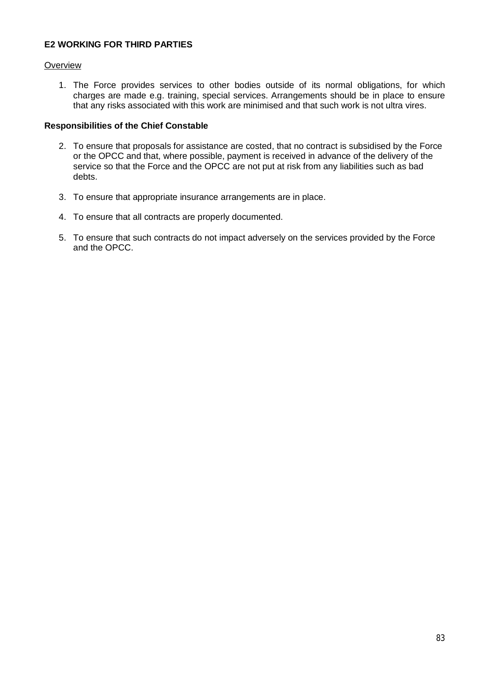## **E2 WORKING FOR THIRD PARTIES**

### **Overview**

1. The Force provides services to other bodies outside of its normal obligations, for which charges are made e.g. training, special services. Arrangements should be in place to ensure that any risks associated with this work are minimised and that such work is not ultra vires.

- 2. To ensure that proposals for assistance are costed, that no contract is subsidised by the Force or the OPCC and that, where possible, payment is received in advance of the delivery of the service so that the Force and the OPCC are not put at risk from any liabilities such as bad debts.
- 3. To ensure that appropriate insurance arrangements are in place.
- 4. To ensure that all contracts are properly documented.
- 5. To ensure that such contracts do not impact adversely on the services provided by the Force and the OPCC.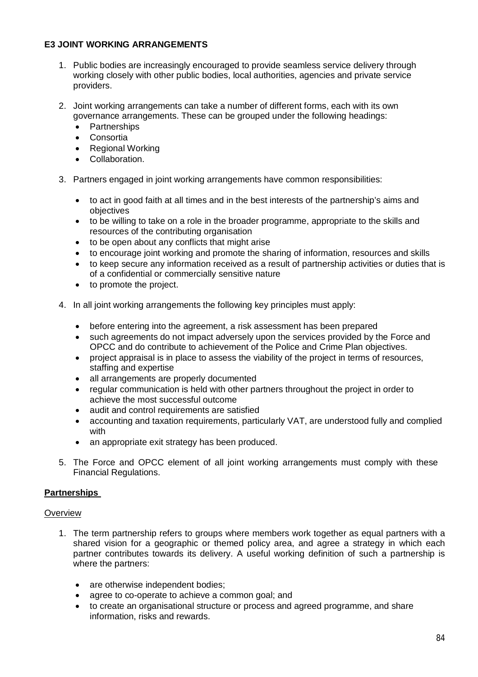## **E3 JOINT WORKING ARRANGEMENTS**

- 1. Public bodies are increasingly encouraged to provide seamless service delivery through working closely with other public bodies, local authorities, agencies and private service providers.
- 2. Joint working arrangements can take a number of different forms, each with its own governance arrangements. These can be grouped under the following headings:
	- Partnerships
	- Consortia
	- Regional Working
	- Collaboration.
- 3. Partners engaged in joint working arrangements have common responsibilities:
	- to act in good faith at all times and in the best interests of the partnership's aims and objectives
	- to be willing to take on a role in the broader programme, appropriate to the skills and resources of the contributing organisation
	- to be open about any conflicts that might arise
	- to encourage joint working and promote the sharing of information, resources and skills
	- to keep secure any information received as a result of partnership activities or duties that is of a confidential or commercially sensitive nature
	- to promote the project.
- 4. In all joint working arrangements the following key principles must apply:
	- before entering into the agreement, a risk assessment has been prepared
	- such agreements do not impact adversely upon the services provided by the Force and OPCC and do contribute to achievement of the Police and Crime Plan objectives.
	- project appraisal is in place to assess the viability of the project in terms of resources, staffing and expertise
	- all arrangements are properly documented
	- regular communication is held with other partners throughout the project in order to achieve the most successful outcome
	- audit and control requirements are satisfied
	- accounting and taxation requirements, particularly VAT, are understood fully and complied with
	- an appropriate exit strategy has been produced.
- 5. The Force and OPCC element of all joint working arrangements must comply with these Financial Regulations.

# **Partnerships**

### **Overview**

- 1. The term partnership refers to groups where members work together as equal partners with a shared vision for a geographic or themed policy area, and agree a strategy in which each partner contributes towards its delivery. A useful working definition of such a partnership is where the partners:
	- are otherwise independent bodies;
	- agree to co-operate to achieve a common goal: and
	- to create an organisational structure or process and agreed programme, and share information, risks and rewards.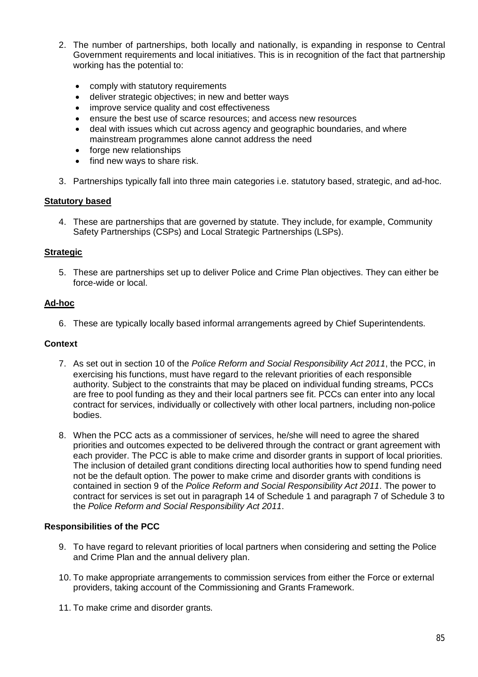- 2. The number of partnerships, both locally and nationally, is expanding in response to Central Government requirements and local initiatives. This is in recognition of the fact that partnership working has the potential to:
	- comply with statutory requirements
	- deliver strategic objectives; in new and better ways
	- improve service quality and cost effectiveness
	- ensure the best use of scarce resources; and access new resources
	- deal with issues which cut across agency and geographic boundaries, and where mainstream programmes alone cannot address the need
	- forge new relationships
	- find new ways to share risk.
- 3. Partnerships typically fall into three main categories i.e. statutory based, strategic, and ad-hoc.

### **Statutory based**

4. These are partnerships that are governed by statute. They include, for example, Community Safety Partnerships (CSPs) and Local Strategic Partnerships (LSPs).

## **Strategic**

5. These are partnerships set up to deliver Police and Crime Plan objectives. They can either be force-wide or local.

## **Ad-hoc**

6. These are typically locally based informal arrangements agreed by Chief Superintendents.

### **Context**

- 7. As set out in section 10 of the *Police Reform and Social Responsibility Act 2011*, the PCC, in exercising his functions, must have regard to the relevant priorities of each responsible authority. Subject to the constraints that may be placed on individual funding streams, PCCs are free to pool funding as they and their local partners see fit. PCCs can enter into any local contract for services, individually or collectively with other local partners, including non-police bodies.
- 8. When the PCC acts as a commissioner of services, he/she will need to agree the shared priorities and outcomes expected to be delivered through the contract or grant agreement with each provider. The PCC is able to make crime and disorder grants in support of local priorities. The inclusion of detailed grant conditions directing local authorities how to spend funding need not be the default option. The power to make crime and disorder grants with conditions is contained in section 9 of the *Police Reform and Social Responsibility Act 2011*. The power to contract for services is set out in paragraph 14 of Schedule 1 and paragraph 7 of Schedule 3 to the *Police Reform and Social Responsibility Act 2011*.

### **Responsibilities of the PCC**

- 9. To have regard to relevant priorities of local partners when considering and setting the Police and Crime Plan and the annual delivery plan.
- 10. To make appropriate arrangements to commission services from either the Force or external providers, taking account of the Commissioning and Grants Framework.
- 11. To make crime and disorder grants.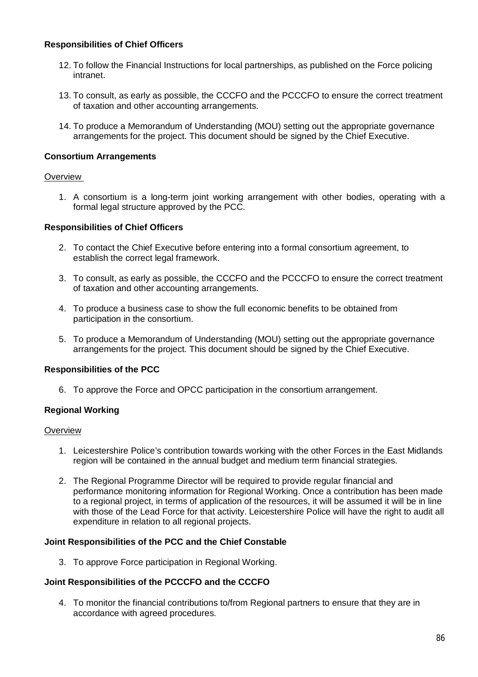## **Responsibilities of Chief Officers**

- 12. To follow the Financial Instructions for local partnerships, as published on the Force policing intranet.
- 13. To consult, as early as possible, the CCCFO and the PCCCFO to ensure the correct treatment of taxation and other accounting arrangements.
- 14. To produce a Memorandum of Understanding (MOU) setting out the appropriate governance arrangements for the project. This document should be signed by the Chief Executive.

### **Consortium Arrangements**

### **Overview**

1. A consortium is a long-term joint working arrangement with other bodies, operating with a formal legal structure approved by the PCC.

### **Responsibilities of Chief Officers**

- 2. To contact the Chief Executive before entering into a formal consortium agreement, to establish the correct legal framework.
- 3. To consult, as early as possible, the CCCFO and the PCCCFO to ensure the correct treatment of taxation and other accounting arrangements.
- 4. To produce a business case to show the full economic benefits to be obtained from participation in the consortium.
- 5. To produce a Memorandum of Understanding (MOU) setting out the appropriate governance arrangements for the project. This document should be signed by the Chief Executive.

### **Responsibilities of the PCC**

6. To approve the Force and OPCC participation in the consortium arrangement.

### **Regional Working**

### **Overview**

- 1. Leicestershire Police's contribution towards working with the other Forces in the East Midlands region will be contained in the annual budget and medium term financial strategies.
- 2. The Regional Programme Director will be required to provide regular financial and performance monitoring information for Regional Working. Once a contribution has been made to a regional project, in terms of application of the resources, it will be assumed it will be in line with those of the Lead Force for that activity. Leicestershire Police will have the right to audit all expenditure in relation to all regional projects.

### **Joint Responsibilities of the PCC and the Chief Constable**

3. To approve Force participation in Regional Working.

### **Joint Responsibilities of the PCCCFO and the CCCFO**

4. To monitor the financial contributions to/from Regional partners to ensure that they are in accordance with agreed procedures.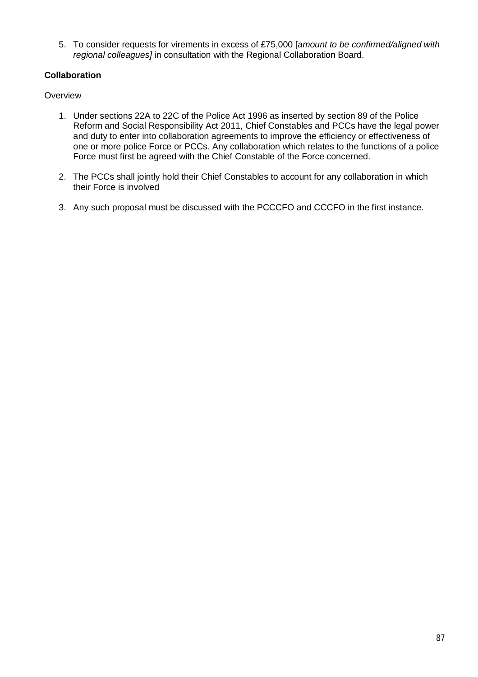5. To consider requests for virements in excess of £75,000 [*amount to be confirmed/aligned with regional colleagues]* in consultation with the Regional Collaboration Board.

# **Collaboration**

## **Overview**

- 1. Under sections 22A to 22C of the Police Act 1996 as inserted by section 89 of the Police Reform and Social Responsibility Act 2011, Chief Constables and PCCs have the legal power and duty to enter into collaboration agreements to improve the efficiency or effectiveness of one or more police Force or PCCs. Any collaboration which relates to the functions of a police Force must first be agreed with the Chief Constable of the Force concerned.
- 2. The PCCs shall jointly hold their Chief Constables to account for any collaboration in which their Force is involved
- 3. Any such proposal must be discussed with the PCCCFO and CCCFO in the first instance.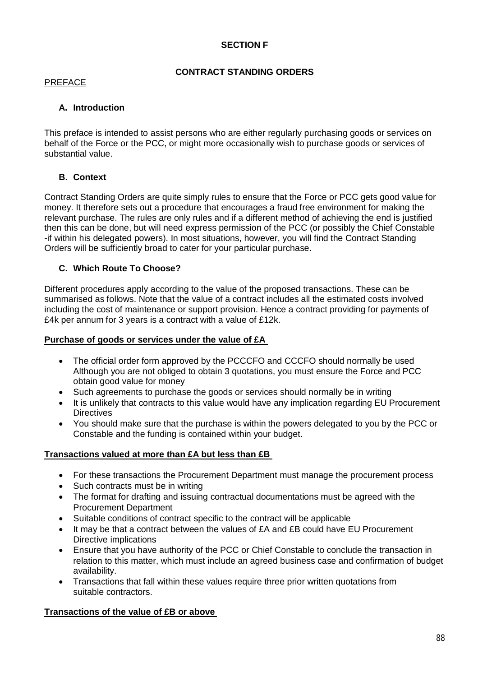# **SECTION F**

# **CONTRACT STANDING ORDERS**

### PREFACE

# **A. Introduction**

This preface is intended to assist persons who are either regularly purchasing goods or services on behalf of the Force or the PCC, or might more occasionally wish to purchase goods or services of substantial value.

# **B. Context**

Contract Standing Orders are quite simply rules to ensure that the Force or PCC gets good value for money. It therefore sets out a procedure that encourages a fraud free environment for making the relevant purchase. The rules are only rules and if a different method of achieving the end is justified then this can be done, but will need express permission of the PCC (or possibly the Chief Constable -if within his delegated powers). In most situations, however, you will find the Contract Standing Orders will be sufficiently broad to cater for your particular purchase.

# **C. Which Route To Choose?**

Different procedures apply according to the value of the proposed transactions. These can be summarised as follows. Note that the value of a contract includes all the estimated costs involved including the cost of maintenance or support provision. Hence a contract providing for payments of £4k per annum for 3 years is a contract with a value of £12k.

### **Purchase of goods or services under the value of £A**

- The official order form approved by the PCCCFO and CCCFO should normally be used Although you are not obliged to obtain 3 quotations, you must ensure the Force and PCC obtain good value for money
- Such agreements to purchase the goods or services should normally be in writing
- It is unlikely that contracts to this value would have any implication regarding EU Procurement **Directives**
- You should make sure that the purchase is within the powers delegated to you by the PCC or Constable and the funding is contained within your budget.

### **Transactions valued at more than £A but less than £B**

- For these transactions the Procurement Department must manage the procurement process
- Such contracts must be in writing
- The format for drafting and issuing contractual documentations must be agreed with the Procurement Department
- Suitable conditions of contract specific to the contract will be applicable
- It may be that a contract between the values of £A and £B could have EU Procurement Directive implications
- Ensure that you have authority of the PCC or Chief Constable to conclude the transaction in relation to this matter, which must include an agreed business case and confirmation of budget availability.
- Transactions that fall within these values require three prior written quotations from suitable contractors.

# **Transactions of the value of £B or above**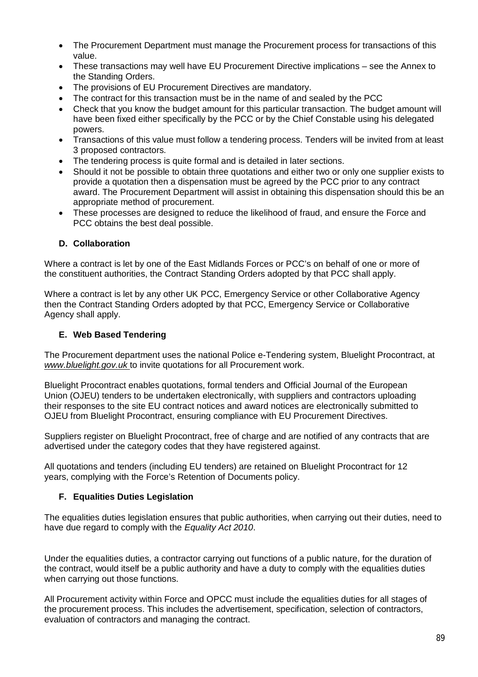- The Procurement Department must manage the Procurement process for transactions of this value.
- These transactions may well have EU Procurement Directive implications see the Annex to the Standing Orders.
- The provisions of EU Procurement Directives are mandatory.
- The contract for this transaction must be in the name of and sealed by the PCC
- Check that you know the budget amount for this particular transaction. The budget amount will have been fixed either specifically by the PCC or by the Chief Constable using his delegated powers.
- Transactions of this value must follow a tendering process. Tenders will be invited from at least 3 proposed contractors.
- The tendering process is quite formal and is detailed in later sections.
- Should it not be possible to obtain three quotations and either two or only one supplier exists to provide a quotation then a dispensation must be agreed by the PCC prior to any contract award. The Procurement Department will assist in obtaining this dispensation should this be an appropriate method of procurement.
- These processes are designed to reduce the likelihood of fraud, and ensure the Force and PCC obtains the best deal possible.

## **D. Collaboration**

Where a contract is let by one of the East Midlands Forces or PCC's on behalf of one or more of the constituent authorities, the Contract Standing Orders adopted by that PCC shall apply.

Where a contract is let by any other UK PCC, Emergency Service or other Collaborative Agency then the Contract Standing Orders adopted by that PCC, Emergency Service or Collaborative Agency shall apply.

### **E. Web Based Tendering**

The Procurement department uses the national Police e-Tendering system, Bluelight Procontract, at *www.bluelight.gov.uk* to invite quotations for all Procurement work.

Bluelight Procontract enables quotations, formal tenders and Official Journal of the European Union (OJEU) tenders to be undertaken electronically, with suppliers and contractors uploading their responses to the site EU contract notices and award notices are electronically submitted to OJEU from Bluelight Procontract, ensuring compliance with EU Procurement Directives.

Suppliers register on Bluelight Procontract, free of charge and are notified of any contracts that are advertised under the category codes that they have registered against.

All quotations and tenders (including EU tenders) are retained on Bluelight Procontract for 12 years, complying with the Force's Retention of Documents policy.

# **F. Equalities Duties Legislation**

The equalities duties legislation ensures that public authorities, when carrying out their duties, need to have due regard to comply with the *Equality Act 2010*.

Under the equalities duties, a contractor carrying out functions of a public nature, for the duration of the contract, would itself be a public authority and have a duty to comply with the equalities duties when carrying out those functions.

All Procurement activity within Force and OPCC must include the equalities duties for all stages of the procurement process. This includes the advertisement, specification, selection of contractors, evaluation of contractors and managing the contract.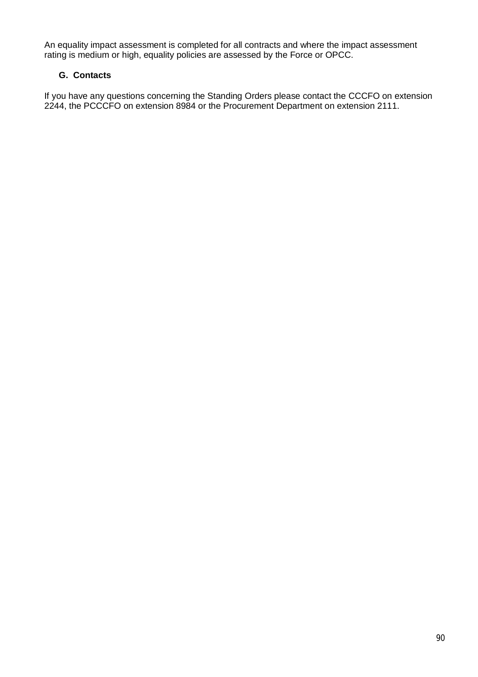An equality impact assessment is completed for all contracts and where the impact assessment rating is medium or high, equality policies are assessed by the Force or OPCC.

# **G. Contacts**

If you have any questions concerning the Standing Orders please contact the CCCFO on extension 2244, the PCCCFO on extension 8984 or the Procurement Department on extension 2111.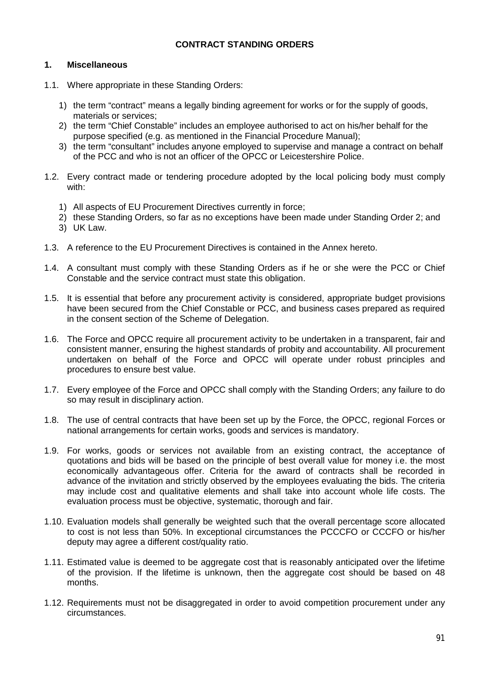## **CONTRACT STANDING ORDERS**

#### **1. Miscellaneous**

- 1.1. Where appropriate in these Standing Orders:
	- 1) the term "contract" means a legally binding agreement for works or for the supply of goods, materials or services;
	- 2) the term "Chief Constable" includes an employee authorised to act on his/her behalf for the purpose specified (e.g. as mentioned in the Financial Procedure Manual);
	- 3) the term "consultant" includes anyone employed to supervise and manage a contract on behalf of the PCC and who is not an officer of the OPCC or Leicestershire Police.
- 1.2. Every contract made or tendering procedure adopted by the local policing body must comply with:
	- 1) All aspects of EU Procurement Directives currently in force;
	- 2) these Standing Orders, so far as no exceptions have been made under Standing Order 2; and 3) UK Law.
- 1.3. A reference to the EU Procurement Directives is contained in the Annex hereto.
- 1.4. A consultant must comply with these Standing Orders as if he or she were the PCC or Chief Constable and the service contract must state this obligation.
- 1.5. It is essential that before any procurement activity is considered, appropriate budget provisions have been secured from the Chief Constable or PCC, and business cases prepared as required in the consent section of the Scheme of Delegation.
- 1.6. The Force and OPCC require all procurement activity to be undertaken in a transparent, fair and consistent manner, ensuring the highest standards of probity and accountability. All procurement undertaken on behalf of the Force and OPCC will operate under robust principles and procedures to ensure best value.
- 1.7. Every employee of the Force and OPCC shall comply with the Standing Orders; any failure to do so may result in disciplinary action.
- 1.8. The use of central contracts that have been set up by the Force, the OPCC, regional Forces or national arrangements for certain works, goods and services is mandatory.
- 1.9. For works, goods or services not available from an existing contract, the acceptance of quotations and bids will be based on the principle of best overall value for money i.e. the most economically advantageous offer. Criteria for the award of contracts shall be recorded in advance of the invitation and strictly observed by the employees evaluating the bids. The criteria may include cost and qualitative elements and shall take into account whole life costs. The evaluation process must be objective, systematic, thorough and fair.
- 1.10. Evaluation models shall generally be weighted such that the overall percentage score allocated to cost is not less than 50%. In exceptional circumstances the PCCCFO or CCCFO or his/her deputy may agree a different cost/quality ratio.
- 1.11. Estimated value is deemed to be aggregate cost that is reasonably anticipated over the lifetime of the provision. If the lifetime is unknown, then the aggregate cost should be based on 48 months.
- 1.12. Requirements must not be disaggregated in order to avoid competition procurement under any circumstances.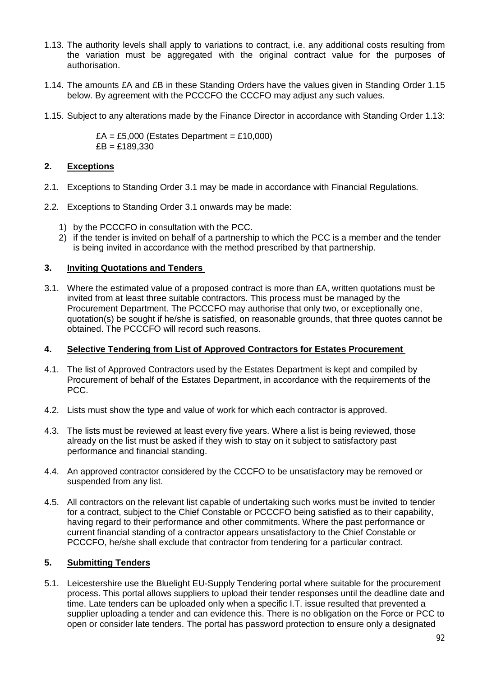- 1.13. The authority levels shall apply to variations to contract, i.e. any additional costs resulting from the variation must be aggregated with the original contract value for the purposes of authorisation.
- 1.14. The amounts £A and £B in these Standing Orders have the values given in Standing Order 1.15 below. By agreement with the PCCCFO the CCCFO may adjust any such values.
- 1.15. Subject to any alterations made by the Finance Director in accordance with Standing Order 1.13:

 $EA = £5,000$  (Estates Department = £10,000)  $EB = £189.330$ 

## **2. Exceptions**

- 2.1. Exceptions to Standing Order 3.1 may be made in accordance with Financial Regulations.
- 2.2. Exceptions to Standing Order 3.1 onwards may be made:
	- 1) by the PCCCFO in consultation with the PCC.
	- 2) if the tender is invited on behalf of a partnership to which the PCC is a member and the tender is being invited in accordance with the method prescribed by that partnership.

## **3. Inviting Quotations and Tenders**

3.1. Where the estimated value of a proposed contract is more than £A, written quotations must be invited from at least three suitable contractors. This process must be managed by the Procurement Department. The PCCCFO may authorise that only two, or exceptionally one, quotation(s) be sought if he/she is satisfied, on reasonable grounds, that three quotes cannot be obtained. The PCCCFO will record such reasons.

### **4. Selective Tendering from List of Approved Contractors for Estates Procurement**

- 4.1. The list of Approved Contractors used by the Estates Department is kept and compiled by Procurement of behalf of the Estates Department, in accordance with the requirements of the PCC.
- 4.2. Lists must show the type and value of work for which each contractor is approved.
- 4.3. The lists must be reviewed at least every five years. Where a list is being reviewed, those already on the list must be asked if they wish to stay on it subject to satisfactory past performance and financial standing.
- 4.4. An approved contractor considered by the CCCFO to be unsatisfactory may be removed or suspended from any list.
- 4.5. All contractors on the relevant list capable of undertaking such works must be invited to tender for a contract, subject to the Chief Constable or PCCCFO being satisfied as to their capability, having regard to their performance and other commitments. Where the past performance or current financial standing of a contractor appears unsatisfactory to the Chief Constable or PCCCFO, he/she shall exclude that contractor from tendering for a particular contract.

# **5. Submitting Tenders**

5.1. Leicestershire use the Bluelight EU-Supply Tendering portal where suitable for the procurement process. This portal allows suppliers to upload their tender responses until the deadline date and time. Late tenders can be uploaded only when a specific I.T. issue resulted that prevented a supplier uploading a tender and can evidence this. There is no obligation on the Force or PCC to open or consider late tenders. The portal has password protection to ensure only a designated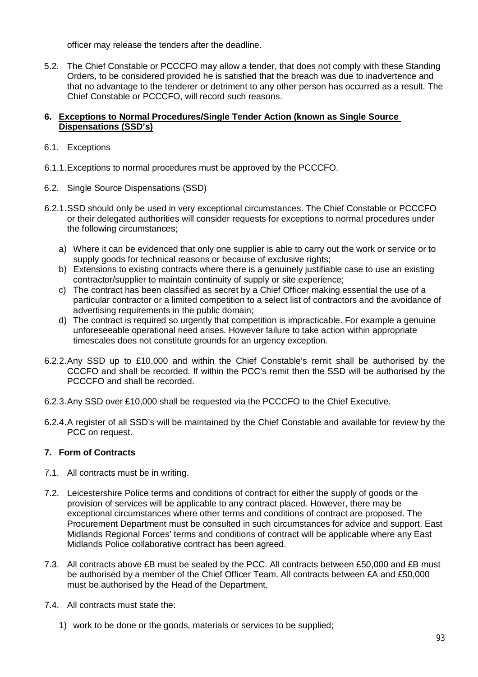officer may release the tenders after the deadline.

5.2. The Chief Constable or PCCCFO may allow a tender, that does not comply with these Standing Orders, to be considered provided he is satisfied that the breach was due to inadvertence and that no advantage to the tenderer or detriment to any other person has occurred as a result. The Chief Constable or PCCCFO, will record such reasons.

### **6. Exceptions to Normal Procedures/Single Tender Action (known as Single Source Dispensations (SSD's)**

- 6.1. Exceptions
- 6.1.1.Exceptions to normal procedures must be approved by the PCCCFO.
- 6.2. Single Source Dispensations (SSD)
- 6.2.1.SSD should only be used in very exceptional circumstances. The Chief Constable or PCCCFO or their delegated authorities will consider requests for exceptions to normal procedures under the following circumstances;
	- a) Where it can be evidenced that only one supplier is able to carry out the work or service or to supply goods for technical reasons or because of exclusive rights;
	- b) Extensions to existing contracts where there is a genuinely justifiable case to use an existing contractor/supplier to maintain continuity of supply or site experience;
	- c) The contract has been classified as secret by a Chief Officer making essential the use of a particular contractor or a limited competition to a select list of contractors and the avoidance of advertising requirements in the public domain;
	- d) The contract is required so urgently that competition is impracticable. For example a genuine unforeseeable operational need arises. However failure to take action within appropriate timescales does not constitute grounds for an urgency exception.
- 6.2.2.Any SSD up to £10,000 and within the Chief Constable's remit shall be authorised by the CCCFO and shall be recorded. If within the PCC's remit then the SSD will be authorised by the PCCCFO and shall be recorded.
- 6.2.3.Any SSD over £10,000 shall be requested via the PCCCFO to the Chief Executive.
- 6.2.4.A register of all SSD's will be maintained by the Chief Constable and available for review by the PCC on request.

# **7. Form of Contracts**

- 7.1. All contracts must be in writing.
- 7.2. Leicestershire Police terms and conditions of contract for either the supply of goods or the provision of services will be applicable to any contract placed. However, there may be exceptional circumstances where other terms and conditions of contract are proposed. The Procurement Department must be consulted in such circumstances for advice and support. East Midlands Regional Forces' terms and conditions of contract will be applicable where any East Midlands Police collaborative contract has been agreed.
- 7.3. All contracts above £B must be sealed by the PCC. All contracts between £50,000 and £B must be authorised by a member of the Chief Officer Team. All contracts between £A and £50,000 must be authorised by the Head of the Department.
- 7.4. All contracts must state the:
	- 1) work to be done or the goods, materials or services to be supplied;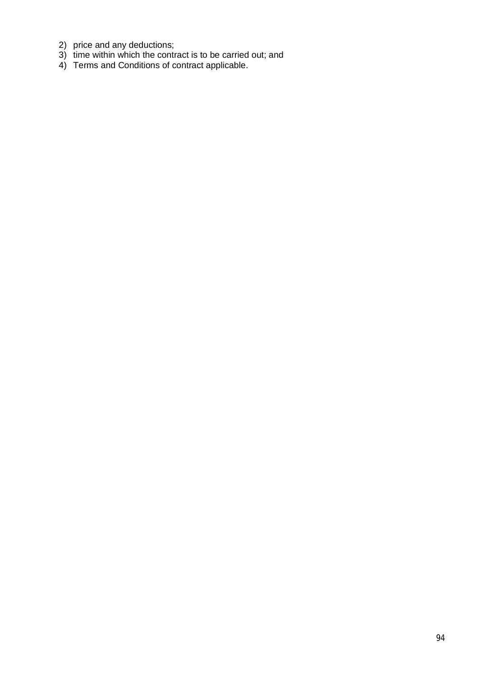- 2) price and any deductions;
- 3) time within which the contract is to be carried out; and
- 4) Terms and Conditions of contract applicable.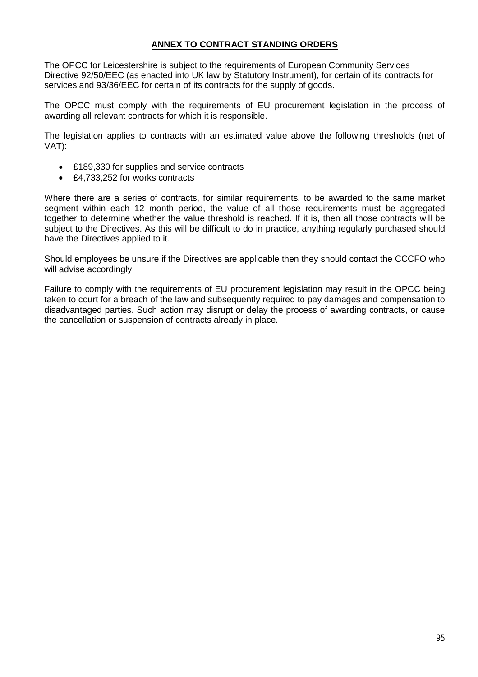# **ANNEX TO CONTRACT STANDING ORDERS**

The OPCC for Leicestershire is subject to the requirements of European Community Services Directive 92/50/EEC (as enacted into UK law by Statutory Instrument), for certain of its contracts for services and 93/36/EEC for certain of its contracts for the supply of goods.

The OPCC must comply with the requirements of EU procurement legislation in the process of awarding all relevant contracts for which it is responsible.

The legislation applies to contracts with an estimated value above the following thresholds (net of VAT):

- £189,330 for supplies and service contracts
- £4,733,252 for works contracts

Where there are a series of contracts, for similar requirements, to be awarded to the same market segment within each 12 month period, the value of all those requirements must be aggregated together to determine whether the value threshold is reached. If it is, then all those contracts will be subject to the Directives. As this will be difficult to do in practice, anything regularly purchased should have the Directives applied to it.

Should employees be unsure if the Directives are applicable then they should contact the CCCFO who will advise accordingly.

Failure to comply with the requirements of EU procurement legislation may result in the OPCC being taken to court for a breach of the law and subsequently required to pay damages and compensation to disadvantaged parties. Such action may disrupt or delay the process of awarding contracts, or cause the cancellation or suspension of contracts already in place.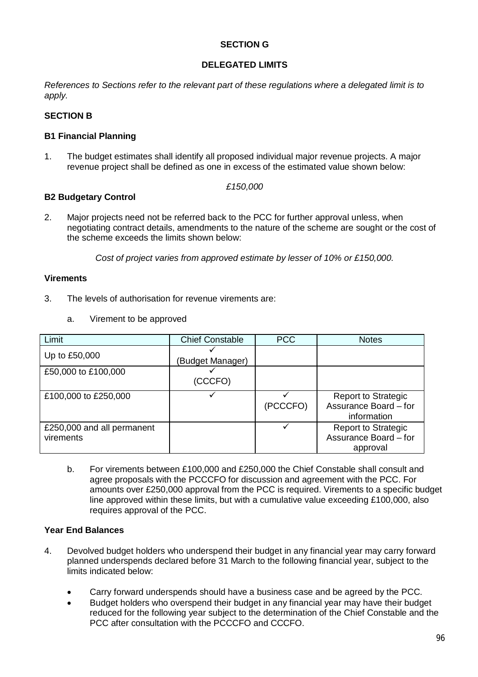## **SECTION G**

## **DELEGATED LIMITS**

*References to Sections refer to the relevant part of these regulations where a delegated limit is to apply.* 

# **SECTION B**

## **B1 Financial Planning**

1. The budget estimates shall identify all proposed individual major revenue projects. A major revenue project shall be defined as one in excess of the estimated value shown below:

#### *£150,000*

### **B2 Budgetary Control**

2. Major projects need not be referred back to the PCC for further approval unless, when negotiating contract details, amendments to the nature of the scheme are sought or the cost of the scheme exceeds the limits shown below:

*Cost of project varies from approved estimate by lesser of 10% or £150,000.* 

## **Virements**

- 3. The levels of authorisation for revenue virements are:
	- a. Virement to be approved

| Limit                                   | <b>Chief Constable</b> | <b>PCC</b> | <b>Notes</b>                                                       |
|-----------------------------------------|------------------------|------------|--------------------------------------------------------------------|
| Up to £50,000                           | (Budget Manager)       |            |                                                                    |
| £50,000 to £100,000                     | (CCCFO)                |            |                                                                    |
| £100,000 to £250,000                    |                        | (PCCCFO)   | <b>Report to Strategic</b><br>Assurance Board - for<br>information |
| £250,000 and all permanent<br>virements |                        |            | <b>Report to Strategic</b><br>Assurance Board - for<br>approval    |

b. For virements between £100,000 and £250,000 the Chief Constable shall consult and agree proposals with the PCCCFO for discussion and agreement with the PCC. For amounts over £250,000 approval from the PCC is required. Virements to a specific budget line approved within these limits, but with a cumulative value exceeding £100,000, also requires approval of the PCC.

# **Year End Balances**

- 4. Devolved budget holders who underspend their budget in any financial year may carry forward planned underspends declared before 31 March to the following financial year, subject to the limits indicated below:
	- Carry forward underspends should have a business case and be agreed by the PCC.
	- Budget holders who overspend their budget in any financial year may have their budget reduced for the following year subject to the determination of the Chief Constable and the PCC after consultation with the PCCCFO and CCCFO.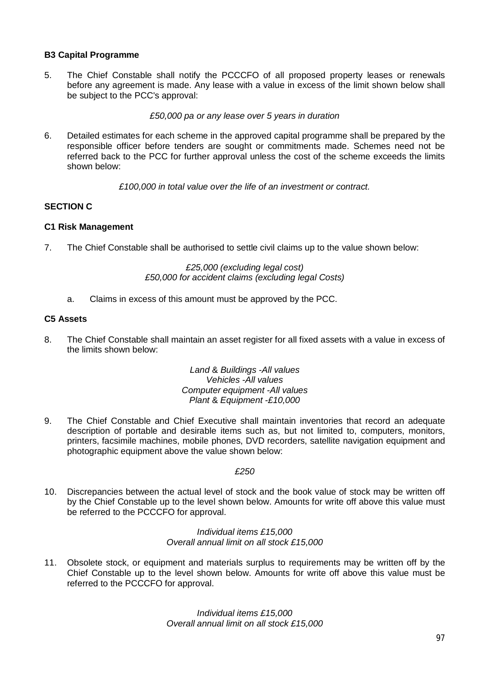## **B3 Capital Programme**

5. The Chief Constable shall notify the PCCCFO of all proposed property leases or renewals before any agreement is made. Any lease with a value in excess of the limit shown below shall be subject to the PCC's approval:

*£50,000 pa or any lease over 5 years in duration* 

6. Detailed estimates for each scheme in the approved capital programme shall be prepared by the responsible officer before tenders are sought or commitments made. Schemes need not be referred back to the PCC for further approval unless the cost of the scheme exceeds the limits shown below:

*£100,000 in total value over the life of an investment or contract.* 

# **SECTION C**

### **C1 Risk Management**

7. The Chief Constable shall be authorised to settle civil claims up to the value shown below:

### *£25,000 (excluding legal cost) £50,000 for accident claims (excluding legal Costs)*

a. Claims in excess of this amount must be approved by the PCC.

### **C5 Assets**

8. The Chief Constable shall maintain an asset register for all fixed assets with a value in excess of the limits shown below:

> *Land* & *Buildings* -*All values Vehicles* -*All values Computer equipment* -*All values Plant* & *Equipment* -*£10,000*

9. The Chief Constable and Chief Executive shall maintain inventories that record an adequate description of portable and desirable items such as, but not limited to, computers, monitors, printers, facsimile machines, mobile phones, DVD recorders, satellite navigation equipment and photographic equipment above the value shown below:

### *£250*

10. Discrepancies between the actual level of stock and the book value of stock may be written off by the Chief Constable up to the level shown below. Amounts for write off above this value must be referred to the PCCCFO for approval.

#### *Individual items £15,000 Overall annual limit on all stock £15,000*

11. Obsolete stock, or equipment and materials surplus to requirements may be written off by the Chief Constable up to the level shown below. Amounts for write off above this value must be referred to the PCCCFO for approval.

> *Individual items £15,000 Overall annual limit on all stock £15,000*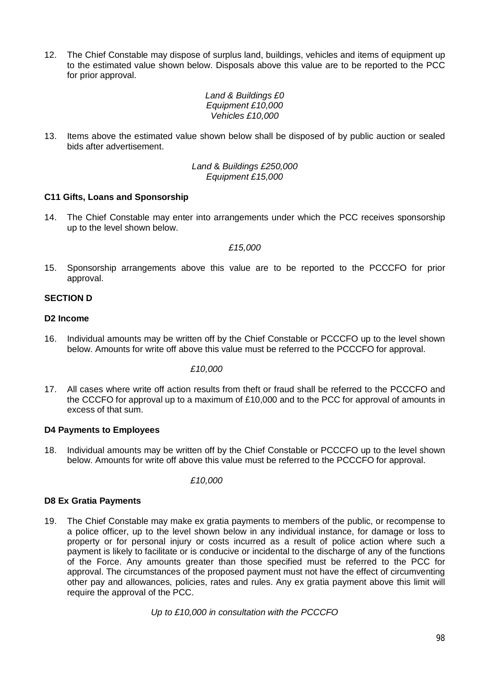12. The Chief Constable may dispose of surplus land, buildings, vehicles and items of equipment up to the estimated value shown below. Disposals above this value are to be reported to the PCC for prior approval.

> *Land & Buildings £0 Equipment £10,000 Vehicles £10,000*

13. Items above the estimated value shown below shall be disposed of by public auction or sealed bids after advertisement.

> *Land* & *Buildings £250,000 Equipment £15,000*

## **C11 Gifts, Loans and Sponsorship**

14. The Chief Constable may enter into arrangements under which the PCC receives sponsorship up to the level shown below.

#### *£15,000*

15. Sponsorship arrangements above this value are to be reported to the PCCCFO for prior approval.

## **SECTION D**

### **D2 Income**

16. Individual amounts may be written off by the Chief Constable or PCCCFO up to the level shown below. Amounts for write off above this value must be referred to the PCCCFO for approval.

#### *£10,000*

17. All cases where write off action results from theft or fraud shall be referred to the PCCCFO and the CCCFO for approval up to a maximum of £10,000 and to the PCC for approval of amounts in excess of that sum.

### **D4 Payments to Employees**

18. Individual amounts may be written off by the Chief Constable or PCCCFO up to the level shown below. Amounts for write off above this value must be referred to the PCCCFO for approval.

*£10,000* 

### **D8 Ex Gratia Payments**

19. The Chief Constable may make ex gratia payments to members of the public, or recompense to a police officer, up to the level shown below in any individual instance, for damage or loss to property or for personal injury or costs incurred as a result of police action where such a payment is likely to facilitate or is conducive or incidental to the discharge of any of the functions of the Force. Any amounts greater than those specified must be referred to the PCC for approval. The circumstances of the proposed payment must not have the effect of circumventing other pay and allowances, policies, rates and rules. Any ex gratia payment above this limit will require the approval of the PCC.

*Up to £10,000 in consultation with the PCCCFO*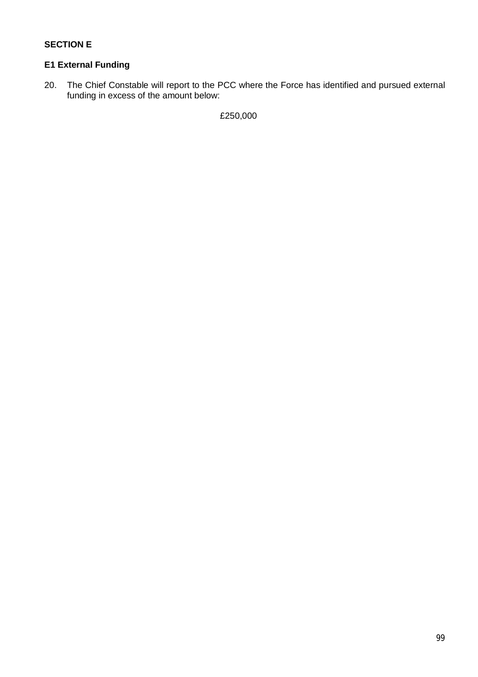# **SECTION E**

# **E1 External Funding**

20. The Chief Constable will report to the PCC where the Force has identified and pursued external funding in excess of the amount below:

£250,000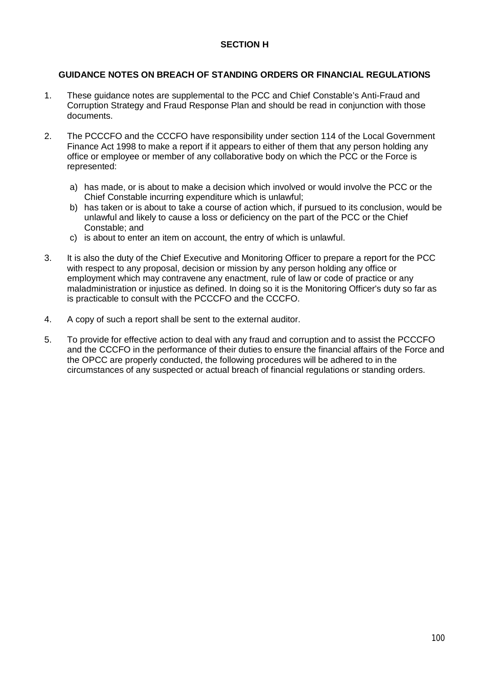## **SECTION H**

## **GUIDANCE NOTES ON BREACH OF STANDING ORDERS OR FINANCIAL REGULATIONS**

- 1. These guidance notes are supplemental to the PCC and Chief Constable's Anti-Fraud and Corruption Strategy and Fraud Response Plan and should be read in conjunction with those documents.
- 2. The PCCCFO and the CCCFO have responsibility under section 114 of the Local Government Finance Act 1998 to make a report if it appears to either of them that any person holding any office or employee or member of any collaborative body on which the PCC or the Force is represented:
	- a) has made, or is about to make a decision which involved or would involve the PCC or the Chief Constable incurring expenditure which is unlawful;
	- b) has taken or is about to take a course of action which, if pursued to its conclusion, would be unlawful and likely to cause a loss or deficiency on the part of the PCC or the Chief Constable; and
	- c) is about to enter an item on account, the entry of which is unlawful.
- 3. It is also the duty of the Chief Executive and Monitoring Officer to prepare a report for the PCC with respect to any proposal, decision or mission by any person holding any office or employment which may contravene any enactment, rule of law or code of practice or any maladministration or injustice as defined. In doing so it is the Monitoring Officer's duty so far as is practicable to consult with the PCCCFO and the CCCFO.
- 4. A copy of such a report shall be sent to the external auditor.
- 5. To provide for effective action to deal with any fraud and corruption and to assist the PCCCFO and the CCCFO in the performance of their duties to ensure the financial affairs of the Force and the OPCC are properly conducted, the following procedures will be adhered to in the circumstances of any suspected or actual breach of financial regulations or standing orders.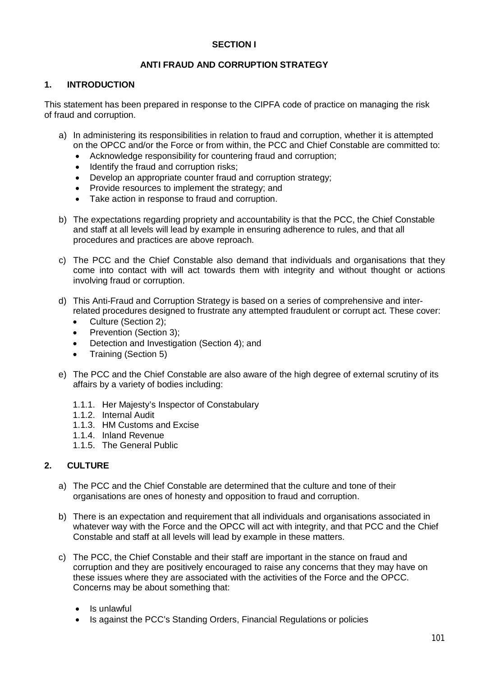## **SECTION I**

## **ANTI FRAUD AND CORRUPTION STRATEGY**

### **1. INTRODUCTION**

This statement has been prepared in response to the CIPFA code of practice on managing the risk of fraud and corruption.

- a) In administering its responsibilities in relation to fraud and corruption, whether it is attempted on the OPCC and/or the Force or from within, the PCC and Chief Constable are committed to:
	- Acknowledge responsibility for countering fraud and corruption;
	- Identify the fraud and corruption risks;
	- Develop an appropriate counter fraud and corruption strategy;
	- Provide resources to implement the strategy; and
	- Take action in response to fraud and corruption.
- b) The expectations regarding propriety and accountability is that the PCC, the Chief Constable and staff at all levels will lead by example in ensuring adherence to rules, and that all procedures and practices are above reproach.
- c) The PCC and the Chief Constable also demand that individuals and organisations that they come into contact with will act towards them with integrity and without thought or actions involving fraud or corruption.
- d) This Anti-Fraud and Corruption Strategy is based on a series of comprehensive and interrelated procedures designed to frustrate any attempted fraudulent or corrupt act. These cover:
	- Culture (Section 2):
	- Prevention (Section 3);
	- Detection and Investigation (Section 4): and
	- Training (Section 5)
- e) The PCC and the Chief Constable are also aware of the high degree of external scrutiny of its affairs by a variety of bodies including:
	- 1.1.1. Her Majesty's Inspector of Constabulary
	- 1.1.2. Internal Audit
	- 1.1.3. HM Customs and Excise
	- 1.1.4. Inland Revenue
	- 1.1.5. The General Public

# **2. CULTURE**

- a) The PCC and the Chief Constable are determined that the culture and tone of their organisations are ones of honesty and opposition to fraud and corruption.
- b) There is an expectation and requirement that all individuals and organisations associated in whatever way with the Force and the OPCC will act with integrity, and that PCC and the Chief Constable and staff at all levels will lead by example in these matters.
- c) The PCC, the Chief Constable and their staff are important in the stance on fraud and corruption and they are positively encouraged to raise any concerns that they may have on these issues where they are associated with the activities of the Force and the OPCC. Concerns may be about something that:
	- Is unlawful
	- Is against the PCC's Standing Orders, Financial Regulations or policies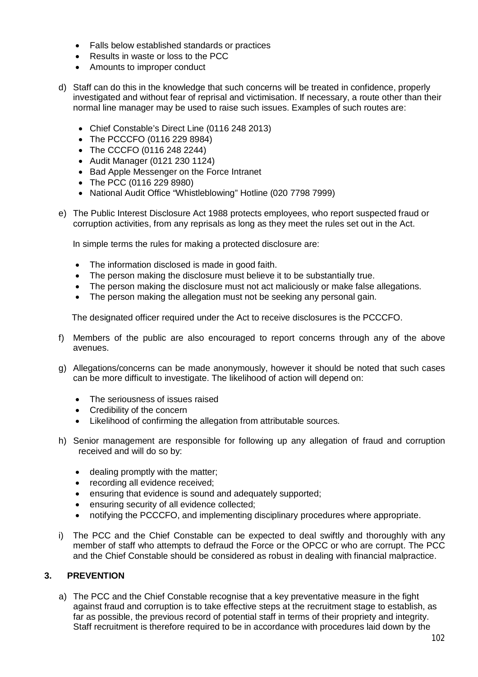- Falls below established standards or practices
- Results in waste or loss to the PCC
- Amounts to improper conduct
- d) Staff can do this in the knowledge that such concerns will be treated in confidence, properly investigated and without fear of reprisal and victimisation. If necessary, a route other than their normal line manager may be used to raise such issues. Examples of such routes are:
	- Chief Constable's Direct Line (0116 248 2013)
	- The PCCCFO (0116 229 8984)
	- The CCCFO (0116 248 2244)
	- Audit Manager (0121 230 1124)
	- Bad Apple Messenger on the Force Intranet
	- The PCC (0116 229 8980)
	- National Audit Office "Whistleblowing" Hotline (020 7798 7999)
- e) The Public Interest Disclosure Act 1988 protects employees, who report suspected fraud or corruption activities, from any reprisals as long as they meet the rules set out in the Act.

In simple terms the rules for making a protected disclosure are:

- The information disclosed is made in good faith.
- The person making the disclosure must believe it to be substantially true.
- The person making the disclosure must not act maliciously or make false allegations.
- The person making the allegation must not be seeking any personal gain.

The designated officer required under the Act to receive disclosures is the PCCCFO.

- f) Members of the public are also encouraged to report concerns through any of the above avenues.
- g) Allegations/concerns can be made anonymously, however it should be noted that such cases can be more difficult to investigate. The likelihood of action will depend on:
	- The seriousness of issues raised
	- Credibility of the concern
	- Likelihood of confirming the allegation from attributable sources.
- h) Senior management are responsible for following up any allegation of fraud and corruption received and will do so by:
	- dealing promptly with the matter;
	- recording all evidence received;
	- ensuring that evidence is sound and adequately supported;
	- ensuring security of all evidence collected;
	- notifying the PCCCFO, and implementing disciplinary procedures where appropriate.
- i) The PCC and the Chief Constable can be expected to deal swiftly and thoroughly with any member of staff who attempts to defraud the Force or the OPCC or who are corrupt. The PCC and the Chief Constable should be considered as robust in dealing with financial malpractice.

# **3. PREVENTION**

a) The PCC and the Chief Constable recognise that a key preventative measure in the fight against fraud and corruption is to take effective steps at the recruitment stage to establish, as far as possible, the previous record of potential staff in terms of their propriety and integrity. Staff recruitment is therefore required to be in accordance with procedures laid down by the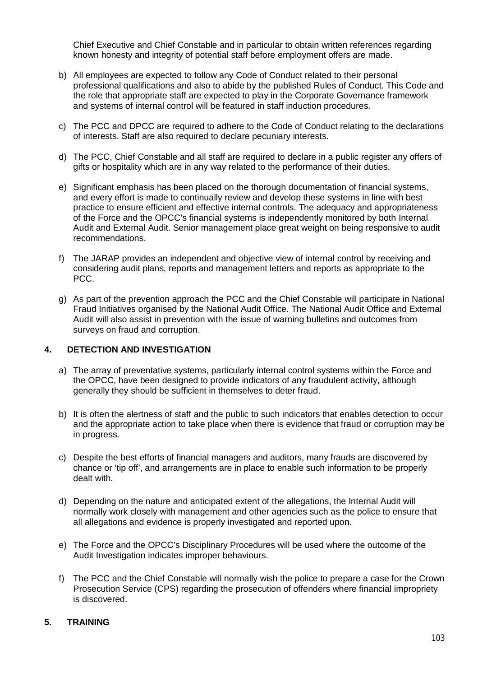Chief Executive and Chief Constable and in particular to obtain written references regarding known honesty and integrity of potential staff before employment offers are made.

- b) All employees are expected to follow any Code of Conduct related to their personal professional qualifications and also to abide by the published Rules of Conduct. This Code and the role that appropriate staff are expected to play in the Corporate Governance framework and systems of internal control will be featured in staff induction procedures.
- c) The PCC and DPCC are required to adhere to the Code of Conduct relating to the declarations of interests. Staff are also required to declare pecuniary interests.
- d) The PCC, Chief Constable and all staff are required to declare in a public register any offers of gifts or hospitality which are in any way related to the performance of their duties.
- e) Significant emphasis has been placed on the thorough documentation of financial systems, and every effort is made to continually review and develop these systems in line with best practice to ensure efficient and effective internal controls. The adequacy and appropriateness of the Force and the OPCC's financial systems is independently monitored by both Internal Audit and External Audit. Senior management place great weight on being responsive to audit recommendations.
- f) The JARAP provides an independent and objective view of internal control by receiving and considering audit plans, reports and management letters and reports as appropriate to the PCC.
- g) As part of the prevention approach the PCC and the Chief Constable will participate in National Fraud Initiatives organised by the National Audit Office. The National Audit Office and External Audit will also assist in prevention with the issue of warning bulletins and outcomes from surveys on fraud and corruption.

## **4. DETECTION AND INVESTIGATION**

- a) The array of preventative systems, particularly internal control systems within the Force and the OPCC, have been designed to provide indicators of any fraudulent activity, although generally they should be sufficient in themselves to deter fraud.
- b) It is often the alertness of staff and the public to such indicators that enables detection to occur and the appropriate action to take place when there is evidence that fraud or corruption may be in progress.
- c) Despite the best efforts of financial managers and auditors, many frauds are discovered by chance or 'tip off', and arrangements are in place to enable such information to be properly dealt with.
- d) Depending on the nature and anticipated extent of the allegations, the Internal Audit will normally work closely with management and other agencies such as the police to ensure that all allegations and evidence is properly investigated and reported upon.
- e) The Force and the OPCC's Disciplinary Procedures will be used where the outcome of the Audit Investigation indicates improper behaviours.
- f) The PCC and the Chief Constable will normally wish the police to prepare a case for the Crown Prosecution Service (CPS) regarding the prosecution of offenders where financial impropriety is discovered.

# **5. TRAINING**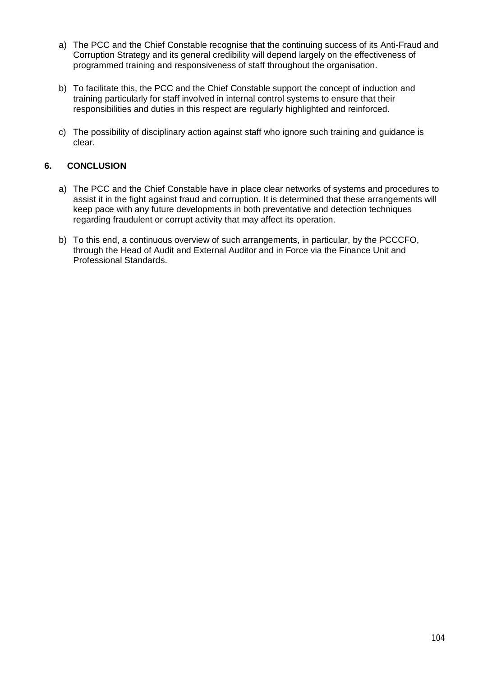- a) The PCC and the Chief Constable recognise that the continuing success of its Anti-Fraud and Corruption Strategy and its general credibility will depend largely on the effectiveness of programmed training and responsiveness of staff throughout the organisation.
- b) To facilitate this, the PCC and the Chief Constable support the concept of induction and training particularly for staff involved in internal control systems to ensure that their responsibilities and duties in this respect are regularly highlighted and reinforced.
- c) The possibility of disciplinary action against staff who ignore such training and guidance is clear.

## **6. CONCLUSION**

- a) The PCC and the Chief Constable have in place clear networks of systems and procedures to assist it in the fight against fraud and corruption. It is determined that these arrangements will keep pace with any future developments in both preventative and detection techniques regarding fraudulent or corrupt activity that may affect its operation.
- b) To this end, a continuous overview of such arrangements, in particular, by the PCCCFO, through the Head of Audit and External Auditor and in Force via the Finance Unit and Professional Standards.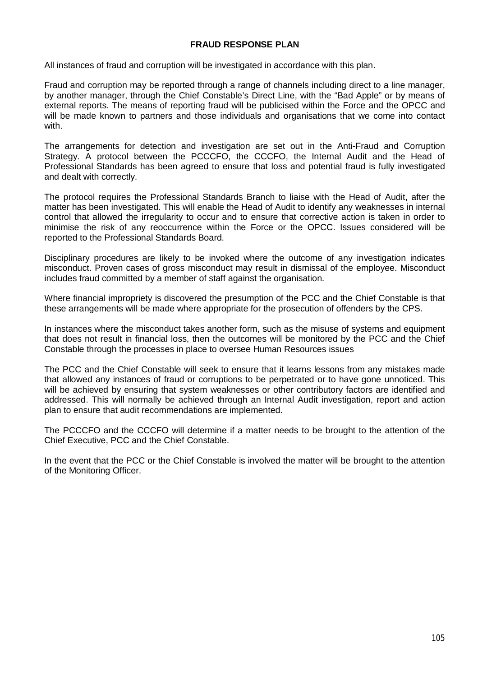### **FRAUD RESPONSE PLAN**

All instances of fraud and corruption will be investigated in accordance with this plan.

Fraud and corruption may be reported through a range of channels including direct to a line manager, by another manager, through the Chief Constable's Direct Line, with the "Bad Apple" or by means of external reports. The means of reporting fraud will be publicised within the Force and the OPCC and will be made known to partners and those individuals and organisations that we come into contact with.

The arrangements for detection and investigation are set out in the Anti-Fraud and Corruption Strategy. A protocol between the PCCCFO, the CCCFO, the Internal Audit and the Head of Professional Standards has been agreed to ensure that loss and potential fraud is fully investigated and dealt with correctly.

The protocol requires the Professional Standards Branch to liaise with the Head of Audit, after the matter has been investigated. This will enable the Head of Audit to identify any weaknesses in internal control that allowed the irregularity to occur and to ensure that corrective action is taken in order to minimise the risk of any reoccurrence within the Force or the OPCC. Issues considered will be reported to the Professional Standards Board.

Disciplinary procedures are likely to be invoked where the outcome of any investigation indicates misconduct. Proven cases of gross misconduct may result in dismissal of the employee. Misconduct includes fraud committed by a member of staff against the organisation.

Where financial impropriety is discovered the presumption of the PCC and the Chief Constable is that these arrangements will be made where appropriate for the prosecution of offenders by the CPS.

In instances where the misconduct takes another form, such as the misuse of systems and equipment that does not result in financial loss, then the outcomes will be monitored by the PCC and the Chief Constable through the processes in place to oversee Human Resources issues

The PCC and the Chief Constable will seek to ensure that it learns lessons from any mistakes made that allowed any instances of fraud or corruptions to be perpetrated or to have gone unnoticed. This will be achieved by ensuring that system weaknesses or other contributory factors are identified and addressed. This will normally be achieved through an Internal Audit investigation, report and action plan to ensure that audit recommendations are implemented.

The PCCCFO and the CCCFO will determine if a matter needs to be brought to the attention of the Chief Executive, PCC and the Chief Constable.

In the event that the PCC or the Chief Constable is involved the matter will be brought to the attention of the Monitoring Officer.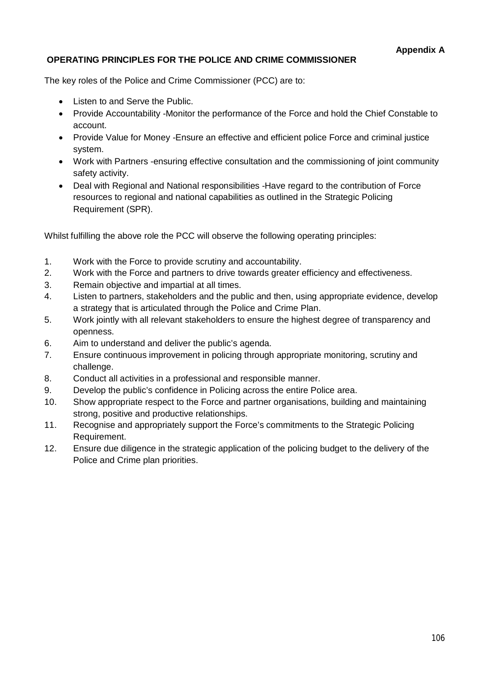# **OPERATING PRINCIPLES FOR THE POLICE AND CRIME COMMISSIONER**

The key roles of the Police and Crime Commissioner (PCC) are to:

- Listen to and Serve the Public.
- Provide Accountability -Monitor the performance of the Force and hold the Chief Constable to account.
- Provide Value for Money Ensure an effective and efficient police Force and criminal justice system.
- Work with Partners -ensuring effective consultation and the commissioning of joint community safety activity.
- Deal with Regional and National responsibilities -Have regard to the contribution of Force resources to regional and national capabilities as outlined in the Strategic Policing Requirement (SPR).

Whilst fulfilling the above role the PCC will observe the following operating principles:

- 1. Work with the Force to provide scrutiny and accountability.
- 2. Work with the Force and partners to drive towards greater efficiency and effectiveness.
- 3. Remain objective and impartial at all times.
- 4. Listen to partners, stakeholders and the public and then, using appropriate evidence, develop a strategy that is articulated through the Police and Crime Plan.
- 5. Work jointly with all relevant stakeholders to ensure the highest degree of transparency and openness.
- 6. Aim to understand and deliver the public's agenda.
- 7. Ensure continuous improvement in policing through appropriate monitoring, scrutiny and challenge.
- 8. Conduct all activities in a professional and responsible manner.
- 9. Develop the public's confidence in Policing across the entire Police area.
- 10. Show appropriate respect to the Force and partner organisations, building and maintaining strong, positive and productive relationships.
- 11. Recognise and appropriately support the Force's commitments to the Strategic Policing Requirement.
- 12. Ensure due diligence in the strategic application of the policing budget to the delivery of the Police and Crime plan priorities.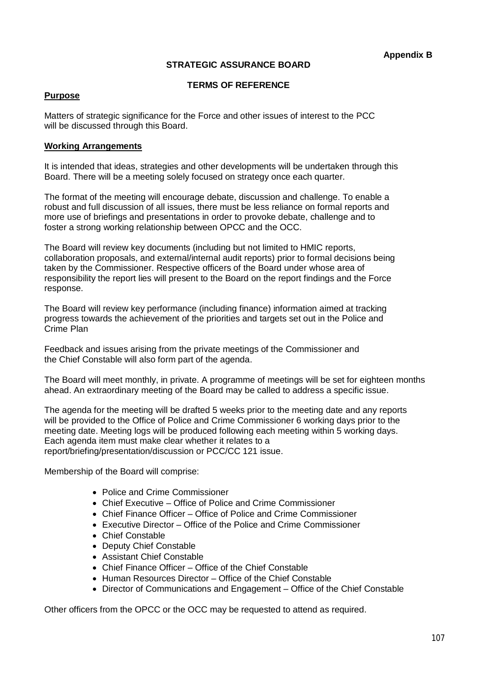### **STRATEGIC ASSURANCE BOARD**

#### **TERMS OF REFERENCE**

#### **Purpose**

Matters of strategic significance for the Force and other issues of interest to the PCC will be discussed through this Board.

#### **Working Arrangements**

It is intended that ideas, strategies and other developments will be undertaken through this Board. There will be a meeting solely focused on strategy once each quarter.

The format of the meeting will encourage debate, discussion and challenge. To enable a robust and full discussion of all issues, there must be less reliance on formal reports and more use of briefings and presentations in order to provoke debate, challenge and to foster a strong working relationship between OPCC and the OCC.

The Board will review key documents (including but not limited to HMIC reports, collaboration proposals, and external/internal audit reports) prior to formal decisions being taken by the Commissioner. Respective officers of the Board under whose area of responsibility the report lies will present to the Board on the report findings and the Force response.

The Board will review key performance (including finance) information aimed at tracking progress towards the achievement of the priorities and targets set out in the Police and Crime Plan

Feedback and issues arising from the private meetings of the Commissioner and the Chief Constable will also form part of the agenda.

The Board will meet monthly, in private. A programme of meetings will be set for eighteen months ahead. An extraordinary meeting of the Board may be called to address a specific issue.

The agenda for the meeting will be drafted 5 weeks prior to the meeting date and any reports will be provided to the Office of Police and Crime Commissioner 6 working days prior to the meeting date. Meeting logs will be produced following each meeting within 5 working days. Each agenda item must make clear whether it relates to a report/briefing/presentation/discussion or PCC/CC 121 issue.

Membership of the Board will comprise:

- Police and Crime Commissioner
- Chief Executive Office of Police and Crime Commissioner
- Chief Finance Officer Office of Police and Crime Commissioner
- Executive Director Office of the Police and Crime Commissioner
- Chief Constable
- Deputy Chief Constable
- Assistant Chief Constable
- Chief Finance Officer Office of the Chief Constable
- Human Resources Director Office of the Chief Constable
- Director of Communications and Engagement Office of the Chief Constable

Other officers from the OPCC or the OCC may be requested to attend as required.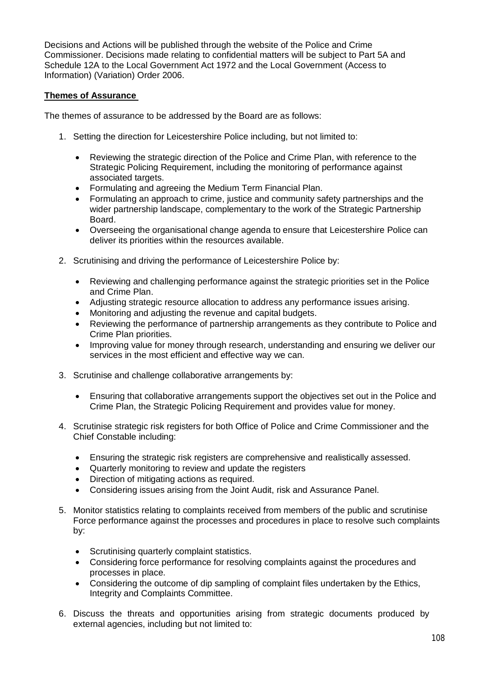Decisions and Actions will be published through the website of the Police and Crime Commissioner. Decisions made relating to confidential matters will be subject to Part 5A and Schedule 12A to the Local Government Act 1972 and the Local Government (Access to Information) (Variation) Order 2006.

## **Themes of Assurance**

The themes of assurance to be addressed by the Board are as follows:

- 1. Setting the direction for Leicestershire Police including, but not limited to:
	- Reviewing the strategic direction of the Police and Crime Plan, with reference to the Strategic Policing Requirement, including the monitoring of performance against associated targets.
	- Formulating and agreeing the Medium Term Financial Plan.
	- Formulating an approach to crime, justice and community safety partnerships and the wider partnership landscape, complementary to the work of the Strategic Partnership Board.
	- Overseeing the organisational change agenda to ensure that Leicestershire Police can deliver its priorities within the resources available.
- 2. Scrutinising and driving the performance of Leicestershire Police by:
	- Reviewing and challenging performance against the strategic priorities set in the Police and Crime Plan.
	- Adjusting strategic resource allocation to address any performance issues arising.
	- Monitoring and adjusting the revenue and capital budgets.
	- Reviewing the performance of partnership arrangements as they contribute to Police and Crime Plan priorities.
	- Improving value for money through research, understanding and ensuring we deliver our services in the most efficient and effective way we can.
- 3. Scrutinise and challenge collaborative arrangements by:
	- Ensuring that collaborative arrangements support the objectives set out in the Police and Crime Plan, the Strategic Policing Requirement and provides value for money.
- 4. Scrutinise strategic risk registers for both Office of Police and Crime Commissioner and the Chief Constable including:
	- Ensuring the strategic risk registers are comprehensive and realistically assessed.
	- Quarterly monitoring to review and update the registers
	- Direction of mitigating actions as required.
	- Considering issues arising from the Joint Audit, risk and Assurance Panel.
- 5. Monitor statistics relating to complaints received from members of the public and scrutinise Force performance against the processes and procedures in place to resolve such complaints by:
	- Scrutinising quarterly complaint statistics.
	- Considering force performance for resolving complaints against the procedures and processes in place.
	- Considering the outcome of dip sampling of complaint files undertaken by the Ethics, Integrity and Complaints Committee.
- 6. Discuss the threats and opportunities arising from strategic documents produced by external agencies, including but not limited to: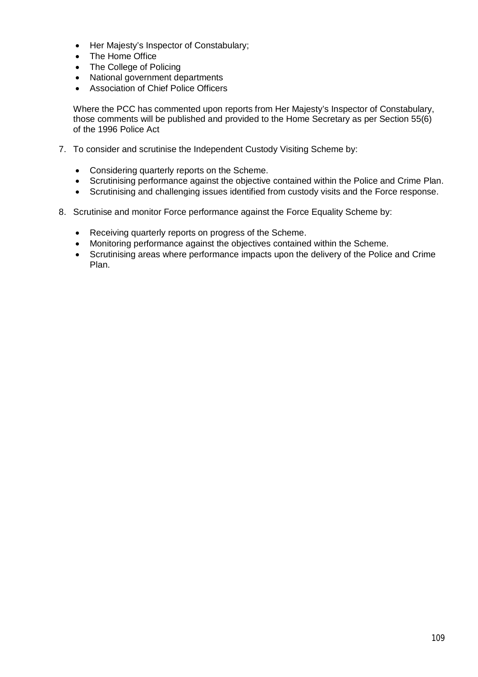- Her Majesty's Inspector of Constabulary;
- The Home Office
- The College of Policing
- National government departments
- Association of Chief Police Officers

Where the PCC has commented upon reports from Her Majesty's Inspector of Constabulary, those comments will be published and provided to the Home Secretary as per Section 55(6) of the 1996 Police Act

- 7. To consider and scrutinise the Independent Custody Visiting Scheme by:
	- Considering quarterly reports on the Scheme.
	- Scrutinising performance against the objective contained within the Police and Crime Plan.
	- Scrutinising and challenging issues identified from custody visits and the Force response.
- 8. Scrutinise and monitor Force performance against the Force Equality Scheme by:
	- Receiving quarterly reports on progress of the Scheme.
	- Monitoring performance against the objectives contained within the Scheme.
	- Scrutinising areas where performance impacts upon the delivery of the Police and Crime Plan.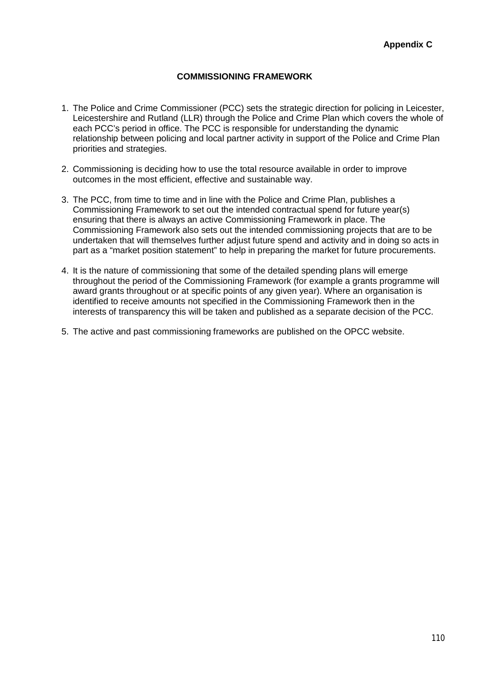#### **COMMISSIONING FRAMEWORK**

- 1. The Police and Crime Commissioner (PCC) sets the strategic direction for policing in Leicester, Leicestershire and Rutland (LLR) through the Police and Crime Plan which covers the whole of each PCC's period in office. The PCC is responsible for understanding the dynamic relationship between policing and local partner activity in support of the Police and Crime Plan priorities and strategies.
- 2. Commissioning is deciding how to use the total resource available in order to improve outcomes in the most efficient, effective and sustainable way.
- 3. The PCC, from time to time and in line with the Police and Crime Plan, publishes a Commissioning Framework to set out the intended contractual spend for future year(s) ensuring that there is always an active Commissioning Framework in place. The Commissioning Framework also sets out the intended commissioning projects that are to be undertaken that will themselves further adjust future spend and activity and in doing so acts in part as a "market position statement" to help in preparing the market for future procurements.
- 4. It is the nature of commissioning that some of the detailed spending plans will emerge throughout the period of the Commissioning Framework (for example a grants programme will award grants throughout or at specific points of any given year). Where an organisation is identified to receive amounts not specified in the Commissioning Framework then in the interests of transparency this will be taken and published as a separate decision of the PCC.
- 5. The active and past commissioning frameworks are published on the OPCC website.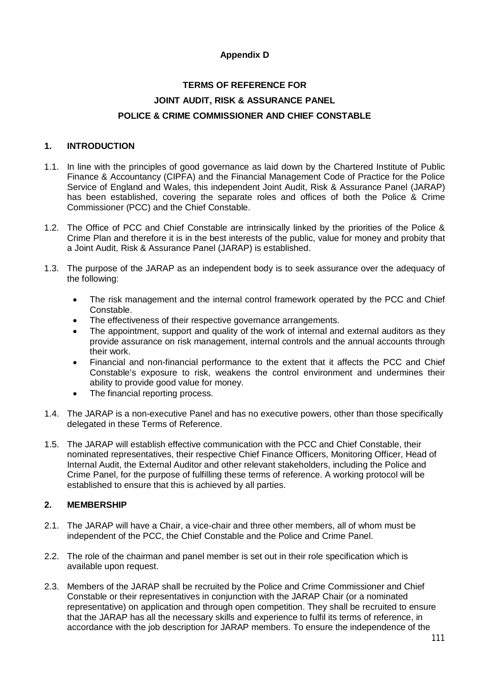## **Appendix D**

# **TERMS OF REFERENCE FOR JOINT AUDIT, RISK & ASSURANCE PANEL POLICE & CRIME COMMISSIONER AND CHIEF CONSTABLE**

#### **1. INTRODUCTION**

- 1.1. In line with the principles of good governance as laid down by the Chartered Institute of Public Finance & Accountancy (CIPFA) and the Financial Management Code of Practice for the Police Service of England and Wales, this independent Joint Audit, Risk & Assurance Panel (JARAP) has been established, covering the separate roles and offices of both the Police & Crime Commissioner (PCC) and the Chief Constable.
- 1.2. The Office of PCC and Chief Constable are intrinsically linked by the priorities of the Police & Crime Plan and therefore it is in the best interests of the public, value for money and probity that a Joint Audit, Risk & Assurance Panel (JARAP) is established.
- 1.3. The purpose of the JARAP as an independent body is to seek assurance over the adequacy of the following:
	- The risk management and the internal control framework operated by the PCC and Chief Constable.
	- The effectiveness of their respective governance arrangements.
	- The appointment, support and quality of the work of internal and external auditors as they provide assurance on risk management, internal controls and the annual accounts through their work.
	- Financial and non-financial performance to the extent that it affects the PCC and Chief Constable's exposure to risk, weakens the control environment and undermines their ability to provide good value for money.
	- The financial reporting process.
- 1.4. The JARAP is a non-executive Panel and has no executive powers, other than those specifically delegated in these Terms of Reference.
- 1.5. The JARAP will establish effective communication with the PCC and Chief Constable, their nominated representatives, their respective Chief Finance Officers, Monitoring Officer, Head of Internal Audit, the External Auditor and other relevant stakeholders, including the Police and Crime Panel, for the purpose of fulfilling these terms of reference. A working protocol will be established to ensure that this is achieved by all parties.

### **2. MEMBERSHIP**

- 2.1. The JARAP will have a Chair, a vice-chair and three other members, all of whom must be independent of the PCC, the Chief Constable and the Police and Crime Panel.
- 2.2. The role of the chairman and panel member is set out in their role specification which is available upon request.
- 2.3. Members of the JARAP shall be recruited by the Police and Crime Commissioner and Chief Constable or their representatives in conjunction with the JARAP Chair (or a nominated representative) on application and through open competition. They shall be recruited to ensure that the JARAP has all the necessary skills and experience to fulfil its terms of reference, in accordance with the job description for JARAP members. To ensure the independence of the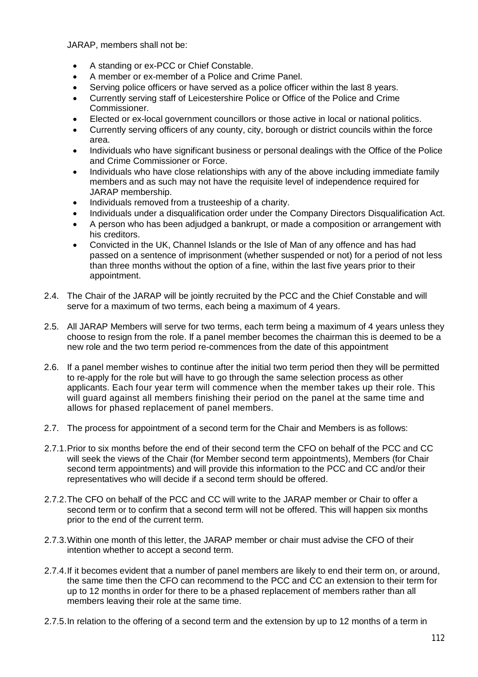JARAP, members shall not be:

- A standing or ex-PCC or Chief Constable.
- A member or ex-member of a Police and Crime Panel.
- Serving police officers or have served as a police officer within the last 8 years.
- Currently serving staff of Leicestershire Police or Office of the Police and Crime Commissioner.
- Elected or ex-local government councillors or those active in local or national politics.
- Currently serving officers of any county, city, borough or district councils within the force area.
- Individuals who have significant business or personal dealings with the Office of the Police and Crime Commissioner or Force.
- Individuals who have close relationships with any of the above including immediate family members and as such may not have the requisite level of independence required for JARAP membership.
- Individuals removed from a trusteeship of a charity.
- Individuals under a disqualification order under the Company Directors Disqualification Act.
- A person who has been adjudged a bankrupt, or made a composition or arrangement with his creditors.
- Convicted in the UK, Channel Islands or the Isle of Man of any offence and has had passed on a sentence of imprisonment (whether suspended or not) for a period of not less than three months without the option of a fine, within the last five years prior to their appointment.
- 2.4. The Chair of the JARAP will be jointly recruited by the PCC and the Chief Constable and will serve for a maximum of two terms, each being a maximum of 4 years.
- 2.5. All JARAP Members will serve for two terms, each term being a maximum of 4 years unless they choose to resign from the role. If a panel member becomes the chairman this is deemed to be a new role and the two term period re-commences from the date of this appointment
- 2.6. If a panel member wishes to continue after the initial two term period then they will be permitted to re-apply for the role but will have to go through the same selection process as other applicants. Each four year term will commence when the member takes up their role. This will guard against all members finishing their period on the panel at the same time and allows for phased replacement of panel members.
- 2.7. The process for appointment of a second term for the Chair and Members is as follows:
- 2.7.1.Prior to six months before the end of their second term the CFO on behalf of the PCC and CC will seek the views of the Chair (for Member second term appointments), Members (for Chair second term appointments) and will provide this information to the PCC and CC and/or their representatives who will decide if a second term should be offered.
- 2.7.2.The CFO on behalf of the PCC and CC will write to the JARAP member or Chair to offer a second term or to confirm that a second term will not be offered. This will happen six months prior to the end of the current term.
- 2.7.3.Within one month of this letter, the JARAP member or chair must advise the CFO of their intention whether to accept a second term.
- 2.7.4.If it becomes evident that a number of panel members are likely to end their term on, or around, the same time then the CFO can recommend to the PCC and CC an extension to their term for up to 12 months in order for there to be a phased replacement of members rather than all members leaving their role at the same time.
- 2.7.5.In relation to the offering of a second term and the extension by up to 12 months of a term in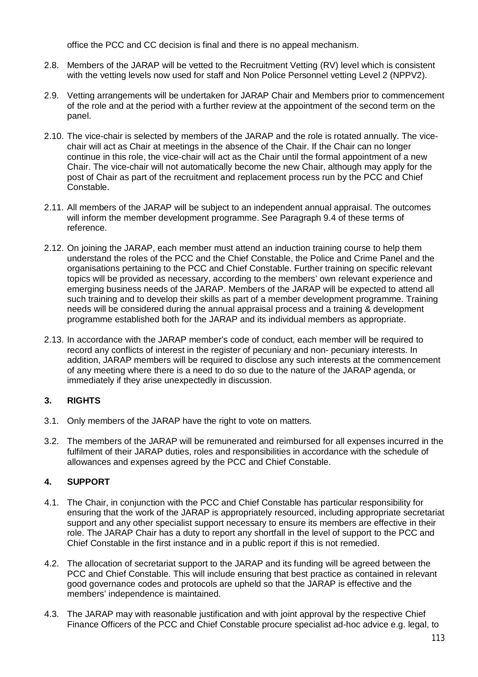office the PCC and CC decision is final and there is no appeal mechanism.

- 2.8. Members of the JARAP will be vetted to the Recruitment Vetting (RV) level which is consistent with the vetting levels now used for staff and Non Police Personnel vetting Level 2 (NPPV2).
- 2.9. Vetting arrangements will be undertaken for JARAP Chair and Members prior to commencement of the role and at the period with a further review at the appointment of the second term on the panel.
- 2.10. The vice-chair is selected by members of the JARAP and the role is rotated annually. The vicechair will act as Chair at meetings in the absence of the Chair. If the Chair can no longer continue in this role, the vice-chair will act as the Chair until the formal appointment of a new Chair. The vice-chair will not automatically become the new Chair, although may apply for the post of Chair as part of the recruitment and replacement process run by the PCC and Chief Constable.
- 2.11. All members of the JARAP will be subject to an independent annual appraisal. The outcomes will inform the member development programme. See Paragraph 9.4 of these terms of reference.
- 2.12. On joining the JARAP, each member must attend an induction training course to help them understand the roles of the PCC and the Chief Constable, the Police and Crime Panel and the organisations pertaining to the PCC and Chief Constable. Further training on specific relevant topics will be provided as necessary, according to the members' own relevant experience and emerging business needs of the JARAP. Members of the JARAP will be expected to attend all such training and to develop their skills as part of a member development programme. Training needs will be considered during the annual appraisal process and a training & development programme established both for the JARAP and its individual members as appropriate.
- 2.13. In accordance with the JARAP member's code of conduct, each member will be required to record any conflicts of interest in the register of pecuniary and non- pecuniary interests. In addition, JARAP members will be required to disclose any such interests at the commencement of any meeting where there is a need to do so due to the nature of the JARAP agenda, or immediately if they arise unexpectedly in discussion.

# **3. RIGHTS**

- 3.1. Only members of the JARAP have the right to vote on matters.
- 3.2. The members of the JARAP will be remunerated and reimbursed for all expenses incurred in the fulfilment of their JARAP duties, roles and responsibilities in accordance with the schedule of allowances and expenses agreed by the PCC and Chief Constable.

# **4. SUPPORT**

- 4.1. The Chair, in conjunction with the PCC and Chief Constable has particular responsibility for ensuring that the work of the JARAP is appropriately resourced, including appropriate secretariat support and any other specialist support necessary to ensure its members are effective in their role. The JARAP Chair has a duty to report any shortfall in the level of support to the PCC and Chief Constable in the first instance and in a public report if this is not remedied.
- 4.2. The allocation of secretariat support to the JARAP and its funding will be agreed between the PCC and Chief Constable. This will include ensuring that best practice as contained in relevant good governance codes and protocols are upheld so that the JARAP is effective and the members' independence is maintained.
- 4.3. The JARAP may with reasonable justification and with joint approval by the respective Chief Finance Officers of the PCC and Chief Constable procure specialist ad-hoc advice e.g. legal, to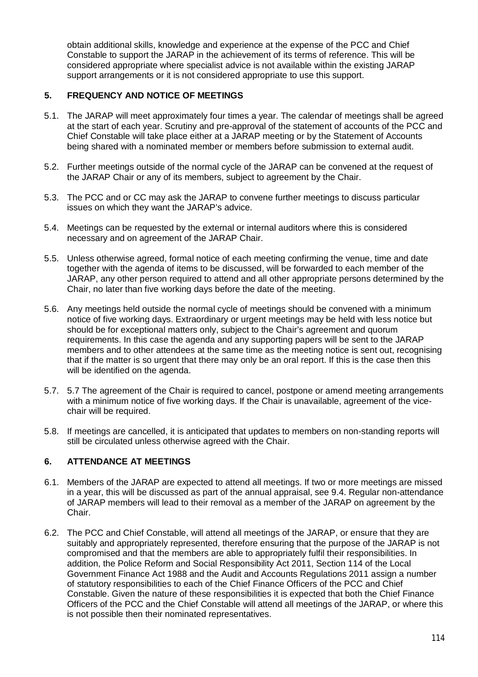obtain additional skills, knowledge and experience at the expense of the PCC and Chief Constable to support the JARAP in the achievement of its terms of reference. This will be considered appropriate where specialist advice is not available within the existing JARAP support arrangements or it is not considered appropriate to use this support.

## **5. FREQUENCY AND NOTICE OF MEETINGS**

- 5.1. The JARAP will meet approximately four times a year. The calendar of meetings shall be agreed at the start of each year. Scrutiny and pre-approval of the statement of accounts of the PCC and Chief Constable will take place either at a JARAP meeting or by the Statement of Accounts being shared with a nominated member or members before submission to external audit.
- 5.2. Further meetings outside of the normal cycle of the JARAP can be convened at the request of the JARAP Chair or any of its members, subject to agreement by the Chair.
- 5.3. The PCC and or CC may ask the JARAP to convene further meetings to discuss particular issues on which they want the JARAP's advice.
- 5.4. Meetings can be requested by the external or internal auditors where this is considered necessary and on agreement of the JARAP Chair.
- 5.5. Unless otherwise agreed, formal notice of each meeting confirming the venue, time and date together with the agenda of items to be discussed, will be forwarded to each member of the JARAP, any other person required to attend and all other appropriate persons determined by the Chair, no later than five working days before the date of the meeting.
- 5.6. Any meetings held outside the normal cycle of meetings should be convened with a minimum notice of five working days. Extraordinary or urgent meetings may be held with less notice but should be for exceptional matters only, subject to the Chair's agreement and quorum requirements. In this case the agenda and any supporting papers will be sent to the JARAP members and to other attendees at the same time as the meeting notice is sent out, recognising that if the matter is so urgent that there may only be an oral report. If this is the case then this will be identified on the agenda.
- 5.7. 5.7 The agreement of the Chair is required to cancel, postpone or amend meeting arrangements with a minimum notice of five working days. If the Chair is unavailable, agreement of the vicechair will be required.
- 5.8. If meetings are cancelled, it is anticipated that updates to members on non-standing reports will still be circulated unless otherwise agreed with the Chair.

### **6. ATTENDANCE AT MEETINGS**

- 6.1. Members of the JARAP are expected to attend all meetings. If two or more meetings are missed in a year, this will be discussed as part of the annual appraisal, see 9.4. Regular non-attendance of JARAP members will lead to their removal as a member of the JARAP on agreement by the Chair.
- 6.2. The PCC and Chief Constable, will attend all meetings of the JARAP, or ensure that they are suitably and appropriately represented, therefore ensuring that the purpose of the JARAP is not compromised and that the members are able to appropriately fulfil their responsibilities. In addition, the Police Reform and Social Responsibility Act 2011, Section 114 of the Local Government Finance Act 1988 and the Audit and Accounts Regulations 2011 assign a number of statutory responsibilities to each of the Chief Finance Officers of the PCC and Chief Constable. Given the nature of these responsibilities it is expected that both the Chief Finance Officers of the PCC and the Chief Constable will attend all meetings of the JARAP, or where this is not possible then their nominated representatives.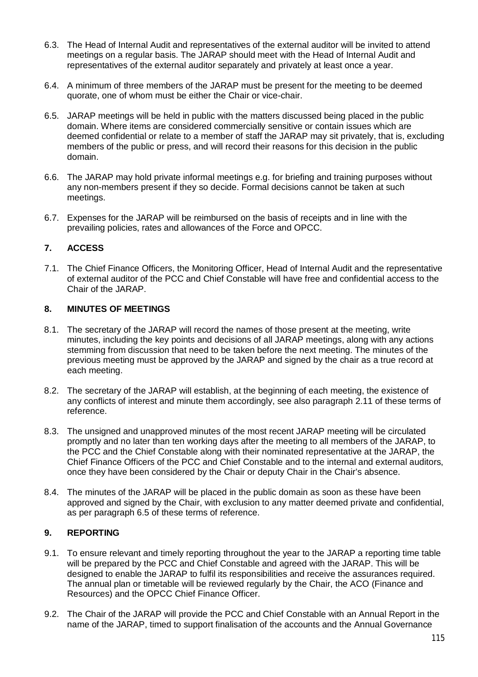- 6.3. The Head of Internal Audit and representatives of the external auditor will be invited to attend meetings on a regular basis. The JARAP should meet with the Head of Internal Audit and representatives of the external auditor separately and privately at least once a year.
- 6.4. A minimum of three members of the JARAP must be present for the meeting to be deemed quorate, one of whom must be either the Chair or vice-chair.
- 6.5. JARAP meetings will be held in public with the matters discussed being placed in the public domain. Where items are considered commercially sensitive or contain issues which are deemed confidential or relate to a member of staff the JARAP may sit privately, that is, excluding members of the public or press, and will record their reasons for this decision in the public domain.
- 6.6. The JARAP may hold private informal meetings e.g. for briefing and training purposes without any non-members present if they so decide. Formal decisions cannot be taken at such meetings.
- 6.7. Expenses for the JARAP will be reimbursed on the basis of receipts and in line with the prevailing policies, rates and allowances of the Force and OPCC.

### **7. ACCESS**

7.1. The Chief Finance Officers, the Monitoring Officer, Head of Internal Audit and the representative of external auditor of the PCC and Chief Constable will have free and confidential access to the Chair of the JARAP.

#### **8. MINUTES OF MEETINGS**

- 8.1. The secretary of the JARAP will record the names of those present at the meeting, write minutes, including the key points and decisions of all JARAP meetings, along with any actions stemming from discussion that need to be taken before the next meeting. The minutes of the previous meeting must be approved by the JARAP and signed by the chair as a true record at each meeting.
- 8.2. The secretary of the JARAP will establish, at the beginning of each meeting, the existence of any conflicts of interest and minute them accordingly, see also paragraph 2.11 of these terms of reference.
- 8.3. The unsigned and unapproved minutes of the most recent JARAP meeting will be circulated promptly and no later than ten working days after the meeting to all members of the JARAP, to the PCC and the Chief Constable along with their nominated representative at the JARAP, the Chief Finance Officers of the PCC and Chief Constable and to the internal and external auditors, once they have been considered by the Chair or deputy Chair in the Chair's absence.
- 8.4. The minutes of the JARAP will be placed in the public domain as soon as these have been approved and signed by the Chair, with exclusion to any matter deemed private and confidential, as per paragraph 6.5 of these terms of reference.

#### **9. REPORTING**

- 9.1. To ensure relevant and timely reporting throughout the year to the JARAP a reporting time table will be prepared by the PCC and Chief Constable and agreed with the JARAP. This will be designed to enable the JARAP to fulfil its responsibilities and receive the assurances required. The annual plan or timetable will be reviewed regularly by the Chair, the ACO (Finance and Resources) and the OPCC Chief Finance Officer.
- 9.2. The Chair of the JARAP will provide the PCC and Chief Constable with an Annual Report in the name of the JARAP, timed to support finalisation of the accounts and the Annual Governance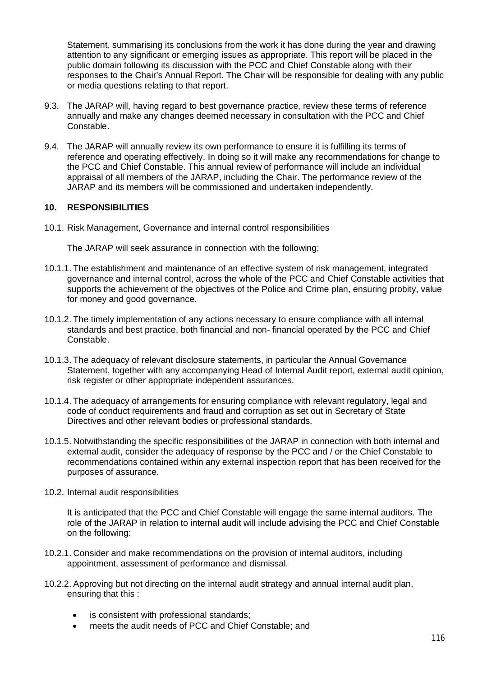Statement, summarising its conclusions from the work it has done during the year and drawing attention to any significant or emerging issues as appropriate. This report will be placed in the public domain following its discussion with the PCC and Chief Constable along with their responses to the Chair's Annual Report. The Chair will be responsible for dealing with any public or media questions relating to that report.

- 9.3. The JARAP will, having regard to best governance practice, review these terms of reference annually and make any changes deemed necessary in consultation with the PCC and Chief Constable.
- 9.4. The JARAP will annually review its own performance to ensure it is fulfilling its terms of reference and operating effectively. In doing so it will make any recommendations for change to the PCC and Chief Constable. This annual review of performance will include an individual appraisal of all members of the JARAP, including the Chair. The performance review of the JARAP and its members will be commissioned and undertaken independently.

#### **10. RESPONSIBILITIES**

10.1. Risk Management, Governance and internal control responsibilities

The JARAP will seek assurance in connection with the following:

- 10.1.1. The establishment and maintenance of an effective system of risk management, integrated governance and internal control, across the whole of the PCC and Chief Constable activities that supports the achievement of the objectives of the Police and Crime plan, ensuring probity, value for money and good governance.
- 10.1.2. The timely implementation of any actions necessary to ensure compliance with all internal standards and best practice, both financial and non- financial operated by the PCC and Chief Constable.
- 10.1.3. The adequacy of relevant disclosure statements, in particular the Annual Governance Statement, together with any accompanying Head of Internal Audit report, external audit opinion, risk register or other appropriate independent assurances.
- 10.1.4. The adequacy of arrangements for ensuring compliance with relevant regulatory, legal and code of conduct requirements and fraud and corruption as set out in Secretary of State Directives and other relevant bodies or professional standards.
- 10.1.5. Notwithstanding the specific responsibilities of the JARAP in connection with both internal and external audit, consider the adequacy of response by the PCC and / or the Chief Constable to recommendations contained within any external inspection report that has been received for the purposes of assurance.
- 10.2. Internal audit responsibilities

It is anticipated that the PCC and Chief Constable will engage the same internal auditors. The role of the JARAP in relation to internal audit will include advising the PCC and Chief Constable on the following:

- 10.2.1. Consider and make recommendations on the provision of internal auditors, including appointment, assessment of performance and dismissal.
- 10.2.2. Approving but not directing on the internal audit strategy and annual internal audit plan, ensuring that this :
	- is consistent with professional standards;
	- meets the audit needs of PCC and Chief Constable; and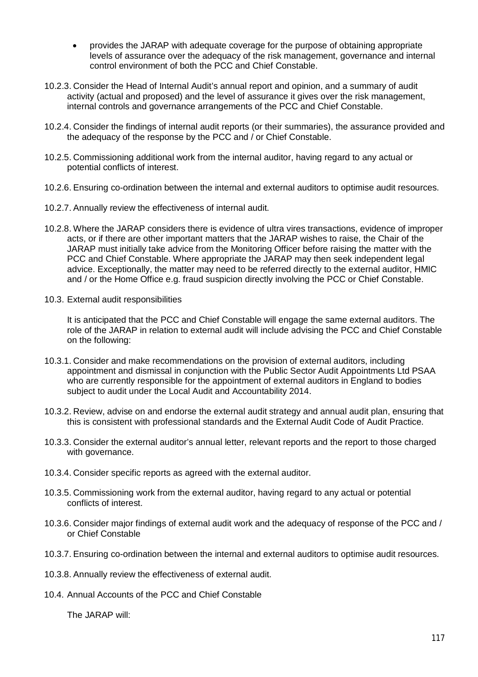- provides the JARAP with adequate coverage for the purpose of obtaining appropriate levels of assurance over the adequacy of the risk management, governance and internal control environment of both the PCC and Chief Constable.
- 10.2.3. Consider the Head of Internal Audit's annual report and opinion, and a summary of audit activity (actual and proposed) and the level of assurance it gives over the risk management, internal controls and governance arrangements of the PCC and Chief Constable.
- 10.2.4. Consider the findings of internal audit reports (or their summaries), the assurance provided and the adequacy of the response by the PCC and / or Chief Constable.
- 10.2.5. Commissioning additional work from the internal auditor, having regard to any actual or potential conflicts of interest.
- 10.2.6. Ensuring co-ordination between the internal and external auditors to optimise audit resources.
- 10.2.7. Annually review the effectiveness of internal audit.
- 10.2.8. Where the JARAP considers there is evidence of ultra vires transactions, evidence of improper acts, or if there are other important matters that the JARAP wishes to raise, the Chair of the JARAP must initially take advice from the Monitoring Officer before raising the matter with the PCC and Chief Constable. Where appropriate the JARAP may then seek independent legal advice. Exceptionally, the matter may need to be referred directly to the external auditor, HMIC and / or the Home Office e.g. fraud suspicion directly involving the PCC or Chief Constable.
- 10.3. External audit responsibilities

It is anticipated that the PCC and Chief Constable will engage the same external auditors. The role of the JARAP in relation to external audit will include advising the PCC and Chief Constable on the following:

- 10.3.1. Consider and make recommendations on the provision of external auditors, including appointment and dismissal in conjunction with the Public Sector Audit Appointments Ltd PSAA who are currently responsible for the appointment of external auditors in England to bodies subject to audit under the Local Audit and Accountability 2014.
- 10.3.2. Review, advise on and endorse the external audit strategy and annual audit plan, ensuring that this is consistent with professional standards and the External Audit Code of Audit Practice.
- 10.3.3. Consider the external auditor's annual letter, relevant reports and the report to those charged with governance.
- 10.3.4. Consider specific reports as agreed with the external auditor.
- 10.3.5. Commissioning work from the external auditor, having regard to any actual or potential conflicts of interest.
- 10.3.6. Consider major findings of external audit work and the adequacy of response of the PCC and / or Chief Constable
- 10.3.7. Ensuring co-ordination between the internal and external auditors to optimise audit resources.
- 10.3.8. Annually review the effectiveness of external audit.
- 10.4. Annual Accounts of the PCC and Chief Constable

The JARAP will: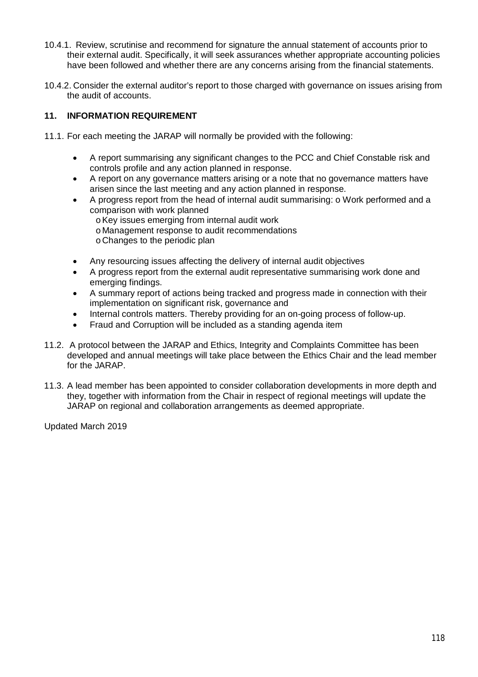- 10.4.1. Review, scrutinise and recommend for signature the annual statement of accounts prior to their external audit. Specifically, it will seek assurances whether appropriate accounting policies have been followed and whether there are any concerns arising from the financial statements.
- 10.4.2. Consider the external auditor's report to those charged with governance on issues arising from the audit of accounts.

## **11. INFORMATION REQUIREMENT**

- 11.1. For each meeting the JARAP will normally be provided with the following:
	- A report summarising any significant changes to the PCC and Chief Constable risk and controls profile and any action planned in response.
	- A report on any governance matters arising or a note that no governance matters have arisen since the last meeting and any action planned in response.
	- A progress report from the head of internal audit summarising: o Work performed and a comparison with work planned
		- oKey issues emerging from internal audit work
		- o Management response to audit recommendations
		- oChanges to the periodic plan
	- Any resourcing issues affecting the delivery of internal audit objectives
	- A progress report from the external audit representative summarising work done and emerging findings.
	- A summary report of actions being tracked and progress made in connection with their implementation on significant risk, governance and
	- Internal controls matters. Thereby providing for an on-going process of follow-up.
	- Fraud and Corruption will be included as a standing agenda item
- 11.2. A protocol between the JARAP and Ethics, Integrity and Complaints Committee has been developed and annual meetings will take place between the Ethics Chair and the lead member for the JARAP.
- 11.3. A lead member has been appointed to consider collaboration developments in more depth and they, together with information from the Chair in respect of regional meetings will update the JARAP on regional and collaboration arrangements as deemed appropriate.

Updated March 2019